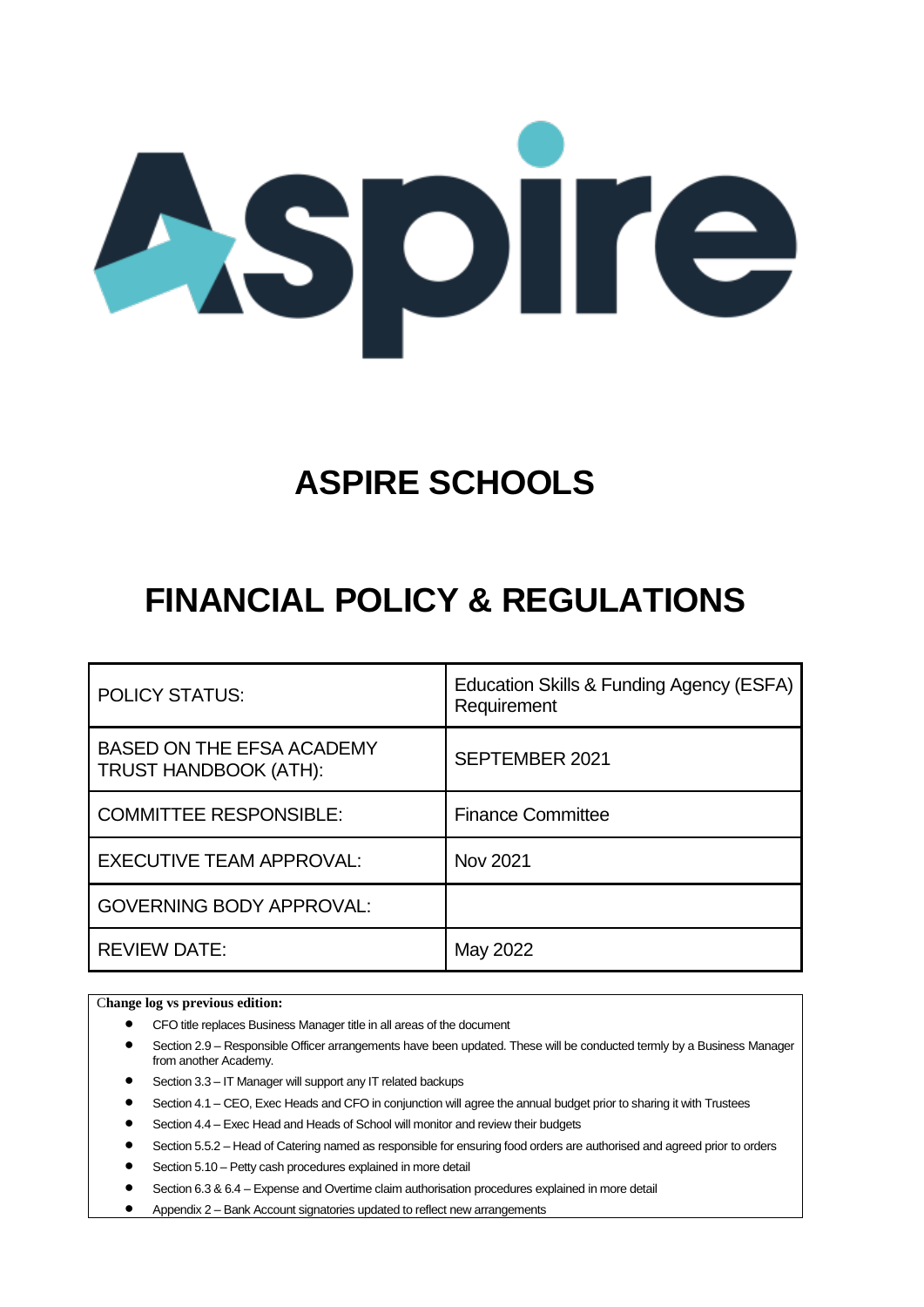

# **ASPIRE SCHOOLS**

# **FINANCIAL POLICY & REGULATIONS**

| <b>POLICY STATUS:</b>                                     | Education Skills & Funding Agency (ESFA)<br>Requirement |
|-----------------------------------------------------------|---------------------------------------------------------|
| <b>BASED ON THE EFSA ACADEMY</b><br>TRUST HANDBOOK (ATH): | SEPTEMBER 2021                                          |
| <b>COMMITTEE RESPONSIBLE:</b>                             | <b>Finance Committee</b>                                |
| <b>EXECUTIVE TEAM APPROVAL:</b>                           | Nov 2021                                                |
| <b>GOVERNING BODY APPROVAL:</b>                           |                                                         |
| <b>REVIEW DATE:</b>                                       | May 2022                                                |

C**hange log vs previous edition:**

- CFO title replaces Business Manager title in all areas of the document
- Section 2.9 Responsible Officer arrangements have been updated. These will be conducted termly by a Business Manager from another Academy.
- Section 3.3 IT Manager will support any IT related backups
- Section 4.1 CEO, Exec Heads and CFO in conjunction will agree the annual budget prior to sharing it with Trustees
- Section 4.4 Exec Head and Heads of School will monitor and review their budgets
- Section 5.5.2 Head of Catering named as responsible for ensuring food orders are authorised and agreed prior to orders
- Section 5.10 Petty cash procedures explained in more detail
- Section 6.3 & 6.4 Expense and Overtime claim authorisation procedures explained in more detail
- Appendix 2 Bank Account signatories updated to reflect new arrangements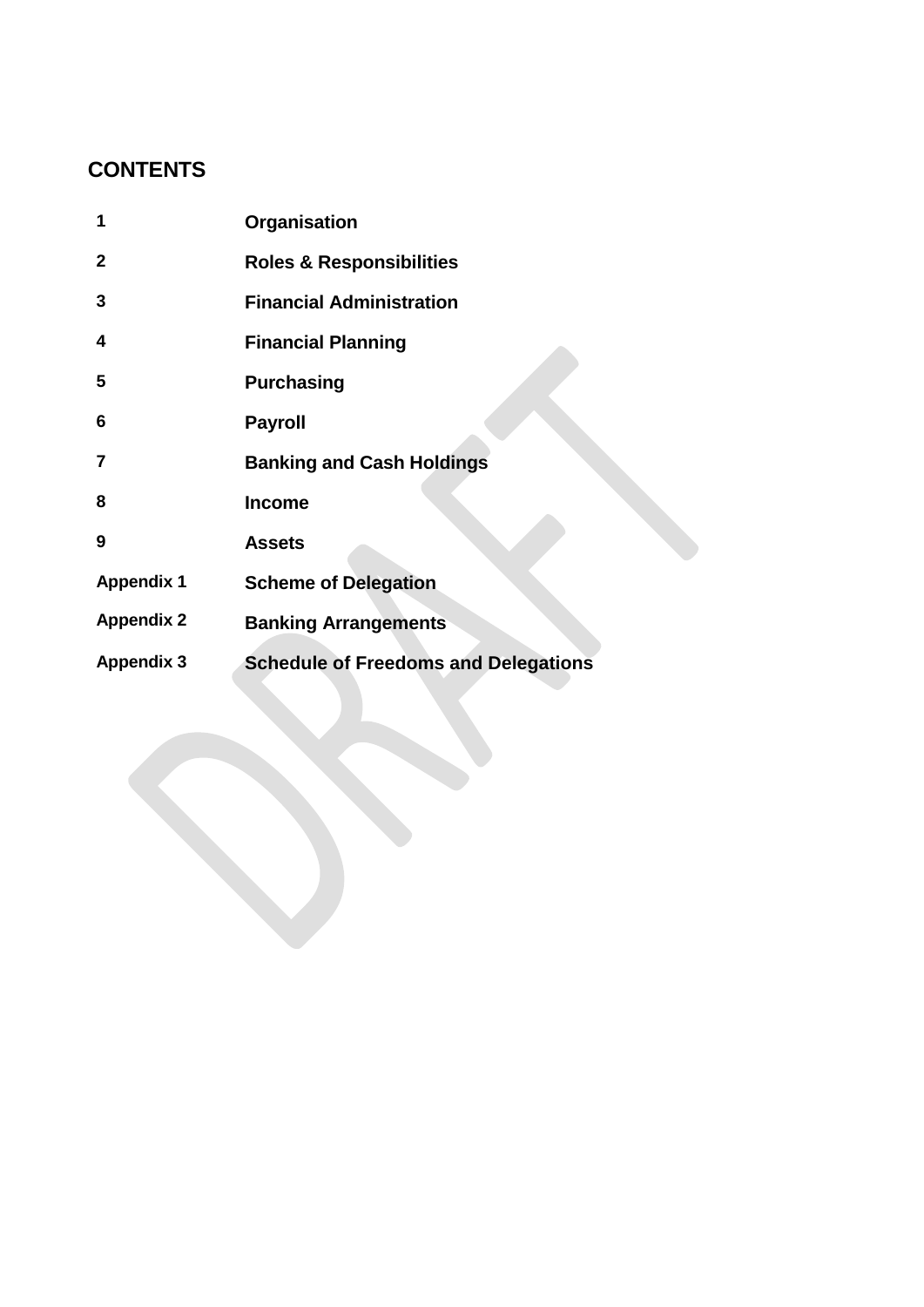# **CONTENTS**

| 1                 | Organisation                                |
|-------------------|---------------------------------------------|
| $\overline{2}$    | <b>Roles &amp; Responsibilities</b>         |
| 3                 | <b>Financial Administration</b>             |
| 4                 | <b>Financial Planning</b>                   |
| 5                 | <b>Purchasing</b>                           |
| 6                 | <b>Payroll</b>                              |
| 7                 | <b>Banking and Cash Holdings</b>            |
| 8                 | <b>Income</b>                               |
| 9                 | <b>Assets</b>                               |
| <b>Appendix 1</b> | <b>Scheme of Delegation</b>                 |
| <b>Appendix 2</b> | <b>Banking Arrangements</b>                 |
| <b>Appendix 3</b> | <b>Schedule of Freedoms and Delegations</b> |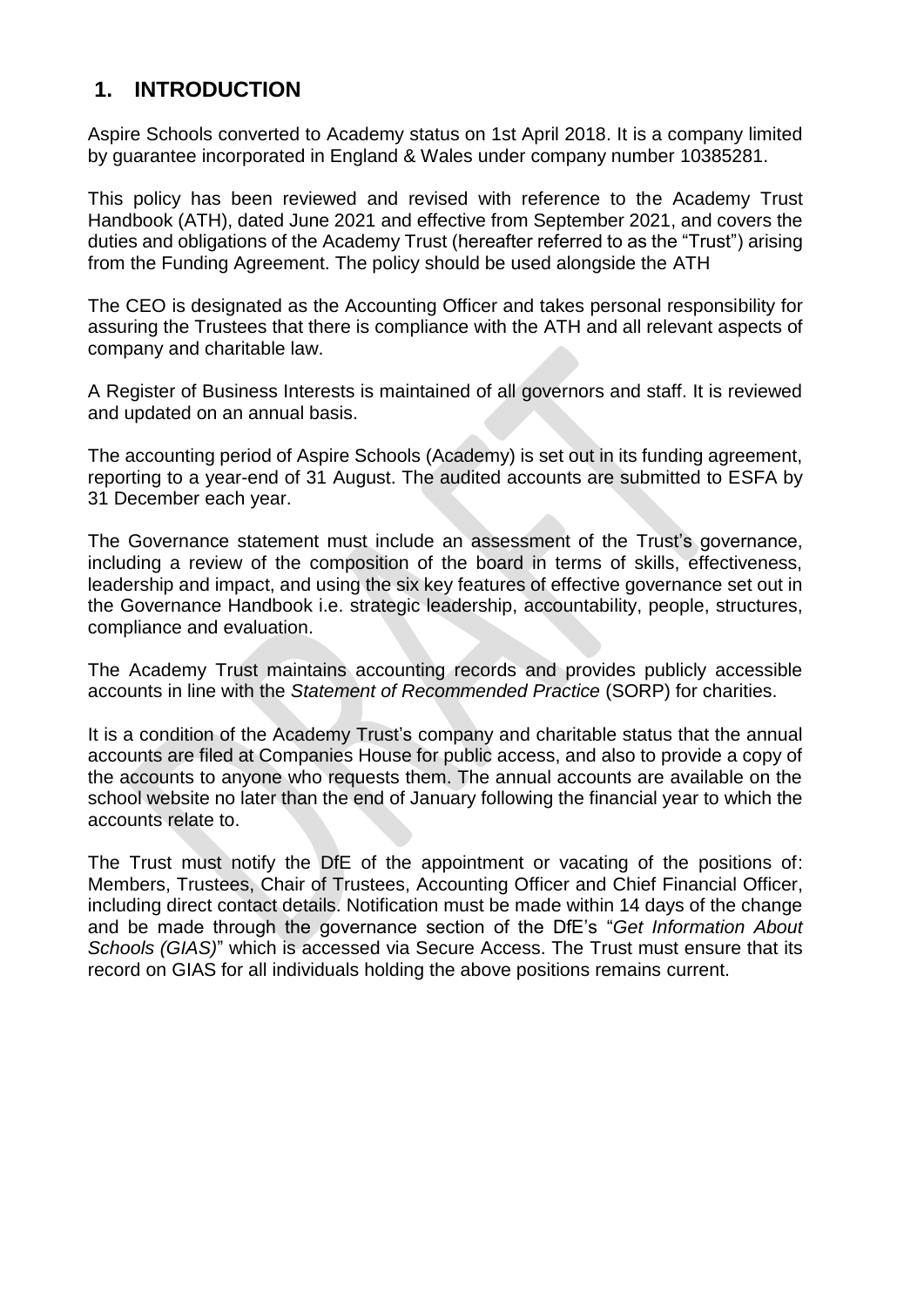# **1. INTRODUCTION**

Aspire Schools converted to Academy status on 1st April 2018. It is a company limited by guarantee incorporated in England & Wales under company number 10385281.

This policy has been reviewed and revised with reference to the Academy Trust Handbook (ATH), dated June 2021 and effective from September 2021, and covers the duties and obligations of the Academy Trust (hereafter referred to as the "Trust") arising from the Funding Agreement. The policy should be used alongside the ATH

The CEO is designated as the Accounting Officer and takes personal responsibility for assuring the Trustees that there is compliance with the ATH and all relevant aspects of company and charitable law.

A Register of Business Interests is maintained of all governors and staff. It is reviewed and updated on an annual basis.

The accounting period of Aspire Schools (Academy) is set out in its funding agreement, reporting to a year-end of 31 August. The audited accounts are submitted to ESFA by 31 December each year.

The Governance statement must include an assessment of the Trust's governance, including a review of the composition of the board in terms of skills, effectiveness, leadership and impact, and using the six key features of effective governance set out in the Governance Handbook i.e. strategic leadership, accountability, people, structures, compliance and evaluation.

The Academy Trust maintains accounting records and provides publicly accessible accounts in line with the *Statement of Recommended Practice* (SORP) for charities.

It is a condition of the Academy Trust's company and charitable status that the annual accounts are filed at Companies House for public access, and also to provide a copy of the accounts to anyone who requests them. The annual accounts are available on the school website no later than the end of January following the financial year to which the accounts relate to.

The Trust must notify the DfE of the appointment or vacating of the positions of: Members, Trustees, Chair of Trustees, Accounting Officer and Chief Financial Officer, including direct contact details. Notification must be made within 14 days of the change and be made through the governance section of the DfE's "*Get Information About Schools (GIAS)*" which is accessed via Secure Access. The Trust must ensure that its record on GIAS for all individuals holding the above positions remains current.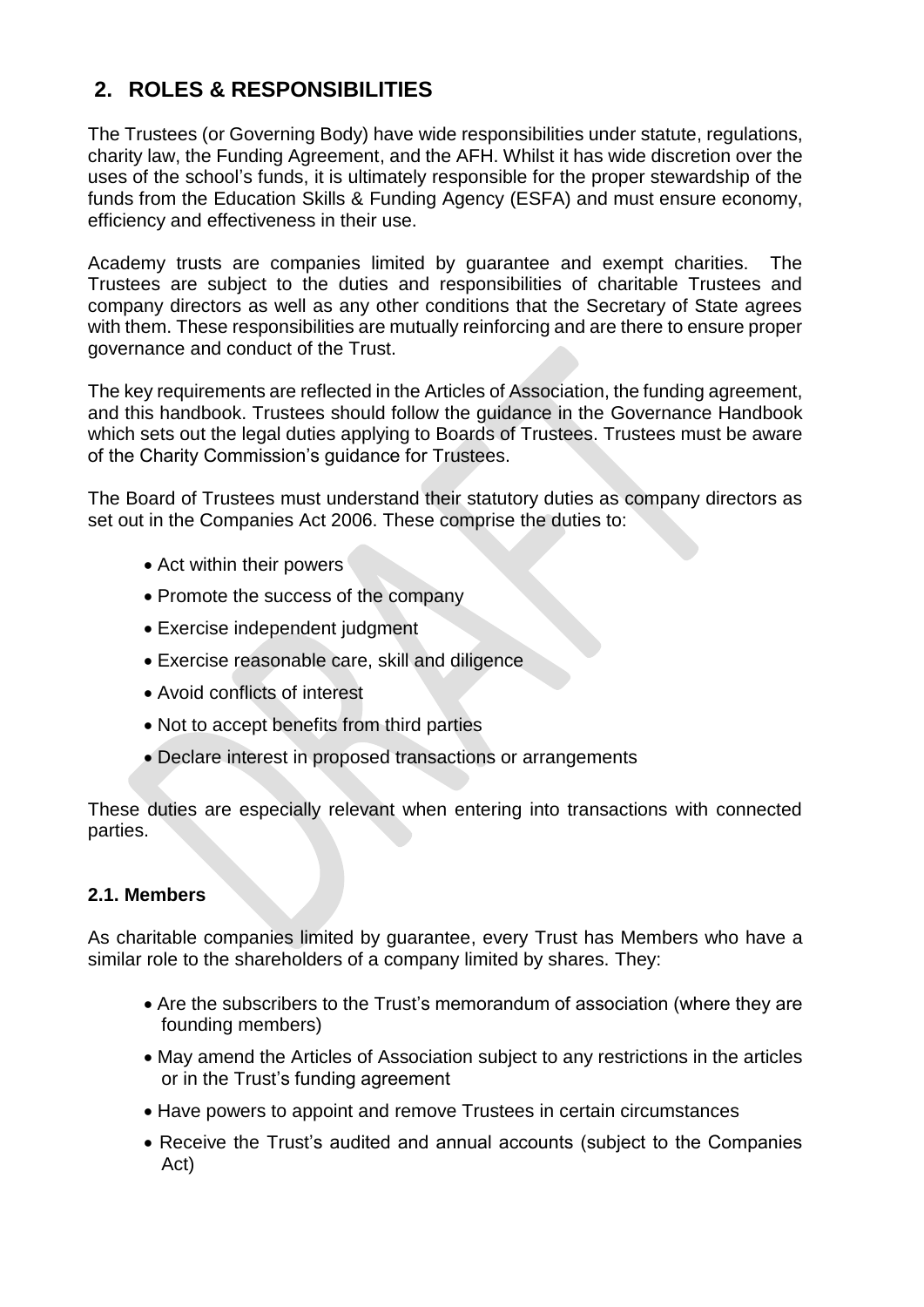# **2. ROLES & RESPONSIBILITIES**

The Trustees (or Governing Body) have wide responsibilities under statute, regulations, charity law, the Funding Agreement, and the AFH. Whilst it has wide discretion over the uses of the school's funds, it is ultimately responsible for the proper stewardship of the funds from the Education Skills & Funding Agency (ESFA) and must ensure economy, efficiency and effectiveness in their use.

Academy trusts are companies limited by guarantee and exempt charities. The Trustees are subject to the duties and responsibilities of charitable Trustees and company directors as well as any other conditions that the Secretary of State agrees with them. These responsibilities are mutually reinforcing and are there to ensure proper governance and conduct of the Trust.

The key requirements are reflected in the Articles of Association, the funding agreement, and this handbook. Trustees should follow the guidance in the Governance Handbook which sets out the legal duties applying to Boards of Trustees. Trustees must be aware of the Charity Commission's guidance for Trustees.

The Board of Trustees must understand their statutory duties as company directors as set out in the Companies Act 2006. These comprise the duties to:

- Act within their powers
- Promote the success of the company
- Exercise independent judgment
- Exercise reasonable care, skill and diligence
- Avoid conflicts of interest
- Not to accept benefits from third parties
- Declare interest in proposed transactions or arrangements

These duties are especially relevant when entering into transactions with connected parties.

### **2.1. Members**

As charitable companies limited by guarantee, every Trust has Members who have a similar role to the shareholders of a company limited by shares. They:

- Are the subscribers to the Trust's memorandum of association (where they are founding members)
- May amend the Articles of Association subject to any restrictions in the articles or in the Trust's funding agreement
- Have powers to appoint and remove Trustees in certain circumstances
- Receive the Trust's audited and annual accounts (subject to the Companies Act)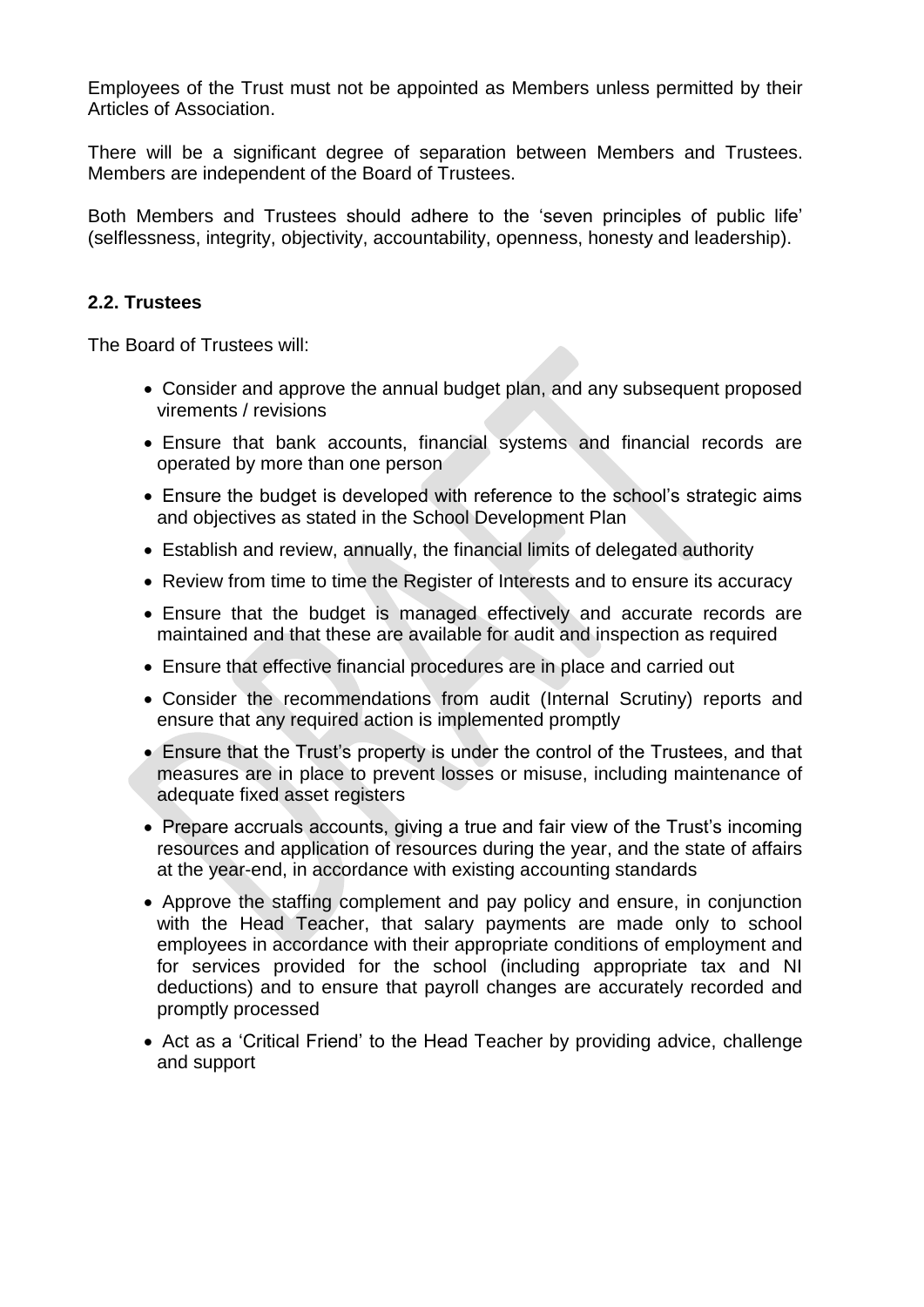Employees of the Trust must not be appointed as Members unless permitted by their Articles of Association.

There will be a significant degree of separation between Members and Trustees. Members are independent of the Board of Trustees.

Both Members and Trustees should adhere to the 'seven principles of public life' (selflessness, integrity, objectivity, accountability, openness, honesty and leadership).

### **2.2. Trustees**

The Board of Trustees will:

- Consider and approve the annual budget plan, and any subsequent proposed virements / revisions
- Ensure that bank accounts, financial systems and financial records are operated by more than one person
- Ensure the budget is developed with reference to the school's strategic aims and objectives as stated in the School Development Plan
- Establish and review, annually, the financial limits of delegated authority
- Review from time to time the Register of Interests and to ensure its accuracy
- Ensure that the budget is managed effectively and accurate records are maintained and that these are available for audit and inspection as required
- Ensure that effective financial procedures are in place and carried out
- Consider the recommendations from audit (Internal Scrutiny) reports and ensure that any required action is implemented promptly
- Ensure that the Trust's property is under the control of the Trustees, and that measures are in place to prevent losses or misuse, including maintenance of adequate fixed asset registers
- Prepare accruals accounts, giving a true and fair view of the Trust's incoming resources and application of resources during the year, and the state of affairs at the year-end, in accordance with existing accounting standards
- Approve the staffing complement and pay policy and ensure, in conjunction with the Head Teacher, that salary payments are made only to school employees in accordance with their appropriate conditions of employment and for services provided for the school (including appropriate tax and NI deductions) and to ensure that payroll changes are accurately recorded and promptly processed
- Act as a 'Critical Friend' to the Head Teacher by providing advice, challenge and support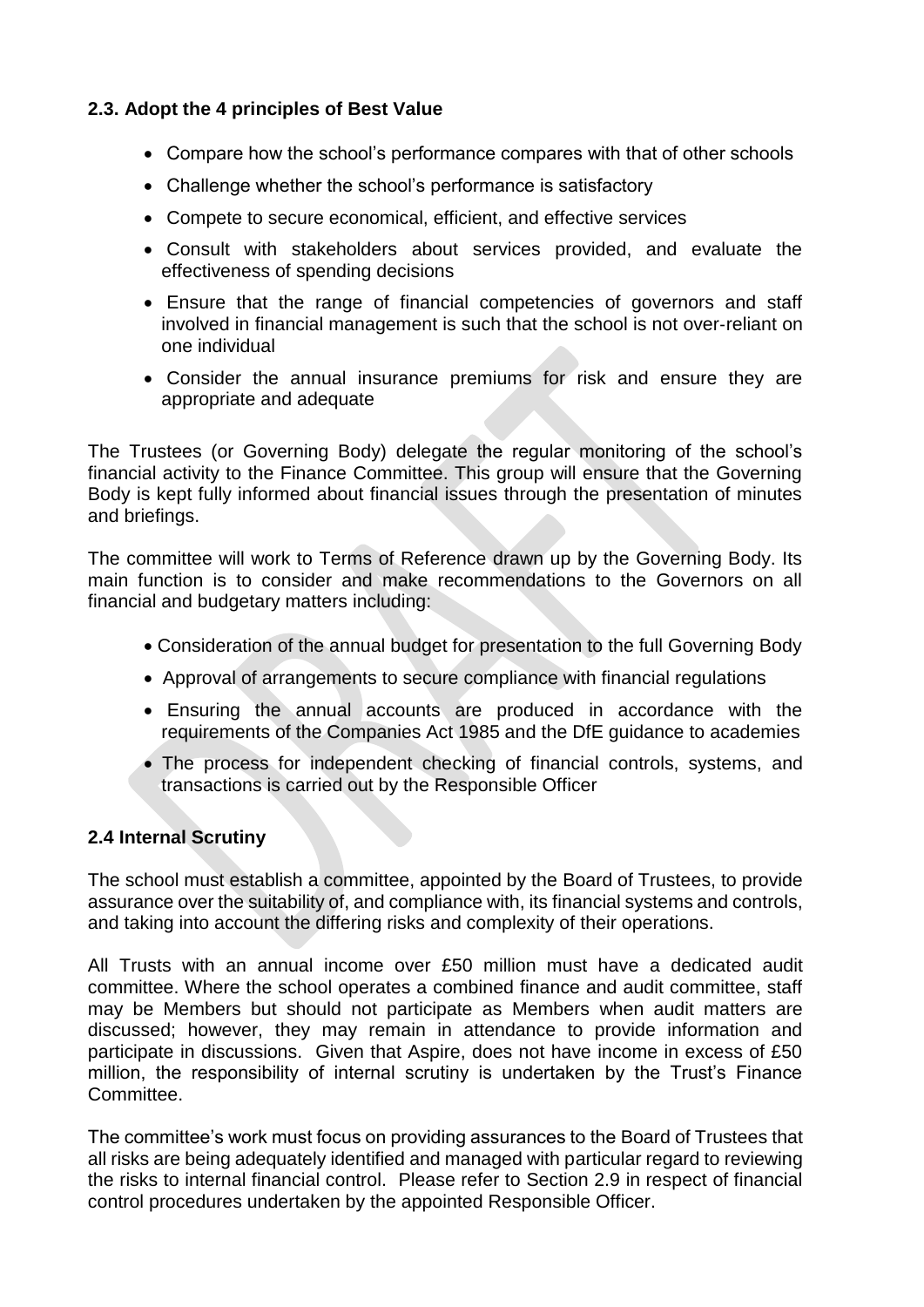### **2.3. Adopt the 4 principles of Best Value**

- Compare how the school's performance compares with that of other schools
- Challenge whether the school's performance is satisfactory
- Compete to secure economical, efficient, and effective services
- Consult with stakeholders about services provided, and evaluate the effectiveness of spending decisions
- Ensure that the range of financial competencies of governors and staff involved in financial management is such that the school is not over‐reliant on one individual
- Consider the annual insurance premiums for risk and ensure they are appropriate and adequate

The Trustees (or Governing Body) delegate the regular monitoring of the school's financial activity to the Finance Committee. This group will ensure that the Governing Body is kept fully informed about financial issues through the presentation of minutes and briefings.

The committee will work to Terms of Reference drawn up by the Governing Body. Its main function is to consider and make recommendations to the Governors on all financial and budgetary matters including:

- Consideration of the annual budget for presentation to the full Governing Body
- Approval of arrangements to secure compliance with financial regulations
- Ensuring the annual accounts are produced in accordance with the requirements of the Companies Act 1985 and the DfE guidance to academies
- The process for independent checking of financial controls, systems, and transactions is carried out by the Responsible Officer

### **2.4 Internal Scrutiny**

The school must establish a committee, appointed by the Board of Trustees, to provide assurance over the suitability of, and compliance with, its financial systems and controls, and taking into account the differing risks and complexity of their operations.

All Trusts with an annual income over £50 million must have a dedicated audit committee. Where the school operates a combined finance and audit committee, staff may be Members but should not participate as Members when audit matters are discussed; however, they may remain in attendance to provide information and participate in discussions. Given that Aspire, does not have income in excess of £50 million, the responsibility of internal scrutiny is undertaken by the Trust's Finance Committee.

The committee's work must focus on providing assurances to the Board of Trustees that all risks are being adequately identified and managed with particular regard to reviewing the risks to internal financial control. Please refer to Section 2.9 in respect of financial control procedures undertaken by the appointed Responsible Officer.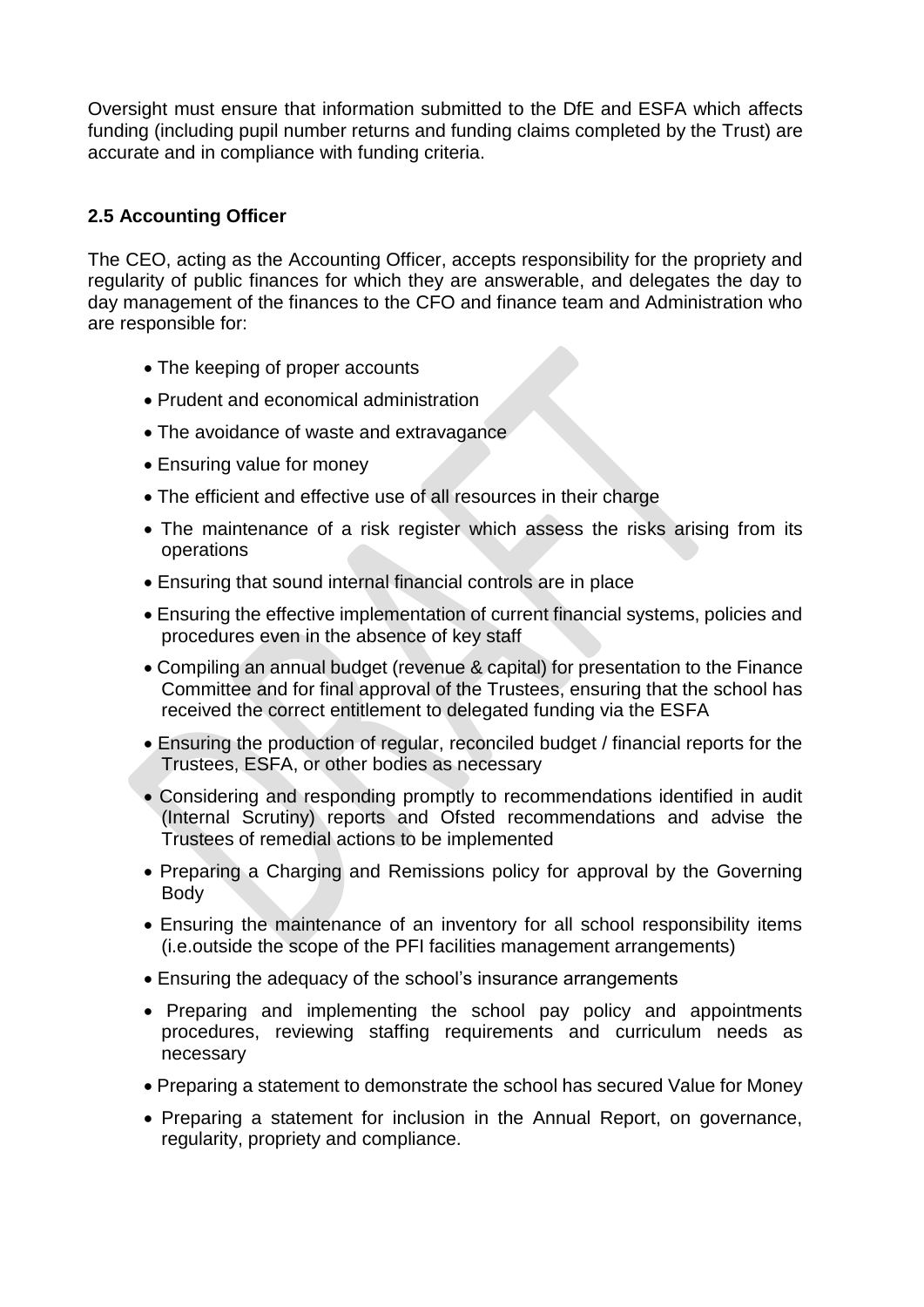Oversight must ensure that information submitted to the DfE and ESFA which affects funding (including pupil number returns and funding claims completed by the Trust) are accurate and in compliance with funding criteria.

### **2.5 Accounting Officer**

The CEO, acting as the Accounting Officer, accepts responsibility for the propriety and regularity of public finances for which they are answerable, and delegates the day to day management of the finances to the CFO and finance team and Administration who are responsible for:

- The keeping of proper accounts
- Prudent and economical administration
- The avoidance of waste and extravagance
- Ensuring value for money
- The efficient and effective use of all resources in their charge
- The maintenance of a risk register which assess the risks arising from its operations
- Ensuring that sound internal financial controls are in place
- Ensuring the effective implementation of current financial systems, policies and procedures even in the absence of key staff
- Compiling an annual budget (revenue & capital) for presentation to the Finance Committee and for final approval of the Trustees, ensuring that the school has received the correct entitlement to delegated funding via the ESFA
- Ensuring the production of regular, reconciled budget / financial reports for the Trustees, ESFA, or other bodies as necessary
- Considering and responding promptly to recommendations identified in audit (Internal Scrutiny) reports and Ofsted recommendations and advise the Trustees of remedial actions to be implemented
- Preparing a Charging and Remissions policy for approval by the Governing Body
- Ensuring the maintenance of an inventory for all school responsibility items (i.e.outside the scope of the PFI facilities management arrangements)
- Ensuring the adequacy of the school's insurance arrangements
- Preparing and implementing the school pay policy and appointments procedures, reviewing staffing requirements and curriculum needs as necessary
- Preparing a statement to demonstrate the school has secured Value for Money
- Preparing a statement for inclusion in the Annual Report, on governance, regularity, propriety and compliance.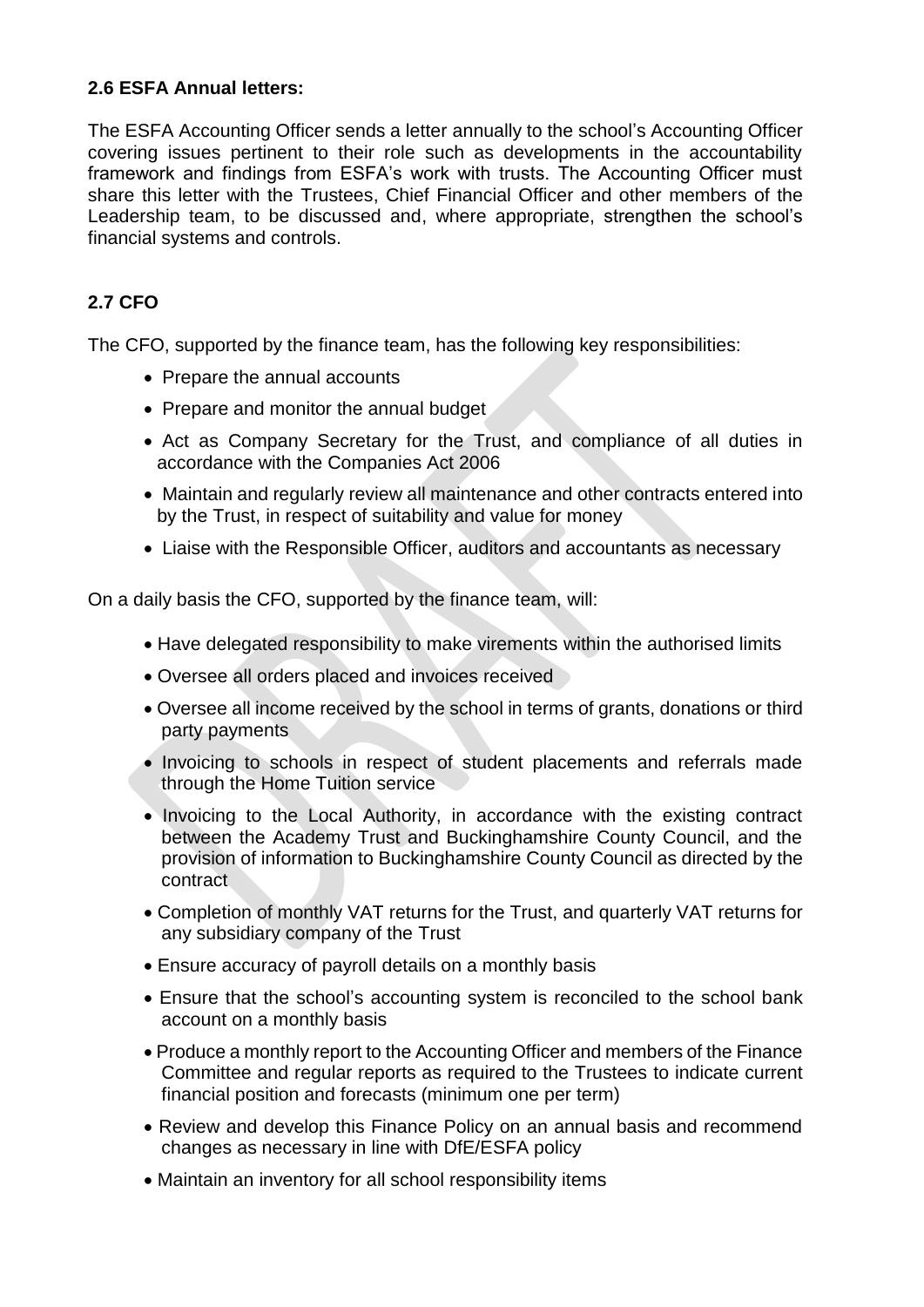### **2.6 ESFA Annual letters:**

The ESFA Accounting Officer sends a letter annually to the school's Accounting Officer covering issues pertinent to their role such as developments in the accountability framework and findings from ESFA's work with trusts. The Accounting Officer must share this letter with the Trustees, Chief Financial Officer and other members of the Leadership team, to be discussed and, where appropriate, strengthen the school's financial systems and controls.

# **2.7 CFO**

The CFO, supported by the finance team, has the following key responsibilities:

- Prepare the annual accounts
- Prepare and monitor the annual budget
- Act as Company Secretary for the Trust, and compliance of all duties in accordance with the Companies Act 2006
- Maintain and regularly review all maintenance and other contracts entered into by the Trust, in respect of suitability and value for money
- Liaise with the Responsible Officer, auditors and accountants as necessary

On a daily basis the CFO, supported by the finance team, will:

- Have delegated responsibility to make virements within the authorised limits
- Oversee all orders placed and invoices received
- Oversee all income received by the school in terms of grants, donations or third party payments
- Invoicing to schools in respect of student placements and referrals made through the Home Tuition service
- Invoicing to the Local Authority, in accordance with the existing contract between the Academy Trust and Buckinghamshire County Council, and the provision of information to Buckinghamshire County Council as directed by the contract
- Completion of monthly VAT returns for the Trust, and quarterly VAT returns for any subsidiary company of the Trust
- Ensure accuracy of payroll details on a monthly basis
- Ensure that the school's accounting system is reconciled to the school bank account on a monthly basis
- Produce a monthly report to the Accounting Officer and members of the Finance Committee and regular reports as required to the Trustees to indicate current financial position and forecasts (minimum one per term)
- Review and develop this Finance Policy on an annual basis and recommend changes as necessary in line with DfE/ESFA policy
- Maintain an inventory for all school responsibility items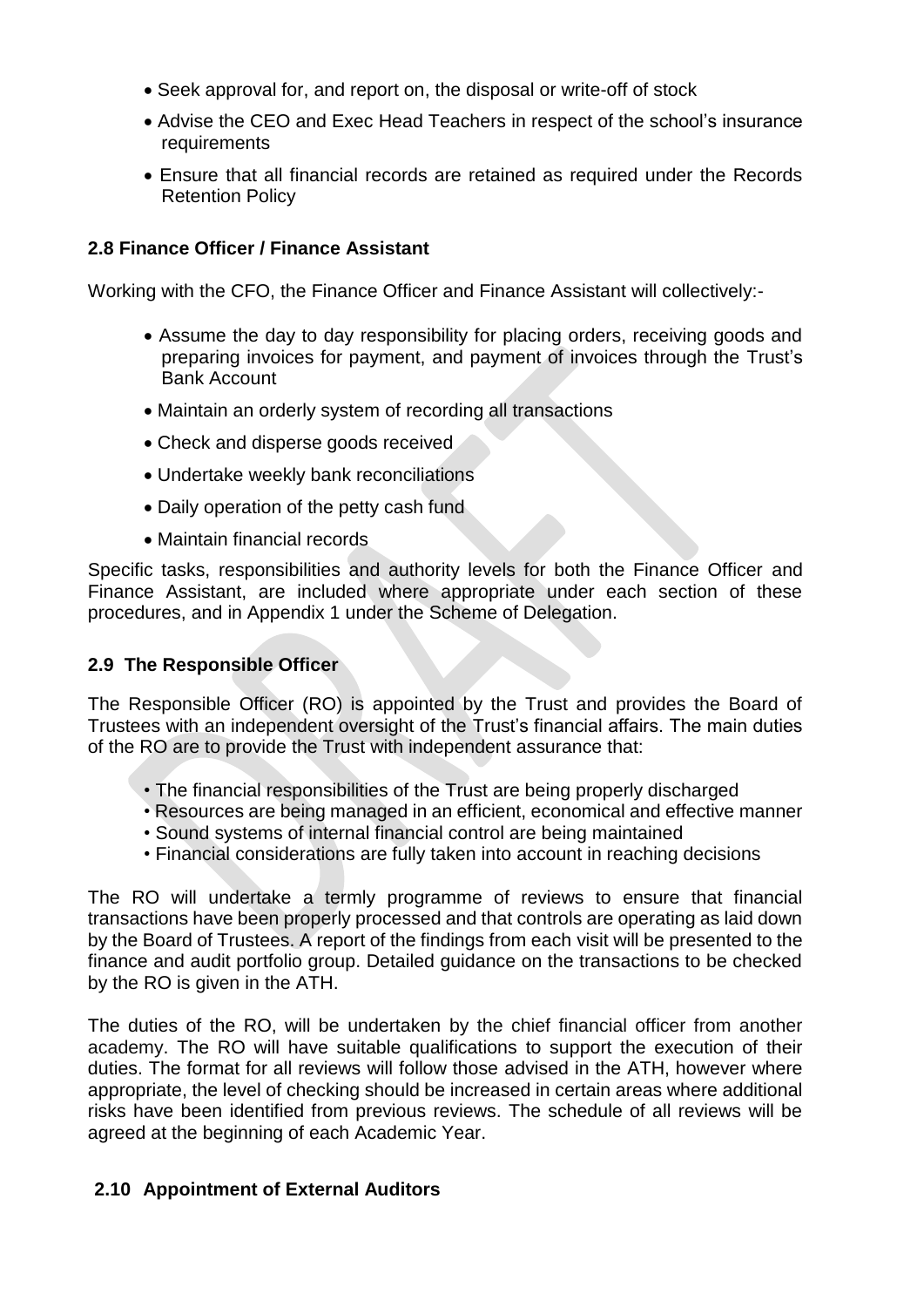- Seek approval for, and report on, the disposal or write-off of stock
- Advise the CEO and Exec Head Teachers in respect of the school's insurance requirements
- Ensure that all financial records are retained as required under the Records Retention Policy

### **2.8 Finance Officer / Finance Assistant**

Working with the CFO, the Finance Officer and Finance Assistant will collectively:-

- Assume the day to day responsibility for placing orders, receiving goods and preparing invoices for payment, and payment of invoices through the Trust's Bank Account
- Maintain an orderly system of recording all transactions
- Check and disperse goods received
- Undertake weekly bank reconciliations
- Daily operation of the petty cash fund
- Maintain financial records

Specific tasks, responsibilities and authority levels for both the Finance Officer and Finance Assistant, are included where appropriate under each section of these procedures, and in Appendix 1 under the Scheme of Delegation.

### **2.9 The Responsible Officer**

The Responsible Officer (RO) is appointed by the Trust and provides the Board of Trustees with an independent oversight of the Trust's financial affairs. The main duties of the RO are to provide the Trust with independent assurance that:

- The financial responsibilities of the Trust are being properly discharged
- Resources are being managed in an efficient, economical and effective manner
- Sound systems of internal financial control are being maintained
- Financial considerations are fully taken into account in reaching decisions

The RO will undertake a termly programme of reviews to ensure that financial transactions have been properly processed and that controls are operating as laid down by the Board of Trustees. A report of the findings from each visit will be presented to the finance and audit portfolio group. Detailed guidance on the transactions to be checked by the RO is given in the ATH.

The duties of the RO, will be undertaken by the chief financial officer from another academy. The RO will have suitable qualifications to support the execution of their duties. The format for all reviews will follow those advised in the ATH, however where appropriate, the level of checking should be increased in certain areas where additional risks have been identified from previous reviews. The schedule of all reviews will be agreed at the beginning of each Academic Year.

### **2.10 Appointment of External Auditors**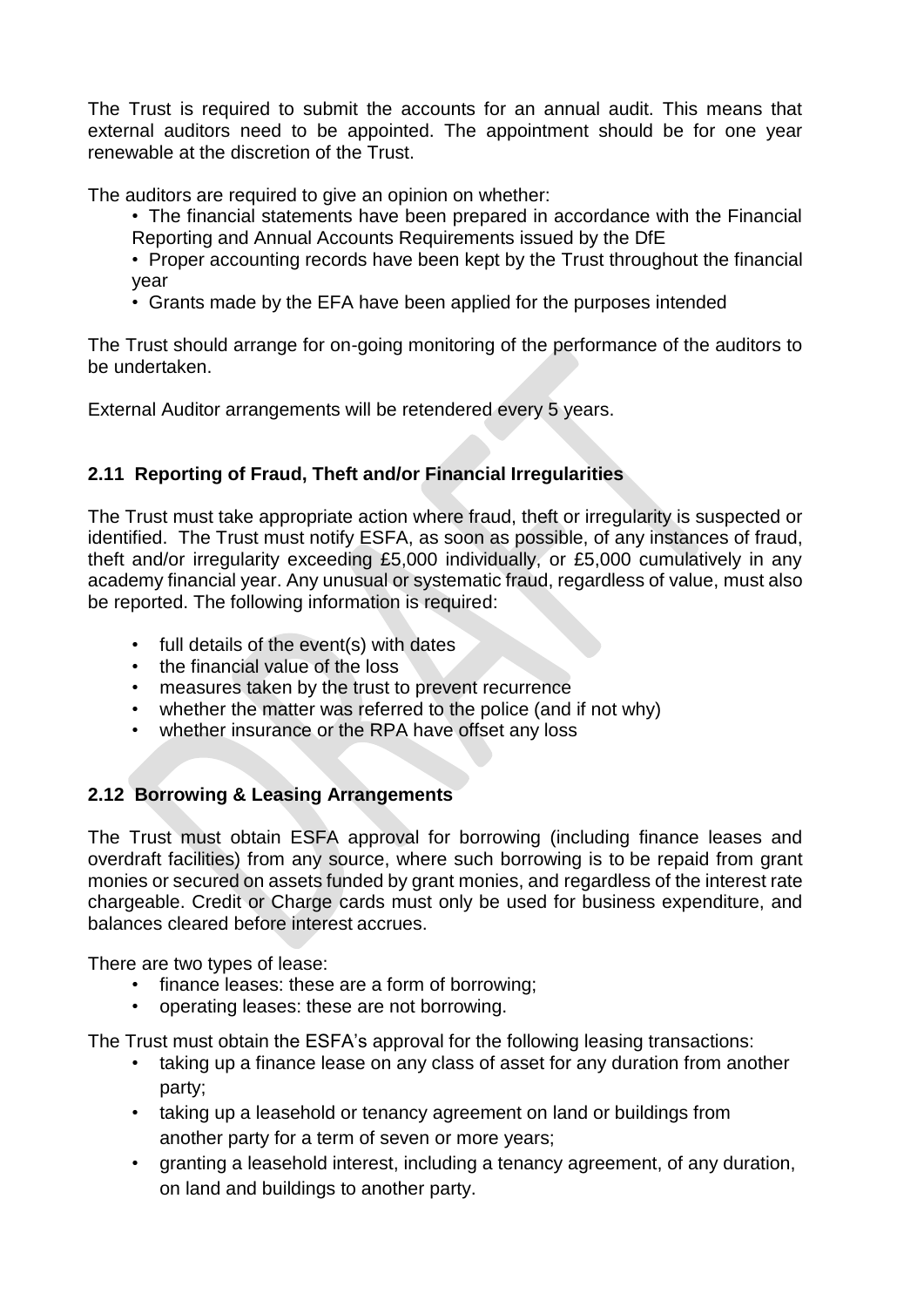The Trust is required to submit the accounts for an annual audit. This means that external auditors need to be appointed. The appointment should be for one year renewable at the discretion of the Trust.

The auditors are required to give an opinion on whether:

- The financial statements have been prepared in accordance with the Financial Reporting and Annual Accounts Requirements issued by the DfE
- Proper accounting records have been kept by the Trust throughout the financial year
- Grants made by the EFA have been applied for the purposes intended

The Trust should arrange for on-going monitoring of the performance of the auditors to be undertaken.

External Auditor arrangements will be retendered every 5 years.

# **2.11 Reporting of Fraud, Theft and/or Financial Irregularities**

The Trust must take appropriate action where fraud, theft or irregularity is suspected or identified. The Trust must notify [ESFA,](http://www.education.gov.uk/kc-enquiry-form) as soon as possible, of any instances of fraud, theft and/or irregularity exceeding £5,000 individually, or £5,000 cumulatively in any academy financial year. Any unusual or systematic fraud, regardless of value, must also be reported. The following information is required:

- full details of the event(s) with dates
- the financial value of the loss
- measures taken by the trust to prevent recurrence
- whether the matter was referred to the police (and if not why)
- whether insurance or the RPA have offset any loss

### **2.12 Borrowing & Leasing Arrangements**

The Trust must obtain ESFA approval for borrowing (including finance leases and overdraft facilities) from any source, where such borrowing is to be repaid from grant monies or secured on assets funded by grant monies, and regardless of the interest rate chargeable. Credit or Charge cards must only be used for business expenditure, and balances cleared before interest accrues.

There are two types of lease:

- finance leases: these are a form of borrowing;
- operating leases: these are not borrowing.

The Trust must obtain [the ESFA's a](http://www.education.gov.uk/kc-enquiry-form)pproval for the following leasing transactions:

- taking up a finance lease on any class of asset for any duration from another party;
- taking up a leasehold or tenancy agreement on land or buildings from another party for a term of seven or more years;
- granting a leasehold interest, including a tenancy agreement, of any duration, on land and buildings to another party.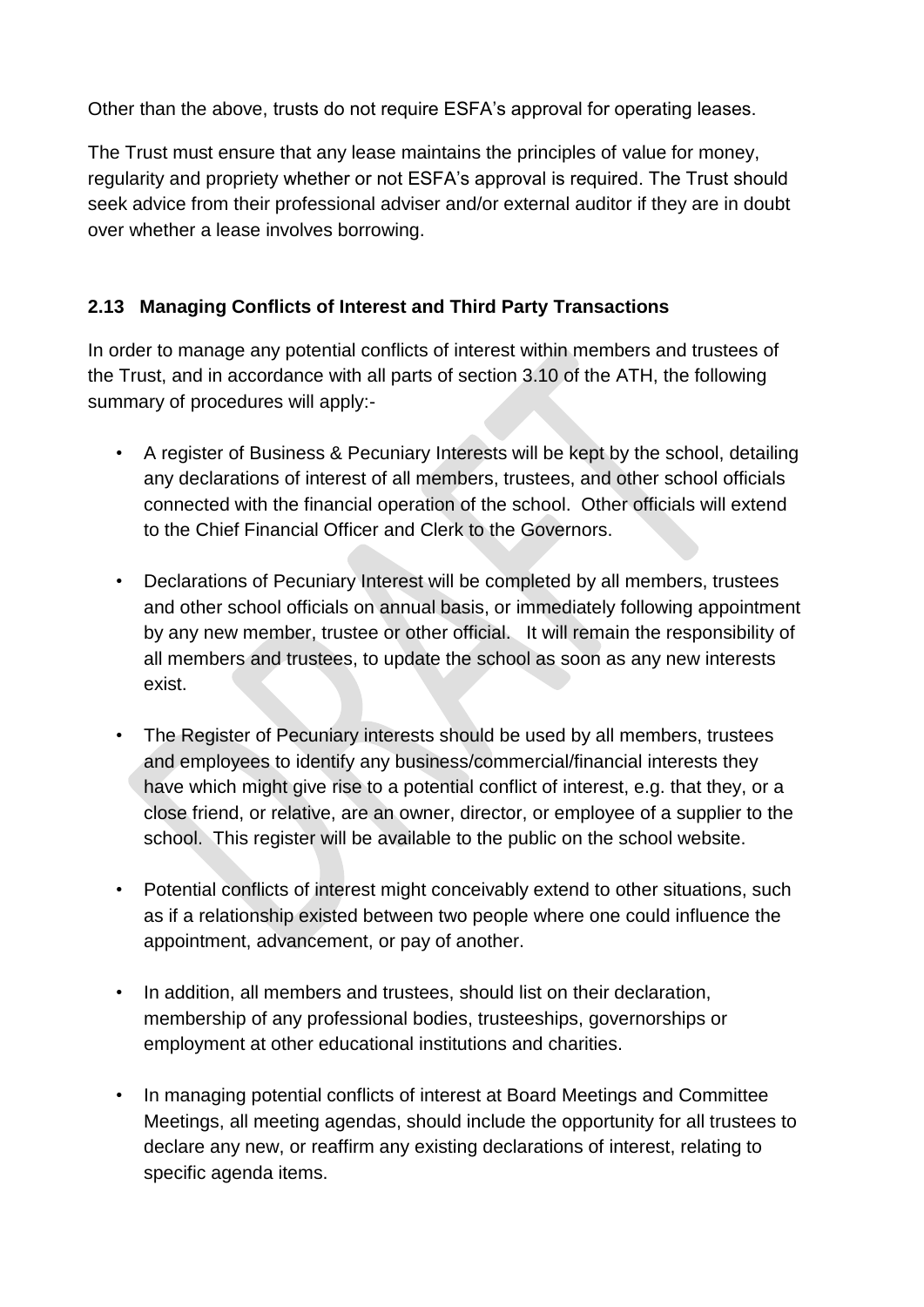Other than the above, trusts do not require ESFA's approval for operating leases.

The Trust must ensure that any lease maintains the principles of value for money, regularity and propriety whether or not ESFA's approval is required. The Trust should seek advice from their professional adviser and/or external auditor if they are in doubt over whether a lease involves borrowing.

# **2.13 Managing Conflicts of Interest and Third Party Transactions**

In order to manage any potential conflicts of interest within members and trustees of the Trust, and in accordance with all parts of section 3.10 of the ATH, the following summary of procedures will apply:-

- A register of Business & Pecuniary Interests will be kept by the school, detailing any declarations of interest of all members, trustees, and other school officials connected with the financial operation of the school. Other officials will extend to the Chief Financial Officer and Clerk to the Governors.
- Declarations of Pecuniary Interest will be completed by all members, trustees and other school officials on annual basis, or immediately following appointment by any new member, trustee or other official. It will remain the responsibility of all members and trustees, to update the school as soon as any new interests exist.
- The Register of Pecuniary interests should be used by all members, trustees and employees to identify any business/commercial/financial interests they have which might give rise to a potential conflict of interest, e.g. that they, or a close friend, or relative, are an owner, director, or employee of a supplier to the school. This register will be available to the public on the school website.
- Potential conflicts of interest might conceivably extend to other situations, such as if a relationship existed between two people where one could influence the appointment, advancement, or pay of another.
- In addition, all members and trustees, should list on their declaration, membership of any professional bodies, trusteeships, governorships or employment at other educational institutions and charities.
- In managing potential conflicts of interest at Board Meetings and Committee Meetings, all meeting agendas, should include the opportunity for all trustees to declare any new, or reaffirm any existing declarations of interest, relating to specific agenda items.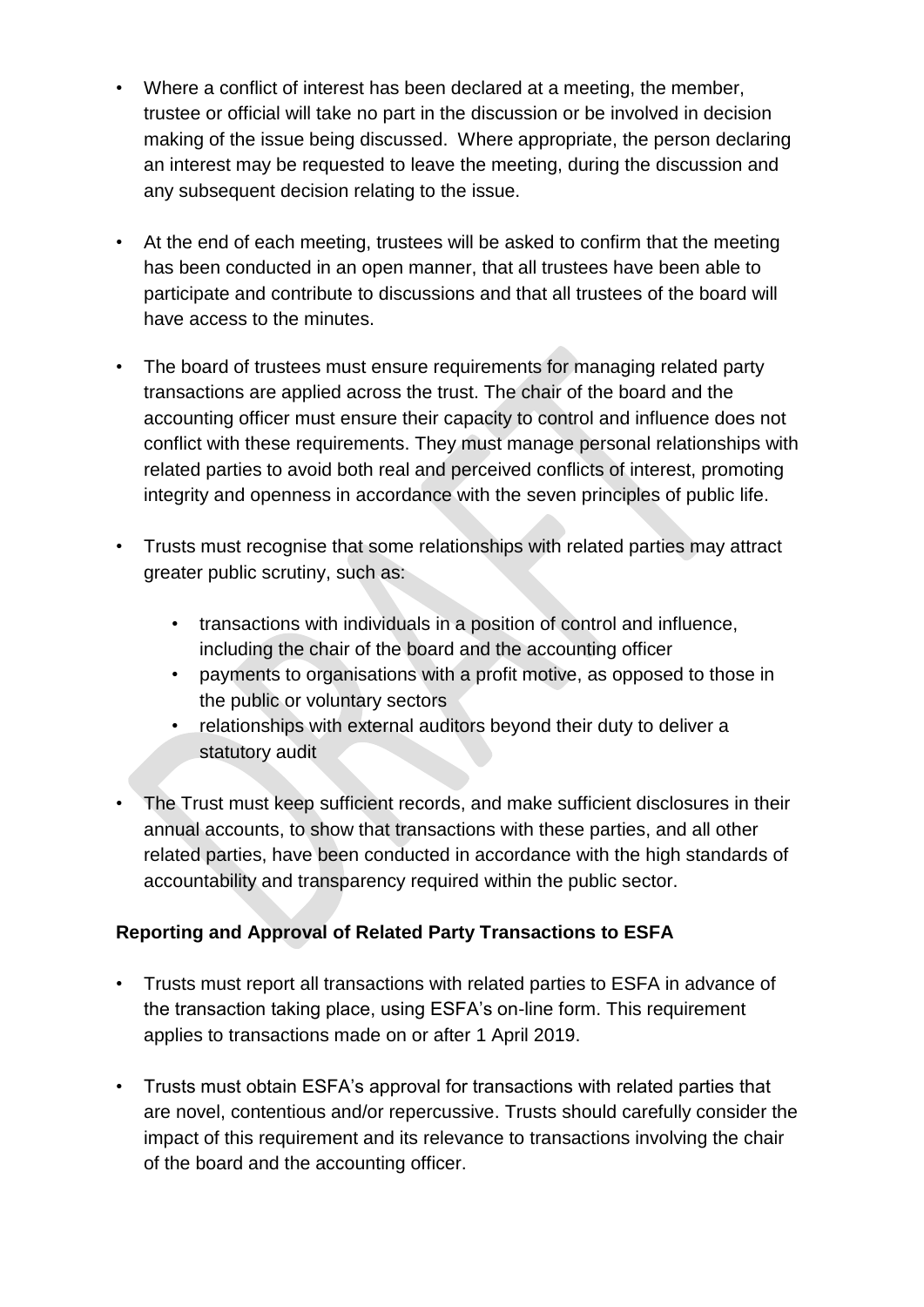- Where a conflict of interest has been declared at a meeting, the member, trustee or official will take no part in the discussion or be involved in decision making of the issue being discussed. Where appropriate, the person declaring an interest may be requested to leave the meeting, during the discussion and any subsequent decision relating to the issue.
- At the end of each meeting, trustees will be asked to confirm that the meeting has been conducted in an open manner, that all trustees have been able to participate and contribute to discussions and that all trustees of the board will have access to the minutes.
- The board of trustees must ensure requirements for managing related party transactions are applied across the trust. The chair of the board and the accounting officer must ensure their capacity to control and influence does not conflict with these requirements. They must manage personal relationships with related parties to avoid both real and perceived conflicts of interest, promoting integrity and openness in accordance with the [seven principles of public life.](https://www.gov.uk/government/publications/the-7-principles-of-public-life)
- Trusts must recognise that some relationships with related parties may attract greater public scrutiny, such as:
	- transactions with individuals in a position of control and influence, including the chair of the board and the accounting officer
	- payments to organisations with a profit motive, as opposed to those in the public or voluntary sectors
	- relationships with external auditors beyond their duty to deliver a statutory audit
- The Trust must keep sufficient records, and make sufficient disclosures in their annual accounts, to show that transactions with these parties, and all other related parties, have been conducted in accordance with the high standards of accountability and transparency required within the public sector.

# **Reporting and Approval of Related Party Transactions to ESFA**

- Trusts must report all transactions with related parties to ESFA in advance of the transaction taking place, using ESFA's on-line form. This requirement applies to transactions made on or after 1 April 2019.
- Trusts must obtain ESFA's approval for transactions with related parties that are novel, contentious and/or repercussive. Trusts should carefully consider the impact of this requirement and its relevance to transactions involving the chair of the board and the accounting officer.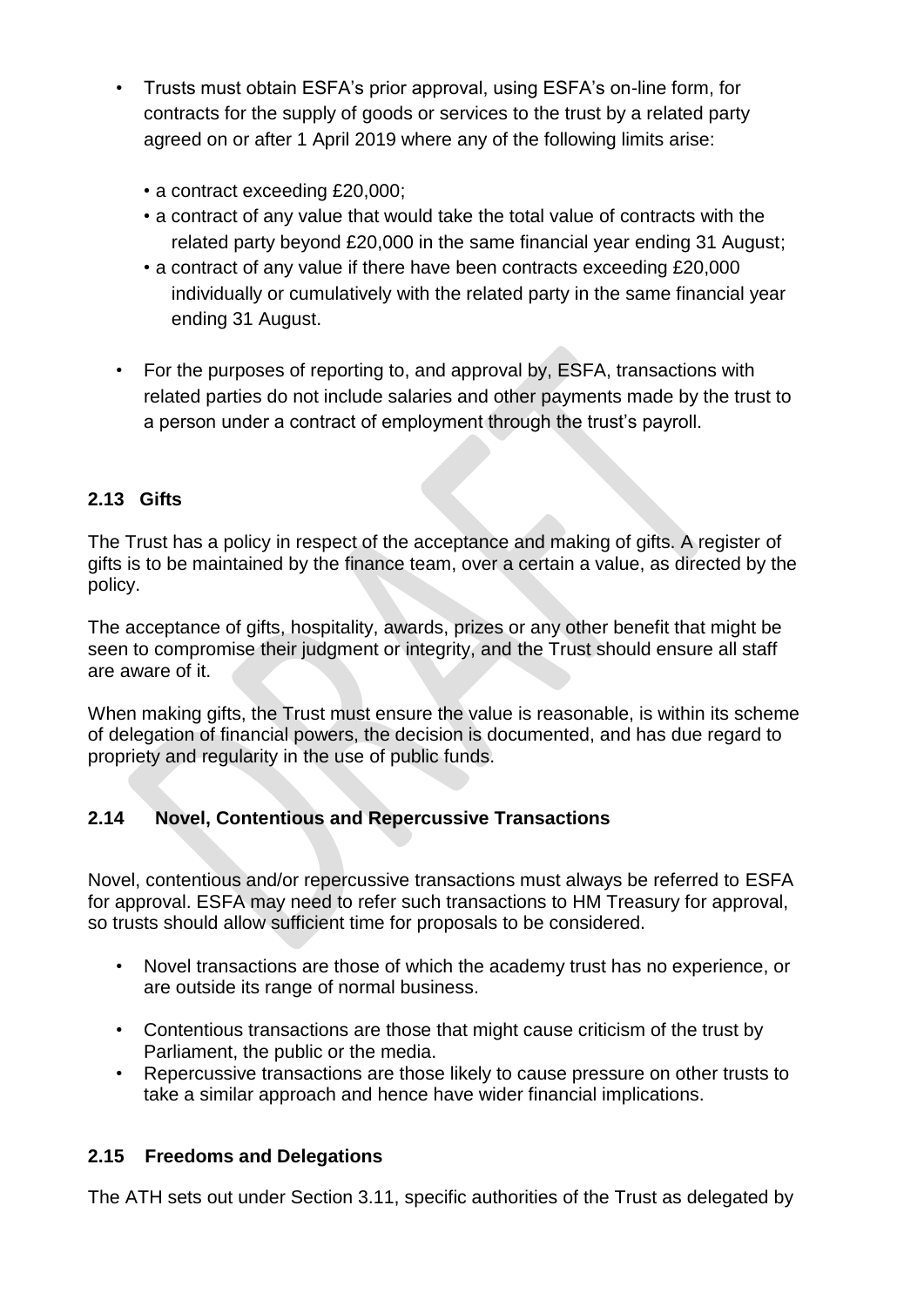- Trusts must obtain ESFA's prior approval, using ESFA's on-line form, for contracts for the supply of goods or services to the trust by a related party agreed on or after 1 April 2019 where any of the following limits arise:
	- a contract exceeding £20,000;
	- a contract of any value that would take the total value of contracts with the related party beyond £20,000 in the same financial year ending 31 August;
	- a contract of any value if there have been contracts exceeding £20,000 individually or cumulatively with the related party in the same financial year ending 31 August.
- For the purposes of reporting to, and approval by, ESFA, transactions with related parties do not include salaries and other payments made by the trust to a person under a contract of employment through the trust's payroll.

# **2.13 Gifts**

The Trust has a policy in respect of the acceptance and making of gifts. A register of gifts is to be maintained by the finance team, over a certain a value, as directed by the policy.

The acceptance of gifts, hospitality, awards, prizes or any other benefit that might be seen to compromise their judgment or integrity, and the Trust should ensure all staff are aware of it.

When making gifts, the Trust must ensure the value is reasonable, is within its scheme of delegation of financial powers, the decision is documented, and has due regard to propriety and regularity in the use of public funds.

# **2.14 Novel, Contentious and Repercussive Transactions**

Novel, contentious and/or repercussive transactions must always be referred to [ESFA](http://www.education.gov.uk/kc-enquiry-form)  for approval. ESFA may need to refer such transactions to HM Treasury for approval, so trusts should allow sufficient time for proposals to be considered.

- Novel transactions are those of which the academy trust has no experience, or are outside its range of normal business.
- Contentious transactions are those that might cause criticism of the trust by Parliament, the public or the media.
- Repercussive transactions are those likely to cause pressure on other trusts to take a similar approach and hence have wider financial implications.

### **2.15 Freedoms and Delegations**

The ATH sets out under Section 3.11, specific authorities of the Trust as delegated by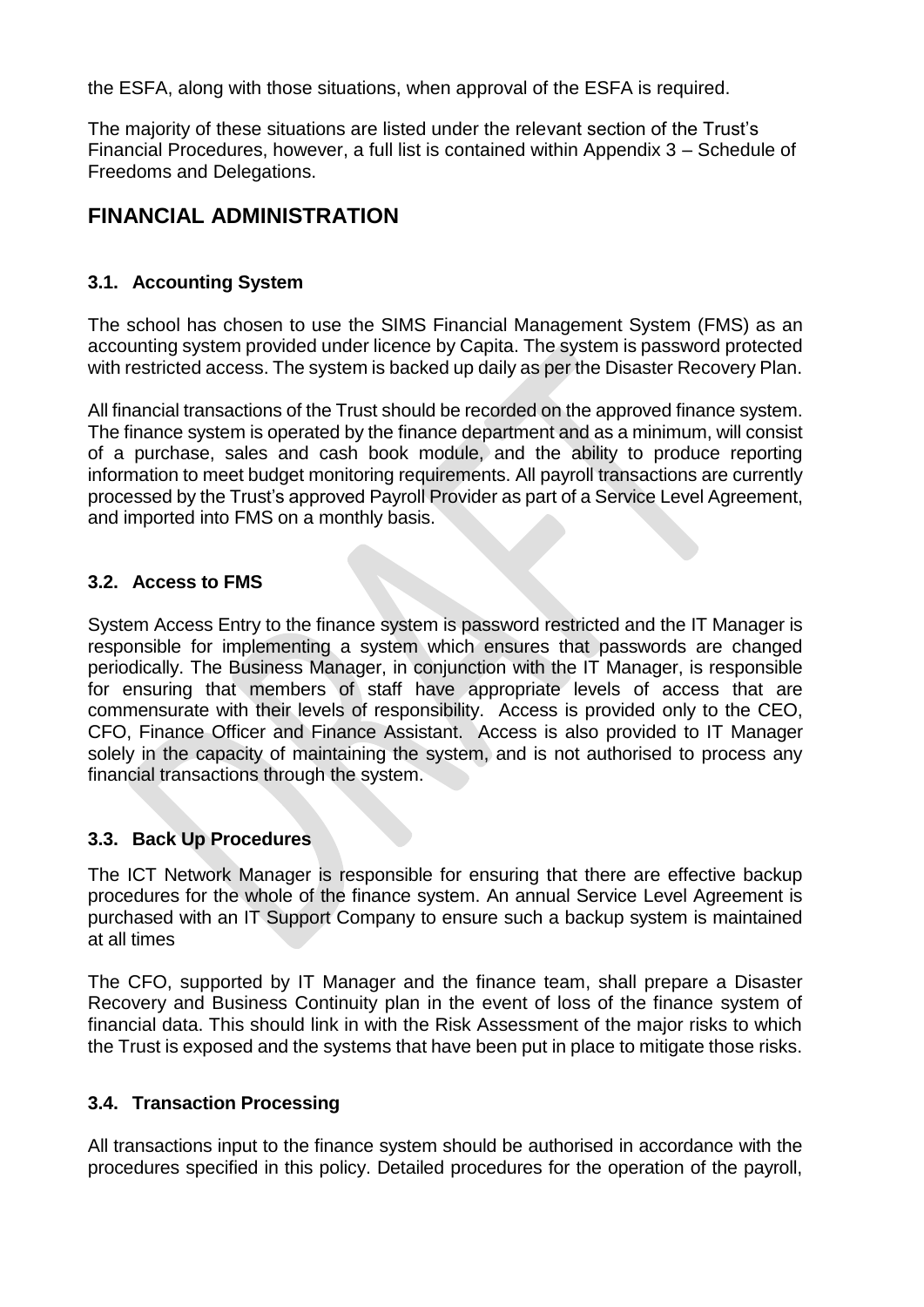the ESFA, along with those situations, when approval of the ESFA is required.

The majority of these situations are listed under the relevant section of the Trust's Financial Procedures, however, a full list is contained within Appendix 3 – Schedule of Freedoms and Delegations.

# **FINANCIAL ADMINISTRATION**

# **3.1. Accounting System**

The school has chosen to use the SIMS Financial Management System (FMS) as an accounting system provided under licence by Capita. The system is password protected with restricted access. The system is backed up daily as per the Disaster Recovery Plan.

All financial transactions of the Trust should be recorded on the approved finance system. The finance system is operated by the finance department and as a minimum, will consist of a purchase, sales and cash book module, and the ability to produce reporting information to meet budget monitoring requirements. All payroll transactions are currently processed by the Trust's approved Payroll Provider as part of a Service Level Agreement, and imported into FMS on a monthly basis.

### **3.2. Access to FMS**

System Access Entry to the finance system is password restricted and the IT Manager is responsible for implementing a system which ensures that passwords are changed periodically. The Business Manager, in conjunction with the IT Manager, is responsible for ensuring that members of staff have appropriate levels of access that are commensurate with their levels of responsibility. Access is provided only to the CEO, CFO, Finance Officer and Finance Assistant. Access is also provided to IT Manager solely in the capacity of maintaining the system, and is not authorised to process any financial transactions through the system.

### **3.3. Back Up Procedures**

The ICT Network Manager is responsible for ensuring that there are effective backup procedures for the whole of the finance system. An annual Service Level Agreement is purchased with an IT Support Company to ensure such a backup system is maintained at all times

The CFO, supported by IT Manager and the finance team, shall prepare a Disaster Recovery and Business Continuity plan in the event of loss of the finance system of financial data. This should link in with the Risk Assessment of the major risks to which the Trust is exposed and the systems that have been put in place to mitigate those risks.

### **3.4. Transaction Processing**

All transactions input to the finance system should be authorised in accordance with the procedures specified in this policy. Detailed procedures for the operation of the payroll,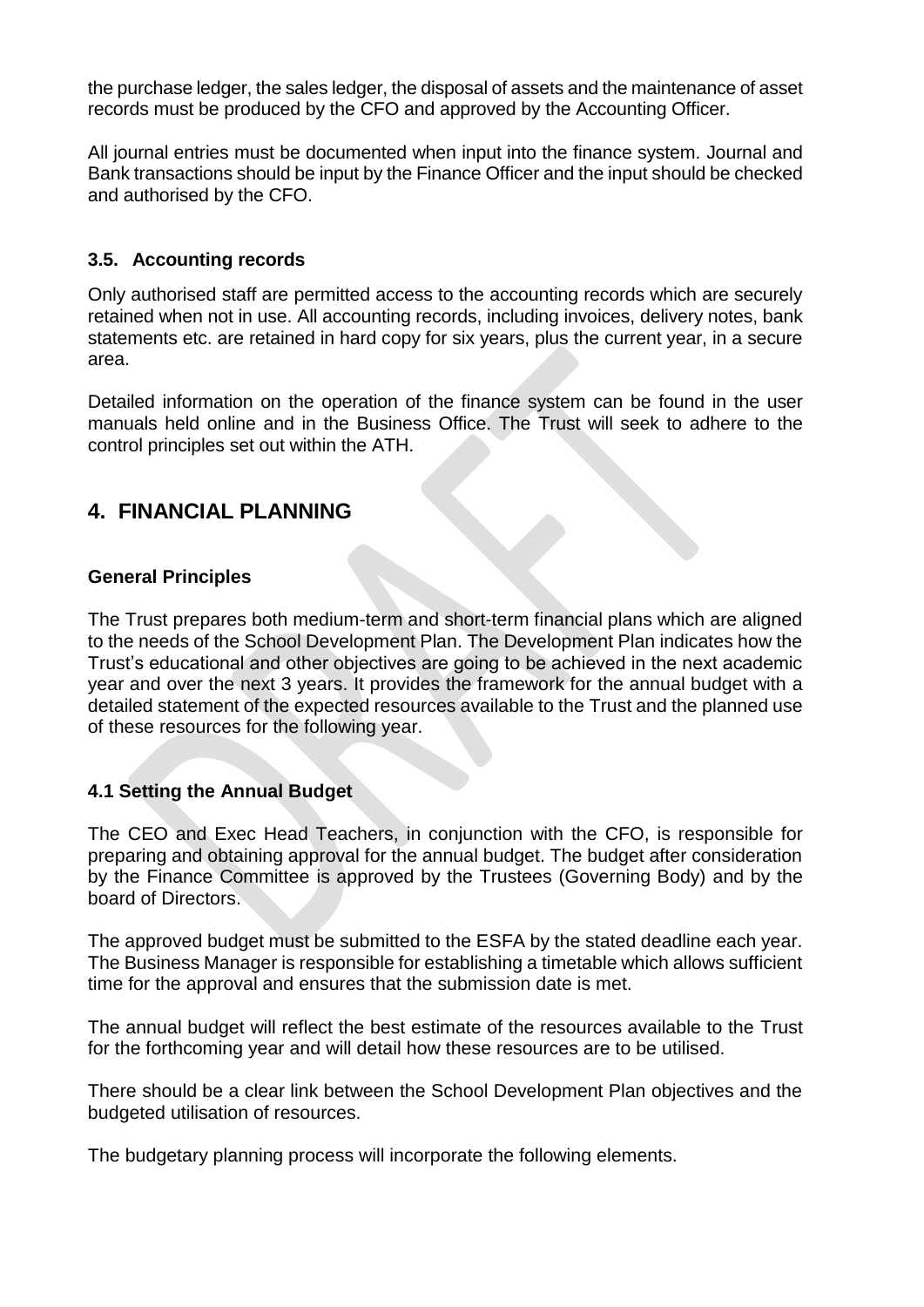the purchase ledger, the sales ledger, the disposal of assets and the maintenance of asset records must be produced by the CFO and approved by the Accounting Officer.

All journal entries must be documented when input into the finance system. Journal and Bank transactions should be input by the Finance Officer and the input should be checked and authorised by the CFO.

## **3.5. Accounting records**

Only authorised staff are permitted access to the accounting records which are securely retained when not in use. All accounting records, including invoices, delivery notes, bank statements etc. are retained in hard copy for six years, plus the current year, in a secure area.

Detailed information on the operation of the finance system can be found in the user manuals held online and in the Business Office. The Trust will seek to adhere to the control principles set out within the ATH.

# **4. FINANCIAL PLANNING**

### **General Principles**

The Trust prepares both medium-term and short-term financial plans which are aligned to the needs of the School Development Plan. The Development Plan indicates how the Trust's educational and other objectives are going to be achieved in the next academic year and over the next 3 years. It provides the framework for the annual budget with a detailed statement of the expected resources available to the Trust and the planned use of these resources for the following year.

### **4.1 Setting the Annual Budget**

The CEO and Exec Head Teachers, in conjunction with the CFO, is responsible for preparing and obtaining approval for the annual budget. The budget after consideration by the Finance Committee is approved by the Trustees (Governing Body) and by the board of Directors.

The approved budget must be submitted to the ESFA by the stated deadline each year. The Business Manager is responsible for establishing a timetable which allows sufficient time for the approval and ensures that the submission date is met.

The annual budget will reflect the best estimate of the resources available to the Trust for the forthcoming year and will detail how these resources are to be utilised.

There should be a clear link between the School Development Plan objectives and the budgeted utilisation of resources.

The budgetary planning process will incorporate the following elements.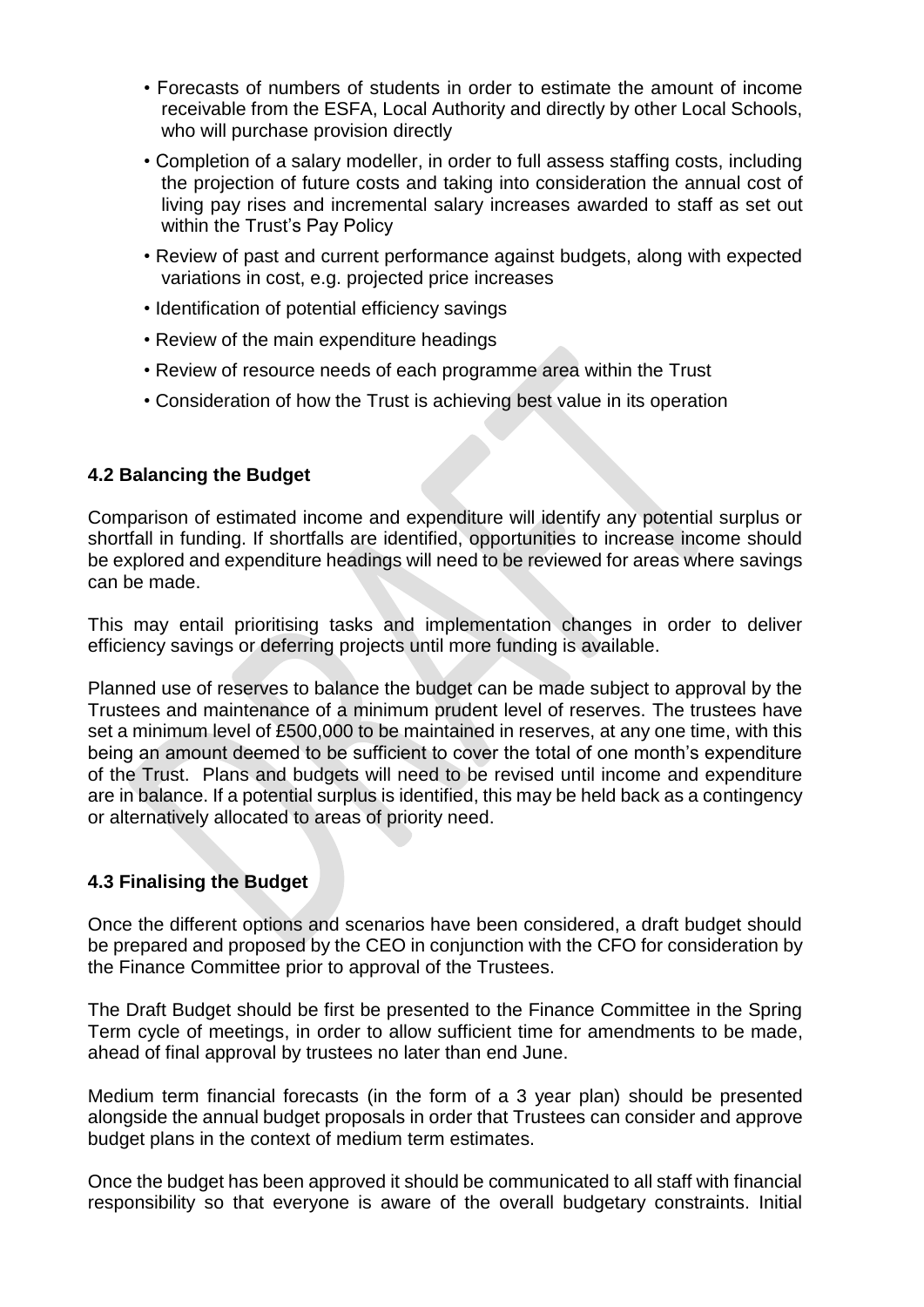- Forecasts of numbers of students in order to estimate the amount of income receivable from the ESFA, Local Authority and directly by other Local Schools, who will purchase provision directly
- Completion of a salary modeller, in order to full assess staffing costs, including the projection of future costs and taking into consideration the annual cost of living pay rises and incremental salary increases awarded to staff as set out within the Trust's Pay Policy
- Review of past and current performance against budgets, along with expected variations in cost, e.g. projected price increases
- Identification of potential efficiency savings
- Review of the main expenditure headings
- Review of resource needs of each programme area within the Trust
- Consideration of how the Trust is achieving best value in its operation

### **4.2 Balancing the Budget**

Comparison of estimated income and expenditure will identify any potential surplus or shortfall in funding. If shortfalls are identified, opportunities to increase income should be explored and expenditure headings will need to be reviewed for areas where savings can be made.

This may entail prioritising tasks and implementation changes in order to deliver efficiency savings or deferring projects until more funding is available.

Planned use of reserves to balance the budget can be made subject to approval by the Trustees and maintenance of a minimum prudent level of reserves. The trustees have set a minimum level of £500,000 to be maintained in reserves, at any one time, with this being an amount deemed to be sufficient to cover the total of one month's expenditure of the Trust. Plans and budgets will need to be revised until income and expenditure are in balance. If a potential surplus is identified, this may be held back as a contingency or alternatively allocated to areas of priority need.

### **4.3 Finalising the Budget**

Once the different options and scenarios have been considered, a draft budget should be prepared and proposed by the CEO in conjunction with the CFO for consideration by the Finance Committee prior to approval of the Trustees.

The Draft Budget should be first be presented to the Finance Committee in the Spring Term cycle of meetings, in order to allow sufficient time for amendments to be made, ahead of final approval by trustees no later than end June.

Medium term financial forecasts (in the form of a 3 year plan) should be presented alongside the annual budget proposals in order that Trustees can consider and approve budget plans in the context of medium term estimates.

Once the budget has been approved it should be communicated to all staff with financial responsibility so that everyone is aware of the overall budgetary constraints. Initial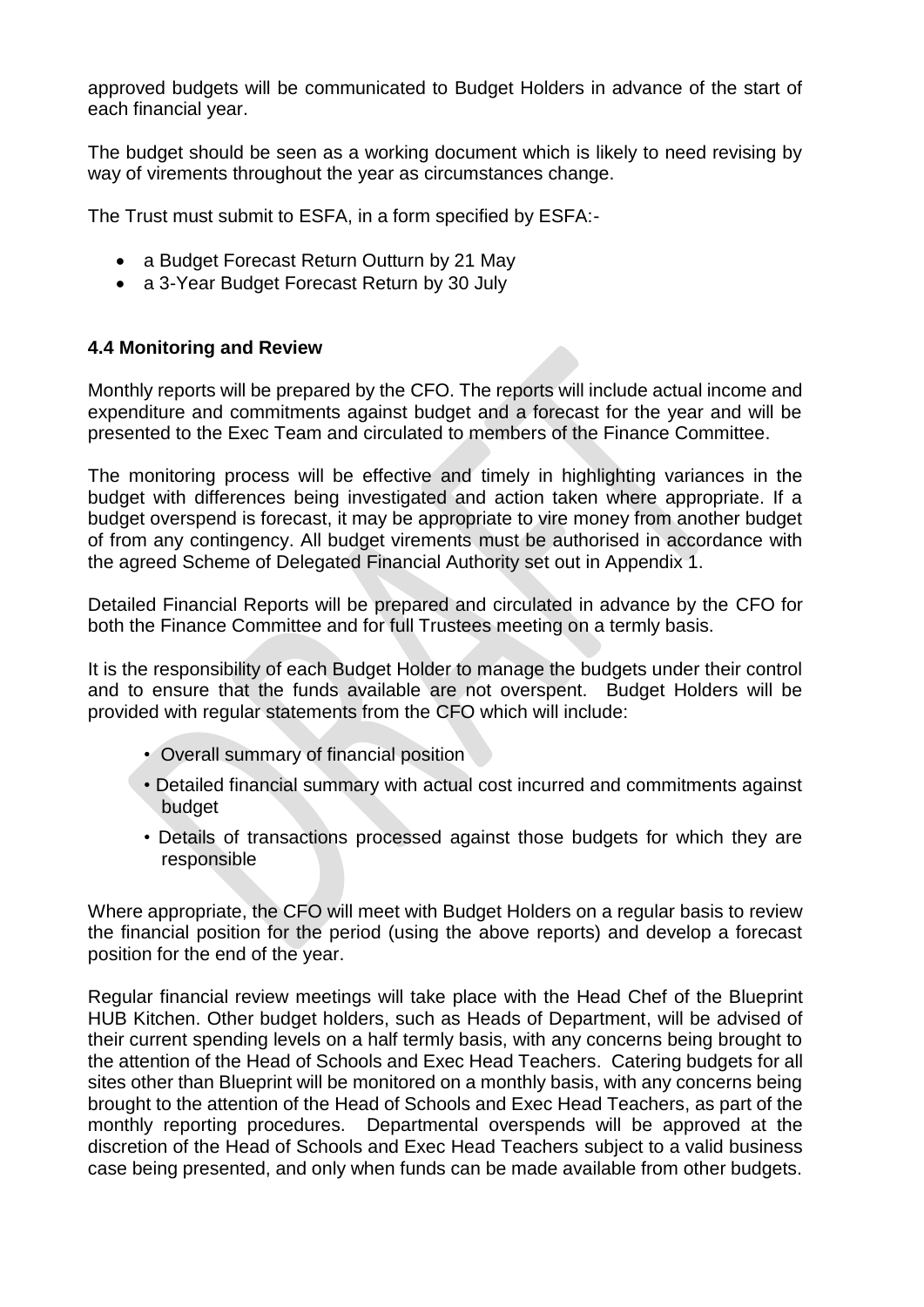approved budgets will be communicated to Budget Holders in advance of the start of each financial year.

The budget should be seen as a working document which is likely to need revising by way of virements throughout the year as circumstances change.

The Trust must submit to ESFA, in a form specified by ESFA:-

- a [Budget Forecast Return Outturn b](https://www.gov.uk/guidance/academies-budget-forecast-return)y 21 May
- a 3-Year [Budget Forecast Return b](https://www.gov.uk/guidance/academies-budget-forecast-return)y 30 July

# **4.4 Monitoring and Review**

Monthly reports will be prepared by the CFO. The reports will include actual income and expenditure and commitments against budget and a forecast for the year and will be presented to the Exec Team and circulated to members of the Finance Committee.

The monitoring process will be effective and timely in highlighting variances in the budget with differences being investigated and action taken where appropriate. If a budget overspend is forecast, it may be appropriate to vire money from another budget of from any contingency. All budget virements must be authorised in accordance with the agreed Scheme of Delegated Financial Authority set out in Appendix 1.

Detailed Financial Reports will be prepared and circulated in advance by the CFO for both the Finance Committee and for full Trustees meeting on a termly basis.

It is the responsibility of each Budget Holder to manage the budgets under their control and to ensure that the funds available are not overspent. Budget Holders will be provided with regular statements from the CFO which will include:

- Overall summary of financial position
- Detailed financial summary with actual cost incurred and commitments against budget
- Details of transactions processed against those budgets for which they are responsible

Where appropriate, the CFO will meet with Budget Holders on a regular basis to review the financial position for the period (using the above reports) and develop a forecast position for the end of the year.

Regular financial review meetings will take place with the Head Chef of the Blueprint HUB Kitchen. Other budget holders, such as Heads of Department, will be advised of their current spending levels on a half termly basis, with any concerns being brought to the attention of the Head of Schools and Exec Head Teachers. Catering budgets for all sites other than Blueprint will be monitored on a monthly basis, with any concerns being brought to the attention of the Head of Schools and Exec Head Teachers, as part of the monthly reporting procedures. Departmental overspends will be approved at the discretion of the Head of Schools and Exec Head Teachers subject to a valid business case being presented, and only when funds can be made available from other budgets.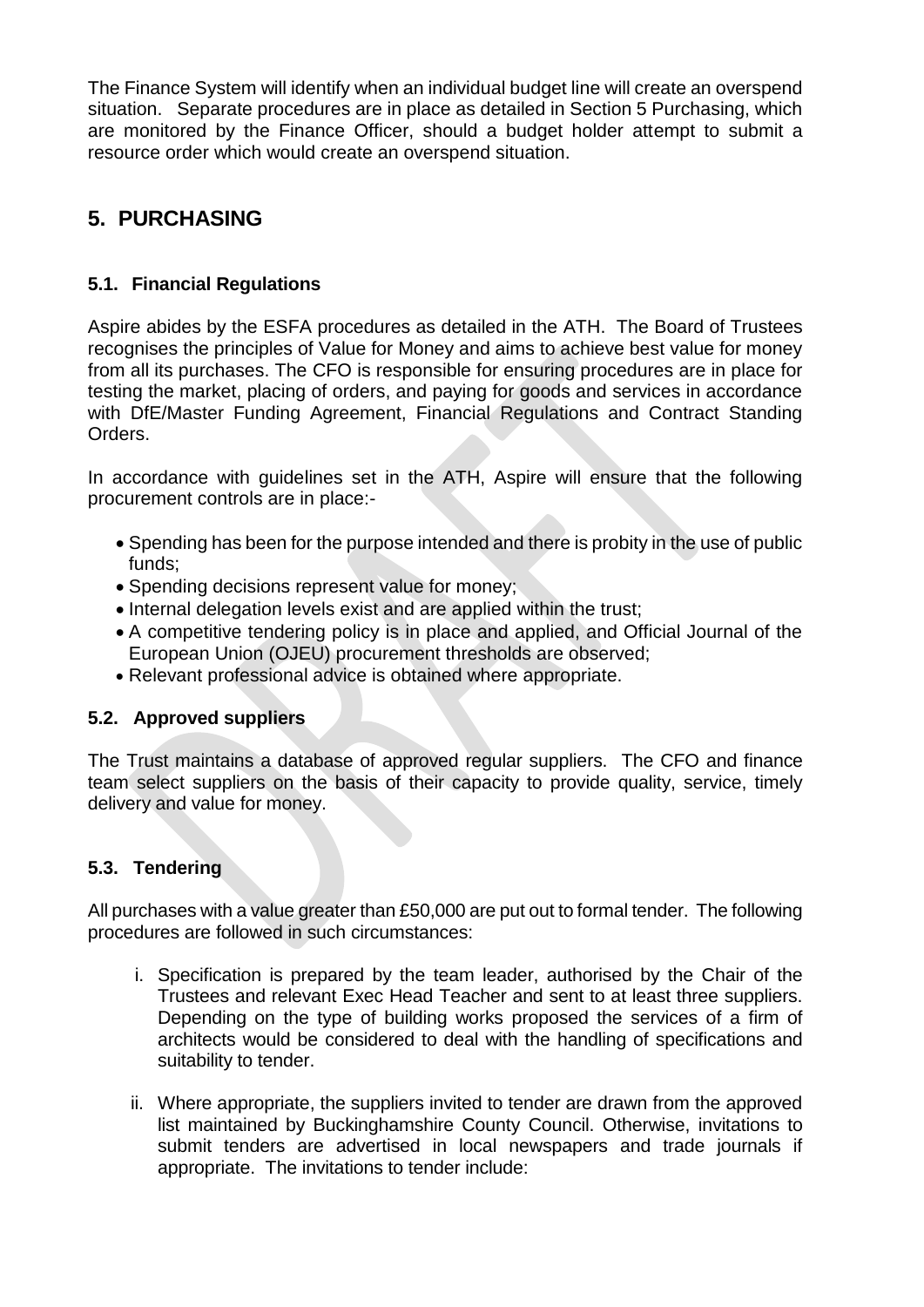The Finance System will identify when an individual budget line will create an overspend situation. Separate procedures are in place as detailed in Section 5 Purchasing, which are monitored by the Finance Officer, should a budget holder attempt to submit a resource order which would create an overspend situation.

# **5. PURCHASING**

# **5.1. Financial Regulations**

Aspire abides by the ESFA procedures as detailed in the ATH. The Board of Trustees recognises the principles of Value for Money and aims to achieve best value for money from all its purchases. The CFO is responsible for ensuring procedures are in place for testing the market, placing of orders, and paying for goods and services in accordance with DfE/Master Funding Agreement, Financial Regulations and Contract Standing Orders.

In accordance with guidelines set in the ATH, Aspire will ensure that the following procurement controls are in place:-

- Spending has been for the purpose intended and there is probity in the use of public funds;
- Spending decisions represent value for money;
- Internal delegation levels exist and are applied within the trust;
- A competitive tendering policy is in place and applied, and Official Journal of the European Union [\(OJEU\)](http://www.ojec.com/Threshholds.aspx) procurement thresholds are observed;
- Relevant professional advice is obtained where appropriate.

### **5.2. Approved suppliers**

The Trust maintains a database of approved regular suppliers. The CFO and finance team select suppliers on the basis of their capacity to provide quality, service, timely delivery and value for money.

# **5.3. Tendering**

All purchases with a value greater than £50,000 are put out to formal tender. The following procedures are followed in such circumstances:

- i. Specification is prepared by the team leader, authorised by the Chair of the Trustees and relevant Exec Head Teacher and sent to at least three suppliers. Depending on the type of building works proposed the services of a firm of architects would be considered to deal with the handling of specifications and suitability to tender.
- ii. Where appropriate, the suppliers invited to tender are drawn from the approved list maintained by Buckinghamshire County Council. Otherwise, invitations to submit tenders are advertised in local newspapers and trade journals if appropriate. The invitations to tender include: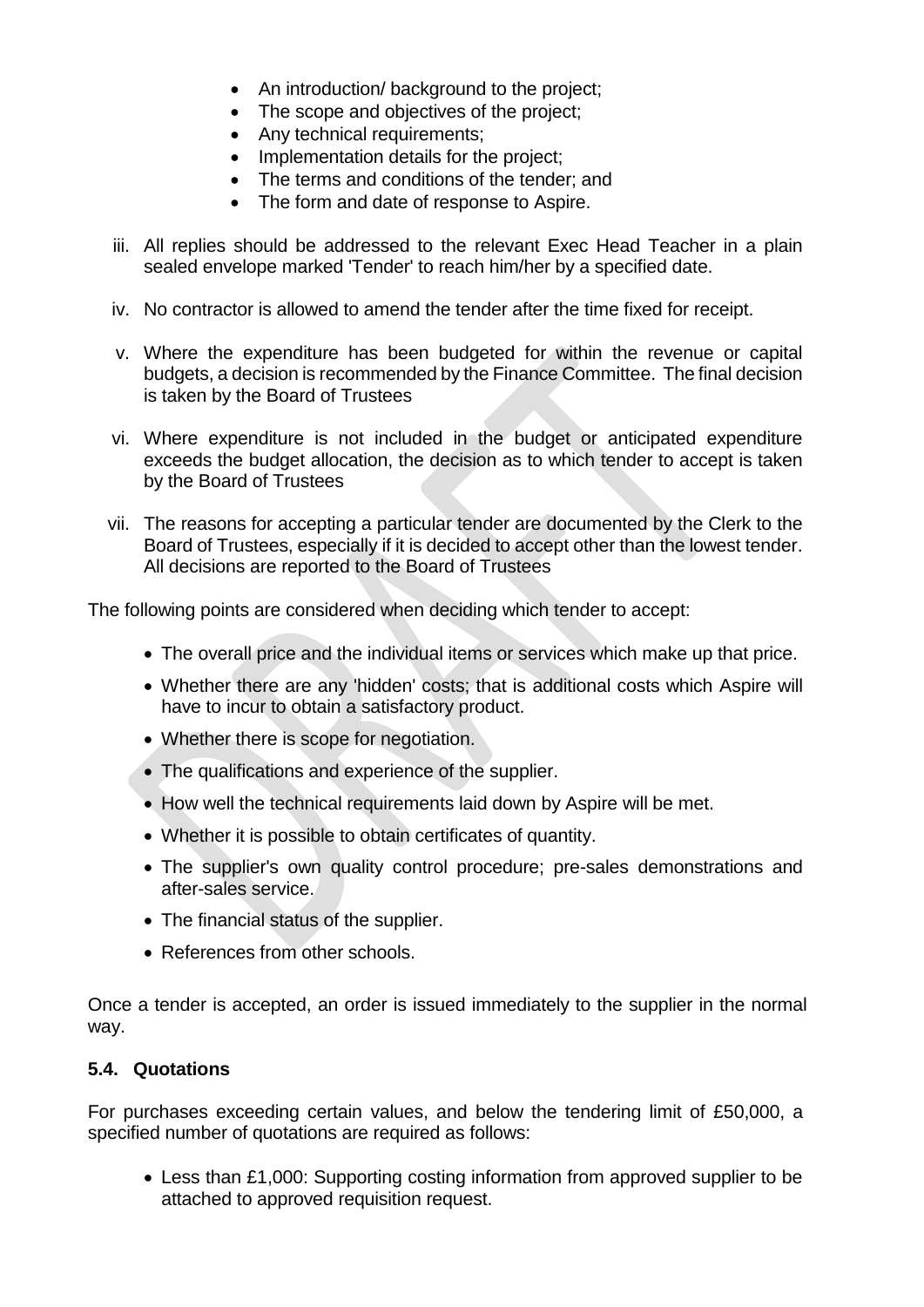- An introduction/ background to the project;
- The scope and objectives of the project:
- Any technical requirements;
- Implementation details for the project;
- The terms and conditions of the tender: and
- The form and date of response to Aspire.
- iii. All replies should be addressed to the relevant Exec Head Teacher in a plain sealed envelope marked 'Tender' to reach him/her by a specified date.
- iv. No contractor is allowed to amend the tender after the time fixed for receipt.
- v. Where the expenditure has been budgeted for within the revenue or capital budgets, a decision is recommended by the Finance Committee. The final decision is taken by the Board of Trustees
- vi. Where expenditure is not included in the budget or anticipated expenditure exceeds the budget allocation, the decision as to which tender to accept is taken by the Board of Trustees
- vii. The reasons for accepting a particular tender are documented by the Clerk to the Board of Trustees, especially if it is decided to accept other than the lowest tender. All decisions are reported to the Board of Trustees

The following points are considered when deciding which tender to accept:

- The overall price and the individual items or services which make up that price.
- Whether there are any 'hidden' costs; that is additional costs which Aspire will have to incur to obtain a satisfactory product.
- Whether there is scope for negotiation.
- The qualifications and experience of the supplier.
- How well the technical requirements laid down by Aspire will be met.
- Whether it is possible to obtain certificates of quantity.
- The supplier's own quality control procedure; pre-sales demonstrations and after-sales service.
- The financial status of the supplier.
- References from other schools.

Once a tender is accepted, an order is issued immediately to the supplier in the normal way.

#### **5.4. Quotations**

For purchases exceeding certain values, and below the tendering limit of £50,000, a specified number of quotations are required as follows:

 Less than £1,000: Supporting costing information from approved supplier to be attached to approved requisition request.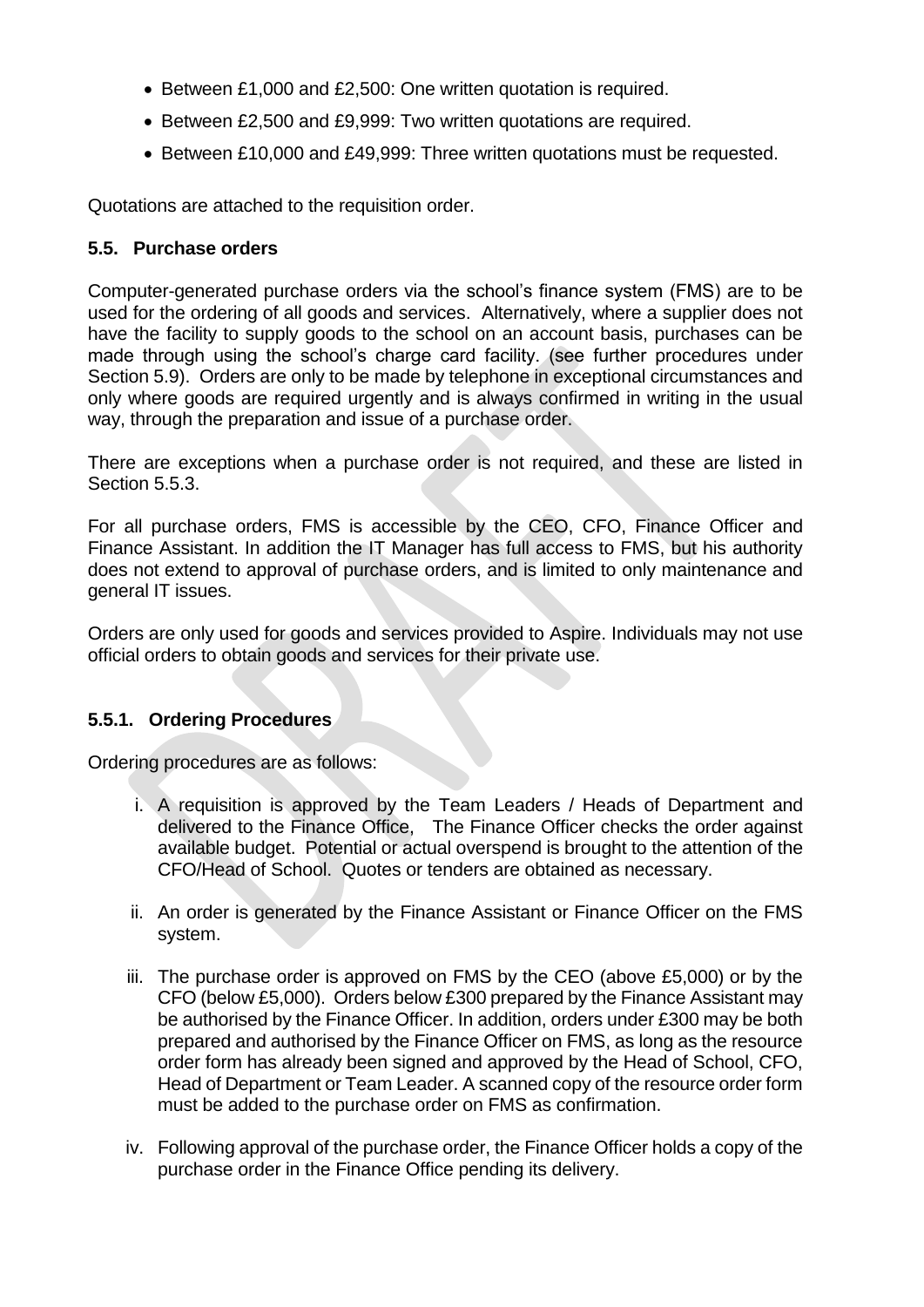- Between £1,000 and £2,500: One written quotation is required.
- Between £2,500 and £9,999: Two written quotations are required.
- Between £10,000 and £49,999: Three written quotations must be requested.

Quotations are attached to the requisition order.

### **5.5. Purchase orders**

Computer-generated purchase orders via the school's finance system (FMS) are to be used for the ordering of all goods and services. Alternatively, where a supplier does not have the facility to supply goods to the school on an account basis, purchases can be made through using the school's charge card facility. (see further procedures under Section 5.9). Orders are only to be made by telephone in exceptional circumstances and only where goods are required urgently and is always confirmed in writing in the usual way, through the preparation and issue of a purchase order.

There are exceptions when a purchase order is not required, and these are listed in Section 5.5.3.

For all purchase orders, FMS is accessible by the CEO, CFO, Finance Officer and Finance Assistant. In addition the IT Manager has full access to FMS, but his authority does not extend to approval of purchase orders, and is limited to only maintenance and general IT issues.

Orders are only used for goods and services provided to Aspire. Individuals may not use official orders to obtain goods and services for their private use.

### **5.5.1. Ordering Procedures**

Ordering procedures are as follows:

- i. A requisition is approved by the Team Leaders / Heads of Department and delivered to the Finance Office, The Finance Officer checks the order against available budget. Potential or actual overspend is brought to the attention of the CFO/Head of School. Quotes or tenders are obtained as necessary.
- ii. An order is generated by the Finance Assistant or Finance Officer on the FMS system.
- iii. The purchase order is approved on FMS by the CEO (above £5,000) or by the CFO (below £5,000). Orders below £300 prepared by the Finance Assistant may be authorised by the Finance Officer. In addition, orders under £300 may be both prepared and authorised by the Finance Officer on FMS, as long as the resource order form has already been signed and approved by the Head of School, CFO, Head of Department or Team Leader. A scanned copy of the resource order form must be added to the purchase order on FMS as confirmation.
- iv. Following approval of the purchase order, the Finance Officer holds a copy of the purchase order in the Finance Office pending its delivery.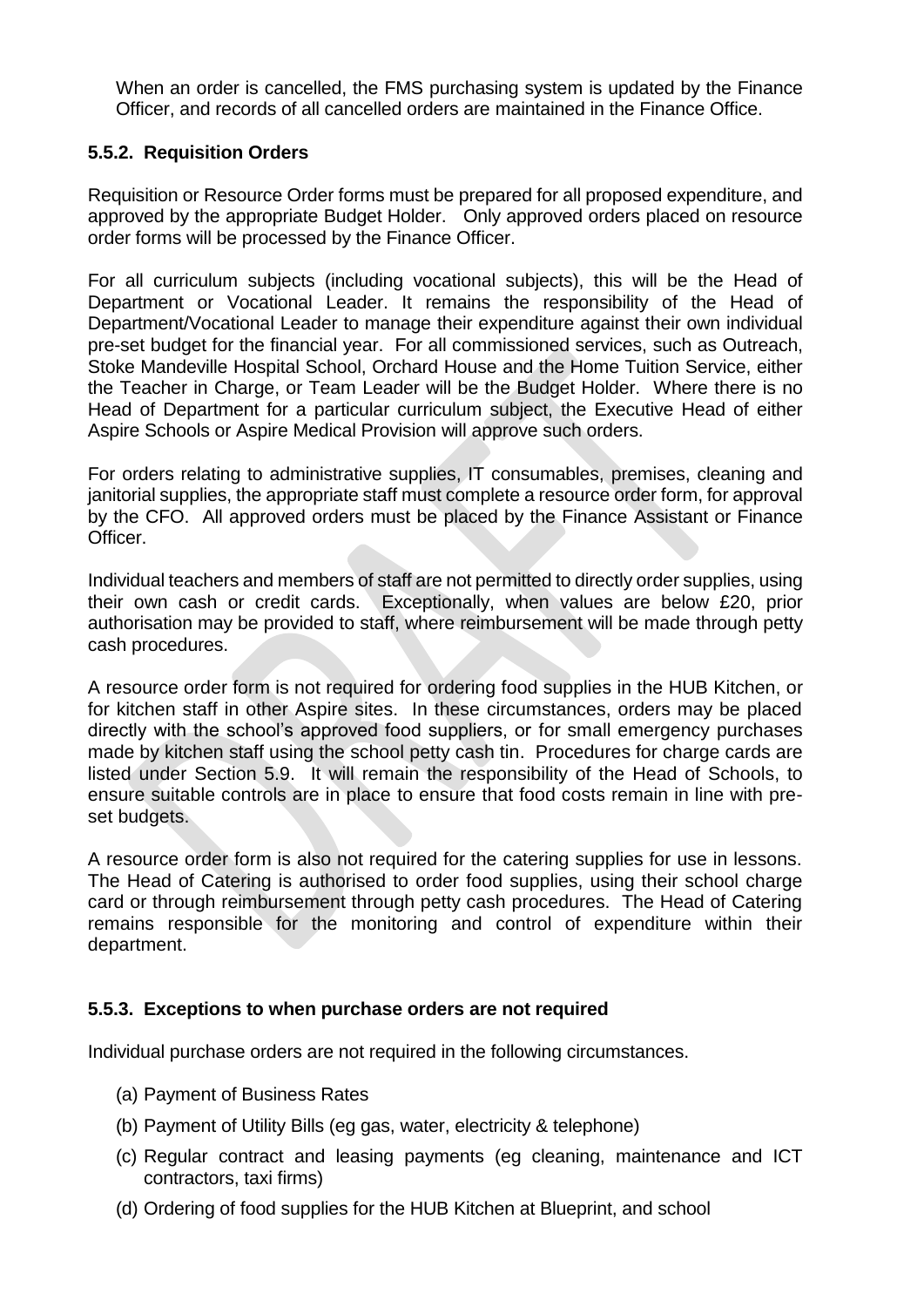When an order is cancelled, the FMS purchasing system is updated by the Finance Officer, and records of all cancelled orders are maintained in the Finance Office.

### **5.5.2. Requisition Orders**

Requisition or Resource Order forms must be prepared for all proposed expenditure, and approved by the appropriate Budget Holder. Only approved orders placed on resource order forms will be processed by the Finance Officer.

For all curriculum subjects (including vocational subjects), this will be the Head of Department or Vocational Leader. It remains the responsibility of the Head of Department/Vocational Leader to manage their expenditure against their own individual pre-set budget for the financial year. For all commissioned services, such as Outreach, Stoke Mandeville Hospital School, Orchard House and the Home Tuition Service, either the Teacher in Charge, or Team Leader will be the Budget Holder. Where there is no Head of Department for a particular curriculum subject, the Executive Head of either Aspire Schools or Aspire Medical Provision will approve such orders.

For orders relating to administrative supplies, IT consumables, premises, cleaning and janitorial supplies, the appropriate staff must complete a resource order form, for approval by the CFO. All approved orders must be placed by the Finance Assistant or Finance Officer.

Individual teachers and members of staff are not permitted to directly order supplies, using their own cash or credit cards. Exceptionally, when values are below £20, prior authorisation may be provided to staff, where reimbursement will be made through petty cash procedures.

A resource order form is not required for ordering food supplies in the HUB Kitchen, or for kitchen staff in other Aspire sites. In these circumstances, orders may be placed directly with the school's approved food suppliers, or for small emergency purchases made by kitchen staff using the school petty cash tin. Procedures for charge cards are listed under Section 5.9. It will remain the responsibility of the Head of Schools, to ensure suitable controls are in place to ensure that food costs remain in line with preset budgets.

A resource order form is also not required for the catering supplies for use in lessons. The Head of Catering is authorised to order food supplies, using their school charge card or through reimbursement through petty cash procedures. The Head of Catering remains responsible for the monitoring and control of expenditure within their department.

### **5.5.3. Exceptions to when purchase orders are not required**

Individual purchase orders are not required in the following circumstances.

- (a) Payment of Business Rates
- (b) Payment of Utility Bills (eg gas, water, electricity & telephone)
- (c) Regular contract and leasing payments (eg cleaning, maintenance and ICT contractors, taxi firms)
- (d) Ordering of food supplies for the HUB Kitchen at Blueprint, and school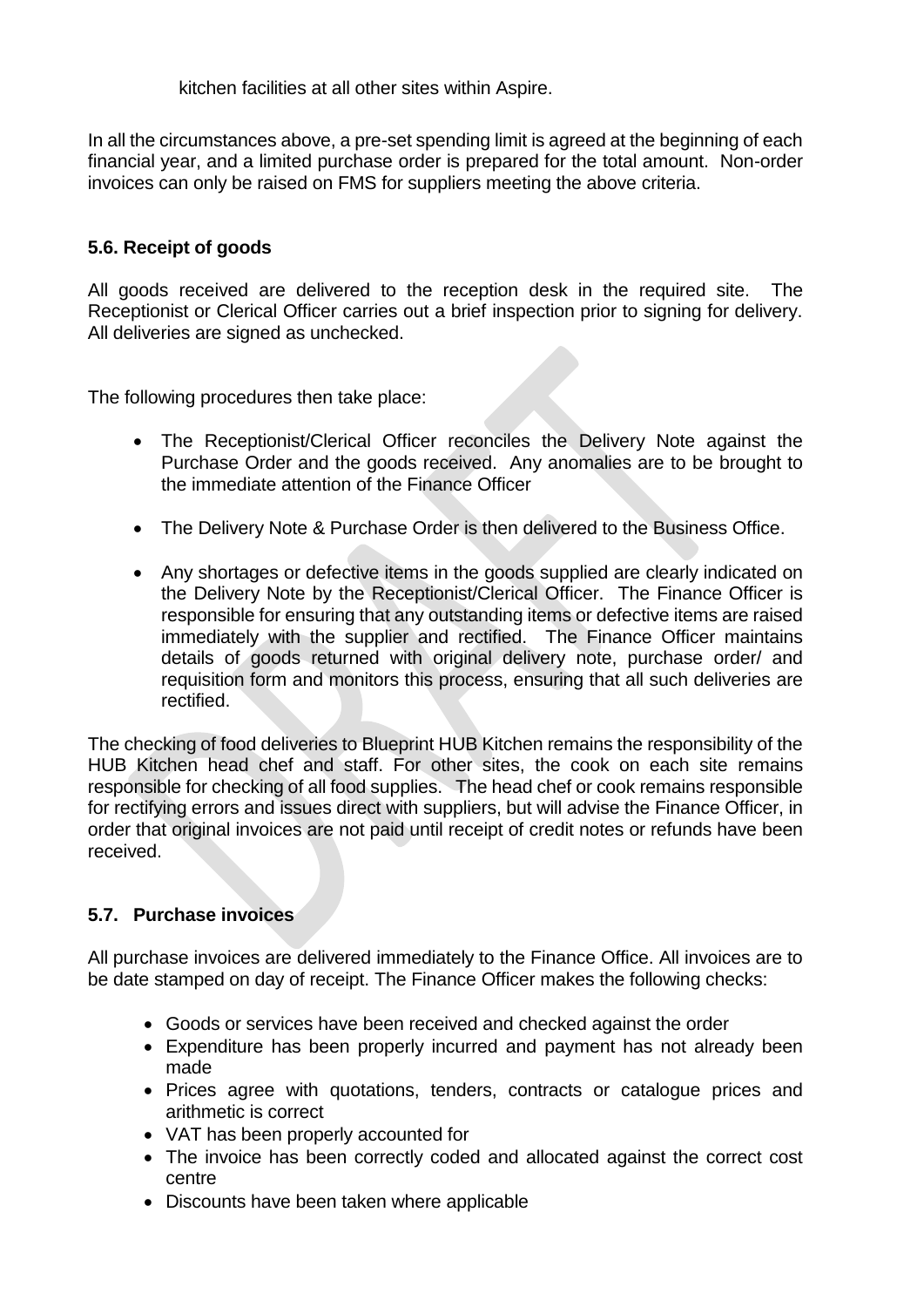kitchen facilities at all other sites within Aspire.

In all the circumstances above, a pre-set spending limit is agreed at the beginning of each financial year, and a limited purchase order is prepared for the total amount. Non-order invoices can only be raised on FMS for suppliers meeting the above criteria.

### **5.6. Receipt of goods**

All goods received are delivered to the reception desk in the required site. The Receptionist or Clerical Officer carries out a brief inspection prior to signing for delivery. All deliveries are signed as unchecked.

The following procedures then take place:

- The Receptionist/Clerical Officer reconciles the Delivery Note against the Purchase Order and the goods received. Any anomalies are to be brought to the immediate attention of the Finance Officer
- The Delivery Note & Purchase Order is then delivered to the Business Office.
- Any shortages or defective items in the goods supplied are clearly indicated on the Delivery Note by the Receptionist/Clerical Officer. The Finance Officer is responsible for ensuring that any outstanding items or defective items are raised immediately with the supplier and rectified. The Finance Officer maintains details of goods returned with original delivery note, purchase order/ and requisition form and monitors this process, ensuring that all such deliveries are rectified.

The checking of food deliveries to Blueprint HUB Kitchen remains the responsibility of the HUB Kitchen head chef and staff. For other sites, the cook on each site remains responsible for checking of all food supplies. The head chef or cook remains responsible for rectifying errors and issues direct with suppliers, but will advise the Finance Officer, in order that original invoices are not paid until receipt of credit notes or refunds have been received.

### **5.7. Purchase invoices**

All purchase invoices are delivered immediately to the Finance Office. All invoices are to be date stamped on day of receipt. The Finance Officer makes the following checks:

- Goods or services have been received and checked against the order
- Expenditure has been properly incurred and payment has not already been made
- Prices agree with quotations, tenders, contracts or catalogue prices and arithmetic is correct
- VAT has been properly accounted for
- The invoice has been correctly coded and allocated against the correct cost centre
- Discounts have been taken where applicable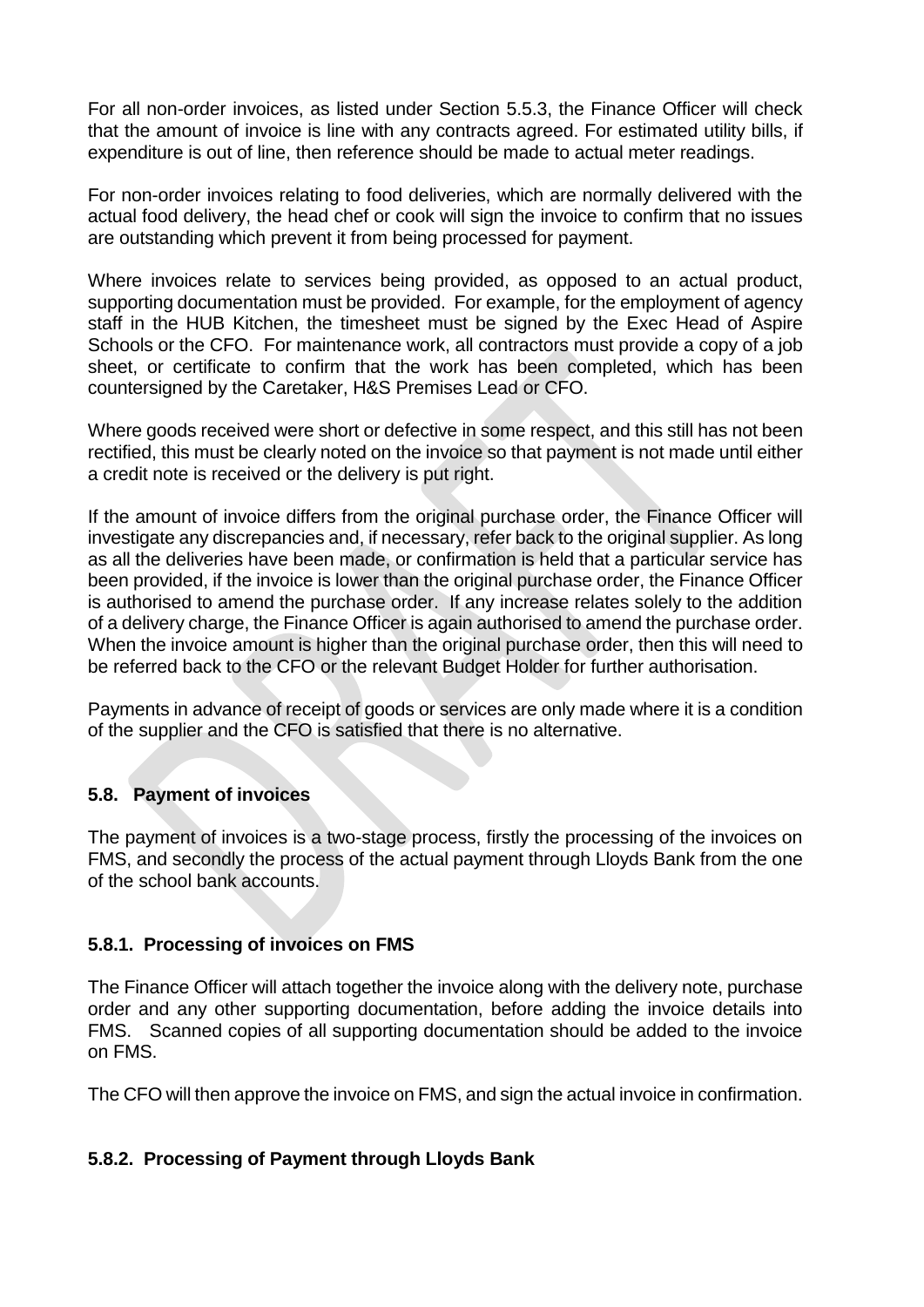For all non-order invoices, as listed under Section 5.5.3, the Finance Officer will check that the amount of invoice is line with any contracts agreed. For estimated utility bills, if expenditure is out of line, then reference should be made to actual meter readings.

For non-order invoices relating to food deliveries, which are normally delivered with the actual food delivery, the head chef or cook will sign the invoice to confirm that no issues are outstanding which prevent it from being processed for payment.

Where invoices relate to services being provided, as opposed to an actual product, supporting documentation must be provided. For example, for the employment of agency staff in the HUB Kitchen, the timesheet must be signed by the Exec Head of Aspire Schools or the CFO. For maintenance work, all contractors must provide a copy of a job sheet, or certificate to confirm that the work has been completed, which has been countersigned by the Caretaker, H&S Premises Lead or CFO.

Where goods received were short or defective in some respect, and this still has not been rectified, this must be clearly noted on the invoice so that payment is not made until either a credit note is received or the delivery is put right.

If the amount of invoice differs from the original purchase order, the Finance Officer will investigate any discrepancies and, if necessary, refer back to the original supplier. As long as all the deliveries have been made, or confirmation is held that a particular service has been provided, if the invoice is lower than the original purchase order, the Finance Officer is authorised to amend the purchase order. If any increase relates solely to the addition of a delivery charge, the Finance Officer is again authorised to amend the purchase order. When the invoice amount is higher than the original purchase order, then this will need to be referred back to the CFO or the relevant Budget Holder for further authorisation.

Payments in advance of receipt of goods or services are only made where it is a condition of the supplier and the CFO is satisfied that there is no alternative.

### **5.8. Payment of invoices**

The payment of invoices is a two-stage process, firstly the processing of the invoices on FMS, and secondly the process of the actual payment through Lloyds Bank from the one of the school bank accounts.

### **5.8.1. Processing of invoices on FMS**

The Finance Officer will attach together the invoice along with the delivery note, purchase order and any other supporting documentation, before adding the invoice details into FMS. Scanned copies of all supporting documentation should be added to the invoice on FMS.

The CFO will then approve the invoice on FMS, and sign the actual invoice in confirmation.

### **5.8.2. Processing of Payment through Lloyds Bank**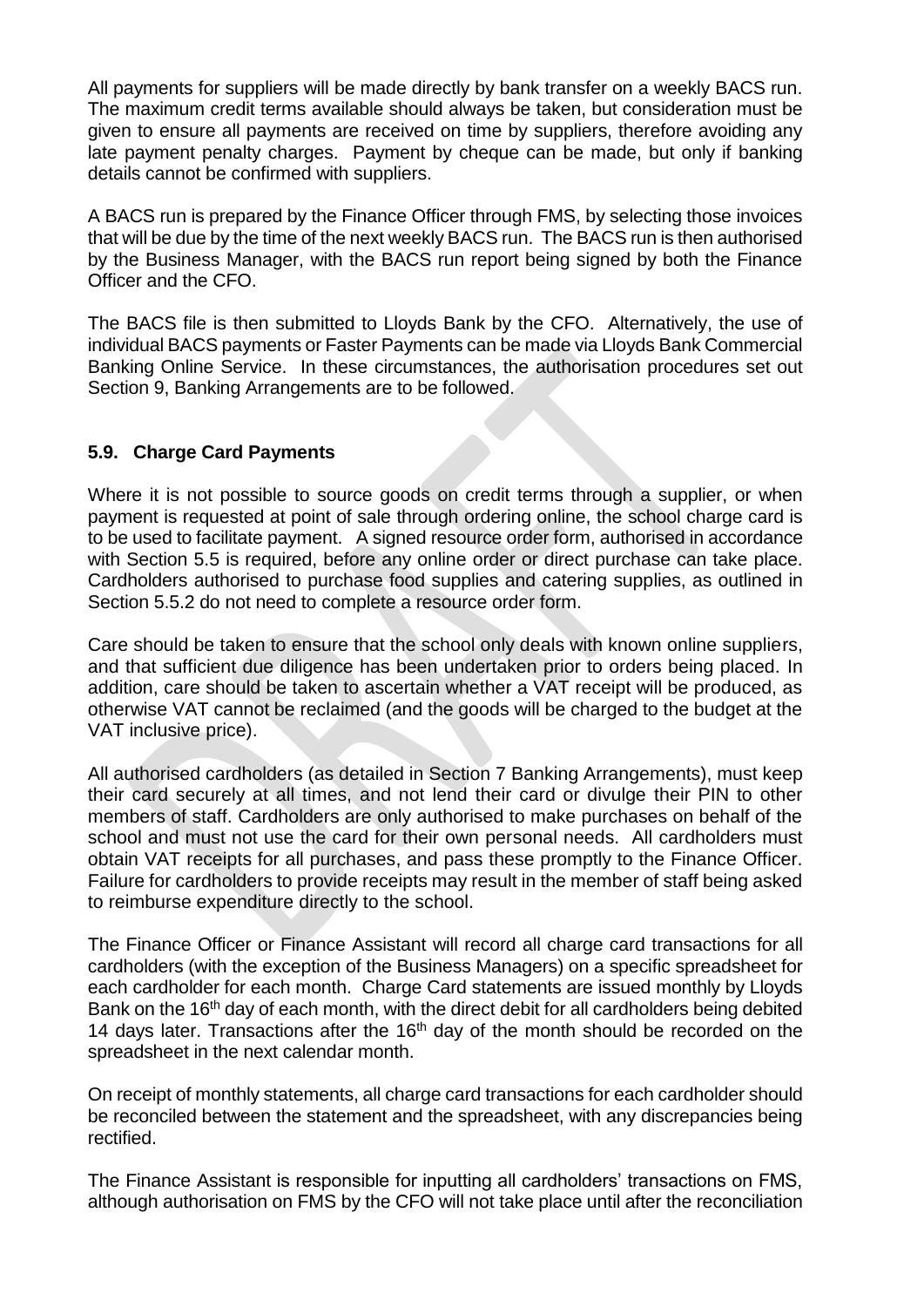All payments for suppliers will be made directly by bank transfer on a weekly BACS run. The maximum credit terms available should always be taken, but consideration must be given to ensure all payments are received on time by suppliers, therefore avoiding any late payment penalty charges. Payment by cheque can be made, but only if banking details cannot be confirmed with suppliers.

A BACS run is prepared by the Finance Officer through FMS, by selecting those invoices that will be due by the time of the next weekly BACS run. The BACS run is then authorised by the Business Manager, with the BACS run report being signed by both the Finance Officer and the CFO.

The BACS file is then submitted to Lloyds Bank by the CFO. Alternatively, the use of individual BACS payments or Faster Payments can be made via Lloyds Bank Commercial Banking Online Service. In these circumstances, the authorisation procedures set out Section 9, Banking Arrangements are to be followed.

### **5.9. Charge Card Payments**

Where it is not possible to source goods on credit terms through a supplier, or when payment is requested at point of sale through ordering online, the school charge card is to be used to facilitate payment. A signed resource order form, authorised in accordance with Section 5.5 is required, before any online order or direct purchase can take place. Cardholders authorised to purchase food supplies and catering supplies, as outlined in Section 5.5.2 do not need to complete a resource order form.

Care should be taken to ensure that the school only deals with known online suppliers, and that sufficient due diligence has been undertaken prior to orders being placed. In addition, care should be taken to ascertain whether a VAT receipt will be produced, as otherwise VAT cannot be reclaimed (and the goods will be charged to the budget at the VAT inclusive price).

All authorised cardholders (as detailed in Section 7 Banking Arrangements), must keep their card securely at all times, and not lend their card or divulge their PIN to other members of staff. Cardholders are only authorised to make purchases on behalf of the school and must not use the card for their own personal needs. All cardholders must obtain VAT receipts for all purchases, and pass these promptly to the Finance Officer. Failure for cardholders to provide receipts may result in the member of staff being asked to reimburse expenditure directly to the school.

The Finance Officer or Finance Assistant will record all charge card transactions for all cardholders (with the exception of the Business Managers) on a specific spreadsheet for each cardholder for each month. Charge Card statements are issued monthly by Lloyds Bank on the 16<sup>th</sup> day of each month, with the direct debit for all cardholders being debited 14 days later. Transactions after the  $16<sup>th</sup>$  day of the month should be recorded on the spreadsheet in the next calendar month.

On receipt of monthly statements, all charge card transactions for each cardholder should be reconciled between the statement and the spreadsheet, with any discrepancies being rectified.

The Finance Assistant is responsible for inputting all cardholders' transactions on FMS, although authorisation on FMS by the CFO will not take place until after the reconciliation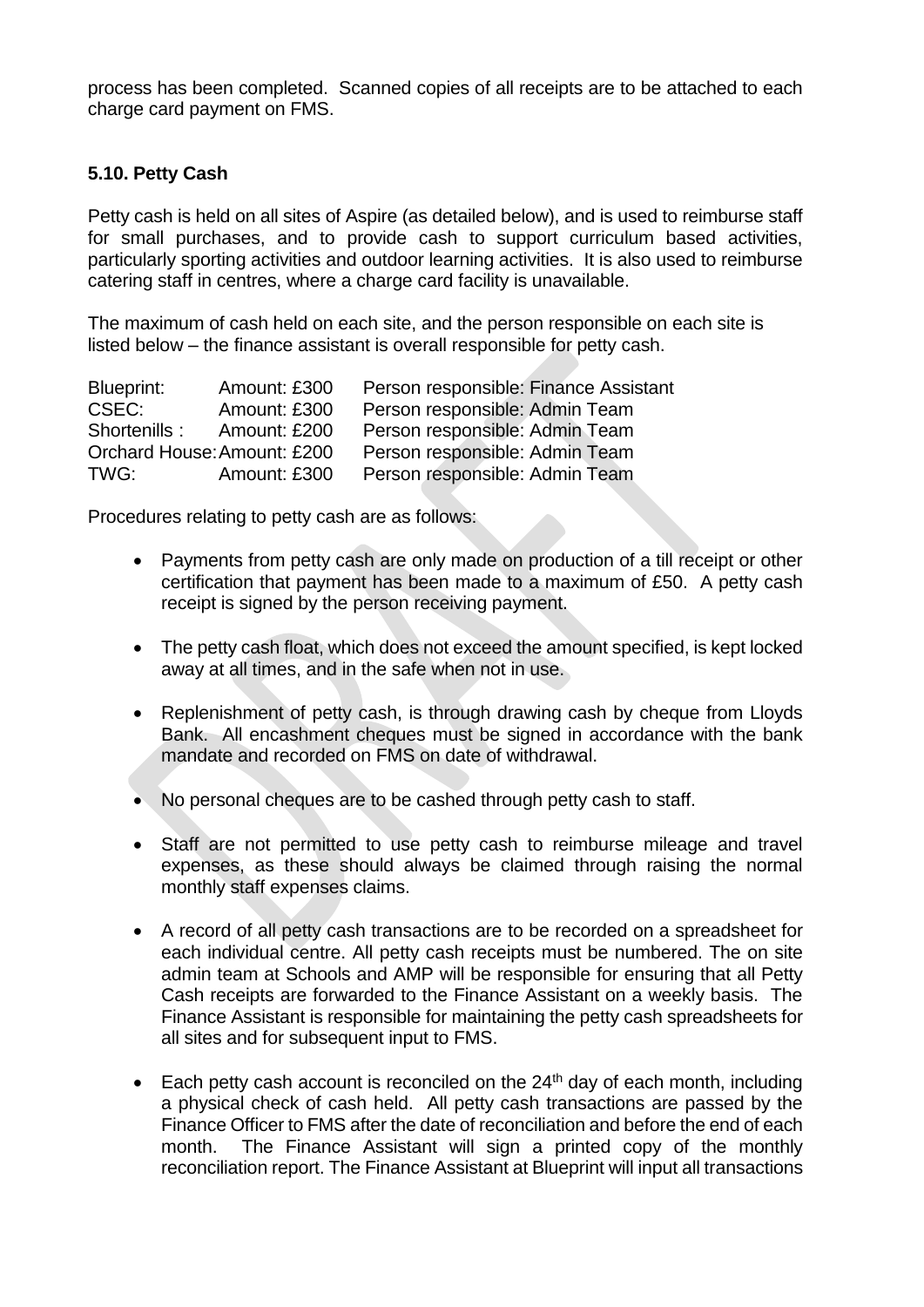process has been completed. Scanned copies of all receipts are to be attached to each charge card payment on FMS.

### **5.10. Petty Cash**

Petty cash is held on all sites of Aspire (as detailed below), and is used to reimburse staff for small purchases, and to provide cash to support curriculum based activities, particularly sporting activities and outdoor learning activities. It is also used to reimburse catering staff in centres, where a charge card facility is unavailable.

The maximum of cash held on each site, and the person responsible on each site is listed below – the finance assistant is overall responsible for petty cash.

| Blueprint:                  | Amount: £300 | Person responsible: Finance Assistant |
|-----------------------------|--------------|---------------------------------------|
| CSEC:                       | Amount: £300 | Person responsible: Admin Team        |
| Shortenills:                | Amount: £200 | Person responsible: Admin Team        |
| Orchard House: Amount: £200 |              | Person responsible: Admin Team        |
| TWG:                        | Amount: £300 | Person responsible: Admin Team        |

Procedures relating to petty cash are as follows:

- Payments from petty cash are only made on production of a till receipt or other certification that payment has been made to a maximum of £50. A petty cash receipt is signed by the person receiving payment.
- The petty cash float, which does not exceed the amount specified, is kept locked away at all times, and in the safe when not in use.
- Replenishment of petty cash, is through drawing cash by cheque from Lloyds Bank. All encashment cheques must be signed in accordance with the bank mandate and recorded on FMS on date of withdrawal.
- No personal cheques are to be cashed through petty cash to staff.
- Staff are not permitted to use petty cash to reimburse mileage and travel expenses, as these should always be claimed through raising the normal monthly staff expenses claims.
- A record of all petty cash transactions are to be recorded on a spreadsheet for each individual centre. All petty cash receipts must be numbered. The on site admin team at Schools and AMP will be responsible for ensuring that all Petty Cash receipts are forwarded to the Finance Assistant on a weekly basis. The Finance Assistant is responsible for maintaining the petty cash spreadsheets for all sites and for subsequent input to FMS.
- Each petty cash account is reconciled on the  $24<sup>th</sup>$  day of each month, including a physical check of cash held. All petty cash transactions are passed by the Finance Officer to FMS after the date of reconciliation and before the end of each month. The Finance Assistant will sign a printed copy of the monthly reconciliation report. The Finance Assistant at Blueprint will input all transactions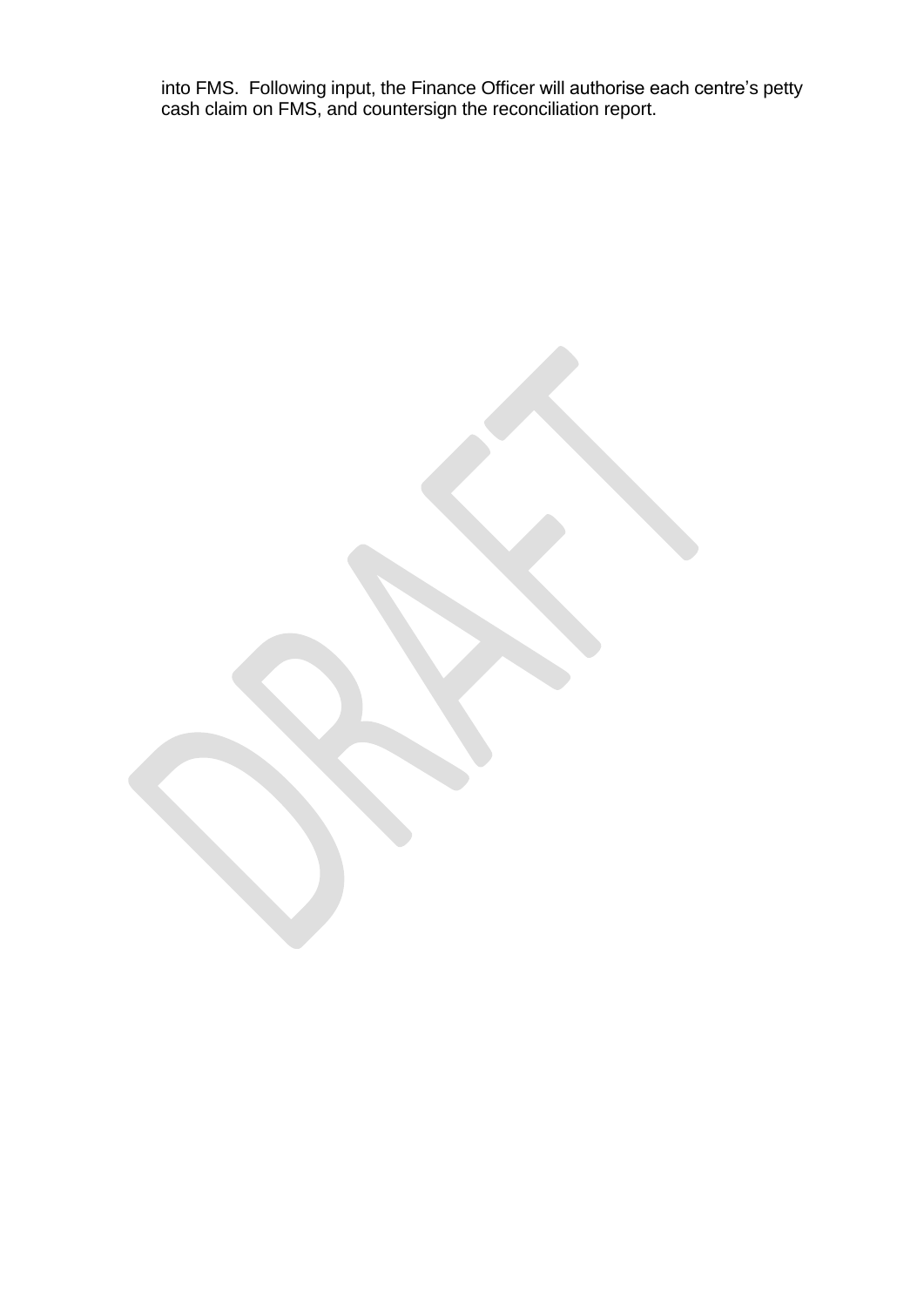into FMS. Following input, the Finance Officer will authorise each centre's petty cash claim on FMS, and countersign the reconciliation report.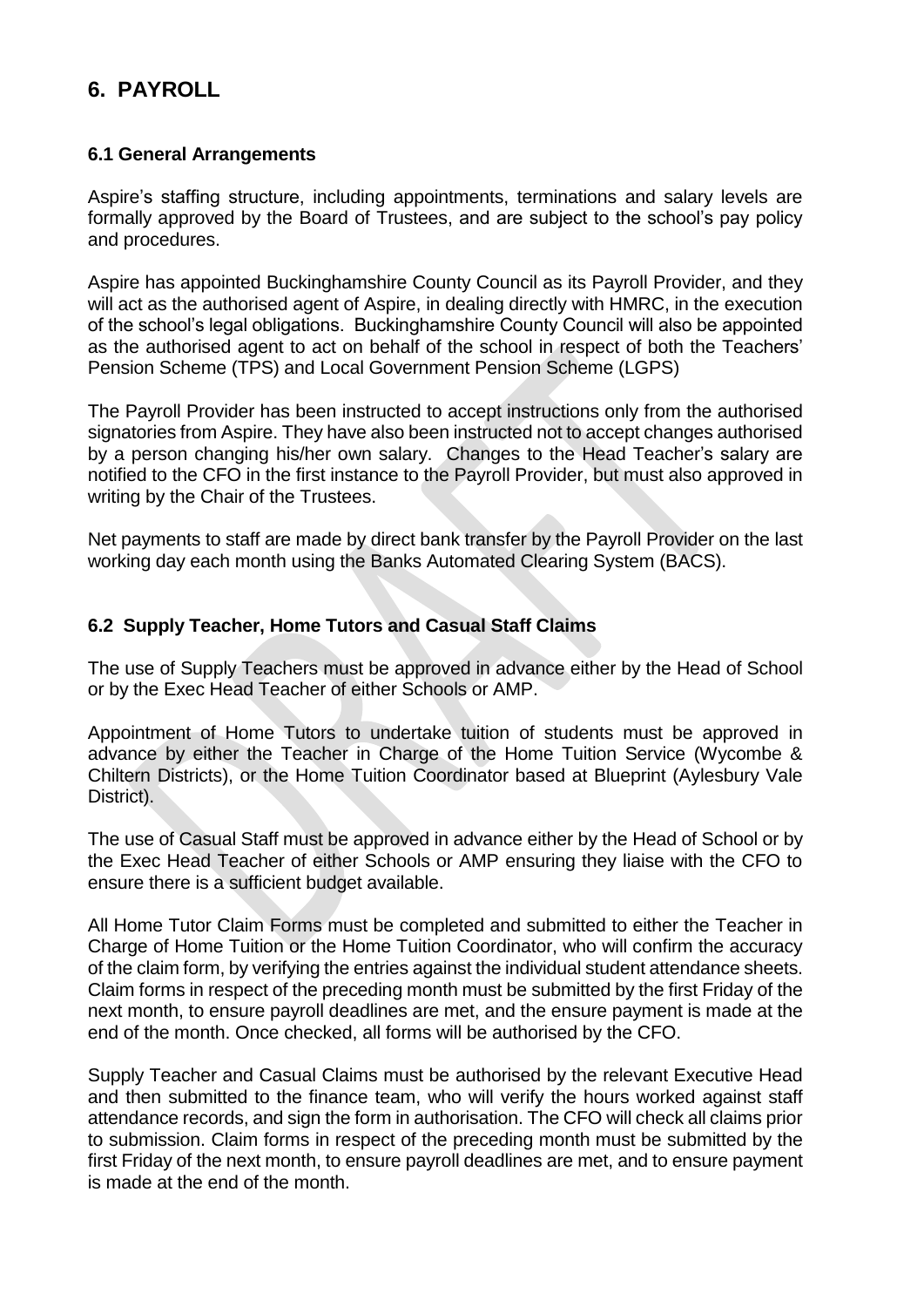# **6. PAYROLL**

### **6.1 General Arrangements**

Aspire's staffing structure, including appointments, terminations and salary levels are formally approved by the Board of Trustees, and are subject to the school's pay policy and procedures.

Aspire has appointed Buckinghamshire County Council as its Payroll Provider, and they will act as the authorised agent of Aspire, in dealing directly with HMRC, in the execution of the school's legal obligations. Buckinghamshire County Council will also be appointed as the authorised agent to act on behalf of the school in respect of both the Teachers' Pension Scheme (TPS) and Local Government Pension Scheme (LGPS)

The Payroll Provider has been instructed to accept instructions only from the authorised signatories from Aspire. They have also been instructed not to accept changes authorised by a person changing his/her own salary. Changes to the Head Teacher's salary are notified to the CFO in the first instance to the Payroll Provider, but must also approved in writing by the Chair of the Trustees.

Net payments to staff are made by direct bank transfer by the Payroll Provider on the last working day each month using the Banks Automated Clearing System (BACS).

### **6.2 Supply Teacher, Home Tutors and Casual Staff Claims**

The use of Supply Teachers must be approved in advance either by the Head of School or by the Exec Head Teacher of either Schools or AMP.

Appointment of Home Tutors to undertake tuition of students must be approved in advance by either the Teacher in Charge of the Home Tuition Service (Wycombe & Chiltern Districts), or the Home Tuition Coordinator based at Blueprint (Aylesbury Vale District).

The use of Casual Staff must be approved in advance either by the Head of School or by the Exec Head Teacher of either Schools or AMP ensuring they liaise with the CFO to ensure there is a sufficient budget available.

All Home Tutor Claim Forms must be completed and submitted to either the Teacher in Charge of Home Tuition or the Home Tuition Coordinator, who will confirm the accuracy of the claim form, by verifying the entries against the individual student attendance sheets. Claim forms in respect of the preceding month must be submitted by the first Friday of the next month, to ensure payroll deadlines are met, and the ensure payment is made at the end of the month. Once checked, all forms will be authorised by the CFO.

Supply Teacher and Casual Claims must be authorised by the relevant Executive Head and then submitted to the finance team, who will verify the hours worked against staff attendance records, and sign the form in authorisation. The CFO will check all claims prior to submission. Claim forms in respect of the preceding month must be submitted by the first Friday of the next month, to ensure payroll deadlines are met, and to ensure payment is made at the end of the month.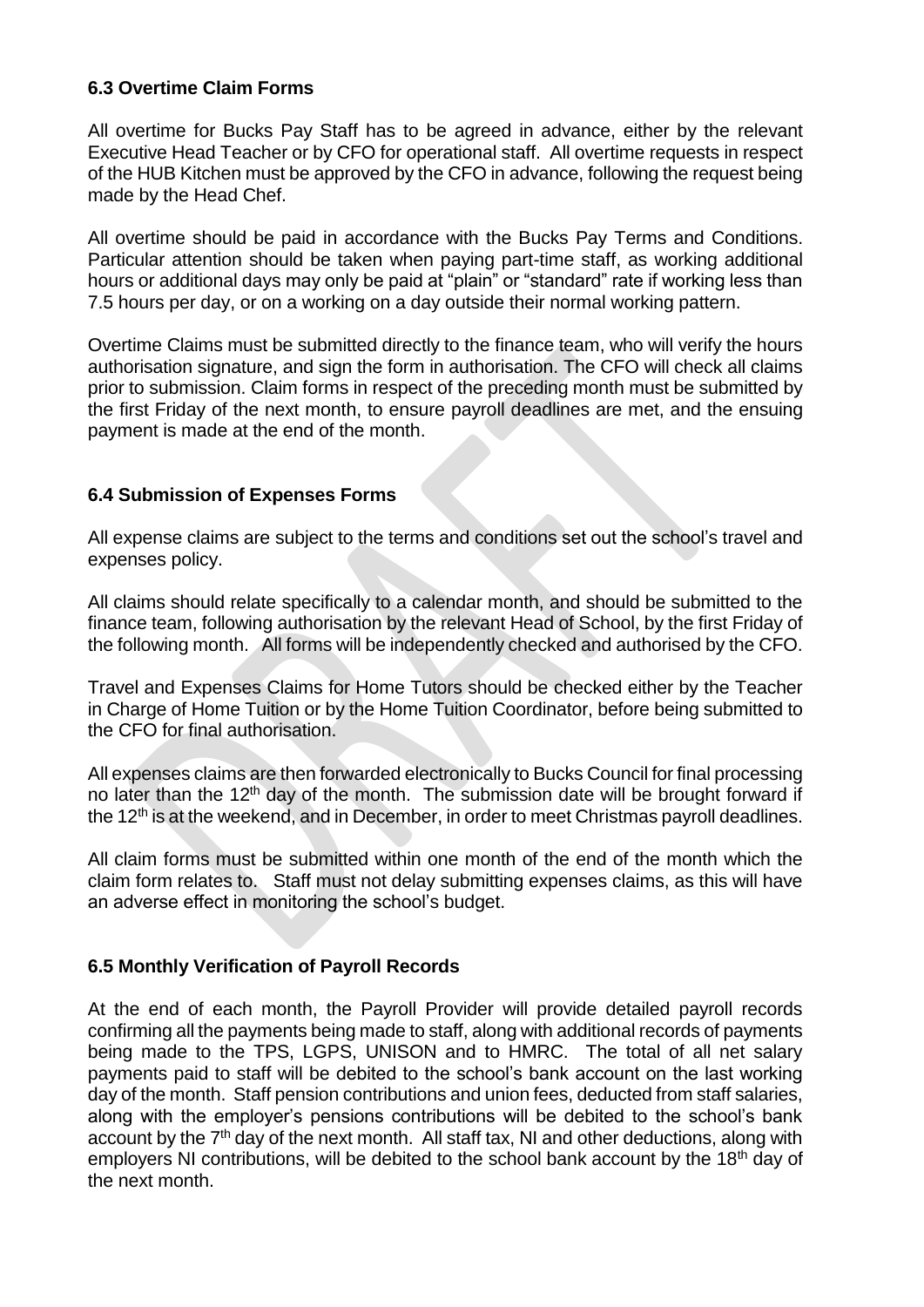### **6.3 Overtime Claim Forms**

All overtime for Bucks Pay Staff has to be agreed in advance, either by the relevant Executive Head Teacher or by CFO for operational staff. All overtime requests in respect of the HUB Kitchen must be approved by the CFO in advance, following the request being made by the Head Chef.

All overtime should be paid in accordance with the Bucks Pay Terms and Conditions. Particular attention should be taken when paying part-time staff, as working additional hours or additional days may only be paid at "plain" or "standard" rate if working less than 7.5 hours per day, or on a working on a day outside their normal working pattern.

Overtime Claims must be submitted directly to the finance team, who will verify the hours authorisation signature, and sign the form in authorisation. The CFO will check all claims prior to submission. Claim forms in respect of the preceding month must be submitted by the first Friday of the next month, to ensure payroll deadlines are met, and the ensuing payment is made at the end of the month.

### **6.4 Submission of Expenses Forms**

All expense claims are subject to the terms and conditions set out the school's travel and expenses policy.

All claims should relate specifically to a calendar month, and should be submitted to the finance team, following authorisation by the relevant Head of School, by the first Friday of the following month. All forms will be independently checked and authorised by the CFO.

Travel and Expenses Claims for Home Tutors should be checked either by the Teacher in Charge of Home Tuition or by the Home Tuition Coordinator, before being submitted to the CFO for final authorisation.

All expenses claims are then forwarded electronically to Bucks Council for final processing no later than the  $12<sup>th</sup>$  day of the month. The submission date will be brought forward if the  $12<sup>th</sup>$  is at the weekend, and in December, in order to meet Christmas payroll deadlines.

All claim forms must be submitted within one month of the end of the month which the claim form relates to. Staff must not delay submitting expenses claims, as this will have an adverse effect in monitoring the school's budget.

### **6.5 Monthly Verification of Payroll Records**

At the end of each month, the Payroll Provider will provide detailed payroll records confirming all the payments being made to staff, along with additional records of payments being made to the TPS, LGPS, UNISON and to HMRC. The total of all net salary payments paid to staff will be debited to the school's bank account on the last working day of the month. Staff pension contributions and union fees, deducted from staff salaries, along with the employer's pensions contributions will be debited to the school's bank account by the  $7<sup>th</sup>$  day of the next month. All staff tax, NI and other deductions, along with employers NI contributions, will be debited to the school bank account by the  $18<sup>th</sup>$  day of the next month.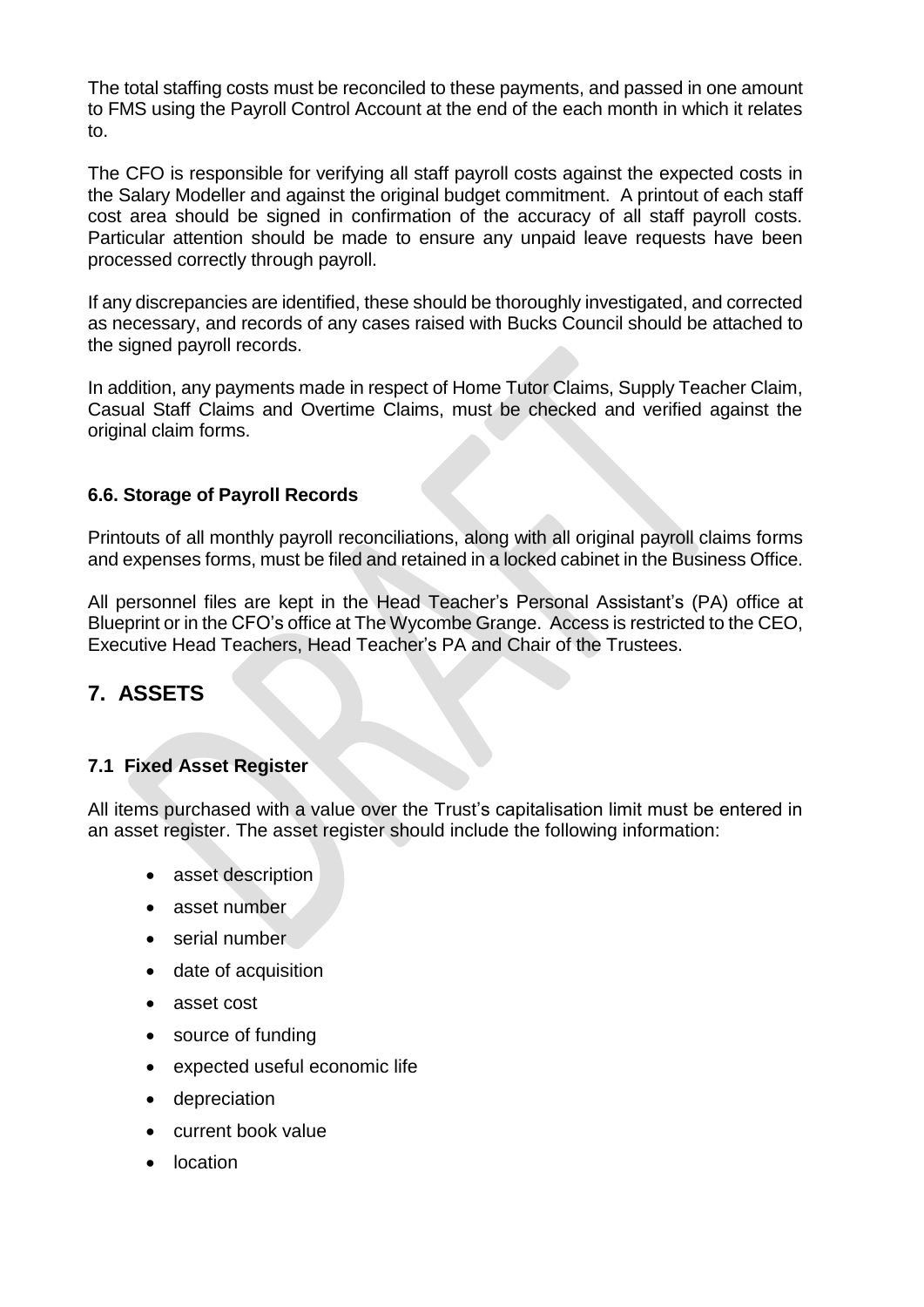The total staffing costs must be reconciled to these payments, and passed in one amount to FMS using the Payroll Control Account at the end of the each month in which it relates to.

The CFO is responsible for verifying all staff payroll costs against the expected costs in the Salary Modeller and against the original budget commitment. A printout of each staff cost area should be signed in confirmation of the accuracy of all staff payroll costs. Particular attention should be made to ensure any unpaid leave requests have been processed correctly through payroll.

If any discrepancies are identified, these should be thoroughly investigated, and corrected as necessary, and records of any cases raised with Bucks Council should be attached to the signed payroll records.

In addition, any payments made in respect of Home Tutor Claims, Supply Teacher Claim, Casual Staff Claims and Overtime Claims, must be checked and verified against the original claim forms.

### **6.6. Storage of Payroll Records**

Printouts of all monthly payroll reconciliations, along with all original payroll claims forms and expenses forms, must be filed and retained in a locked cabinet in the Business Office.

All personnel files are kept in the Head Teacher's Personal Assistant's (PA) office at Blueprint or in the CFO's office at The Wycombe Grange. Access is restricted to the CEO, Executive Head Teachers, Head Teacher's PA and Chair of the Trustees.

# **7. ASSETS**

### **7.1 Fixed Asset Register**

All items purchased with a value over the Trust's capitalisation limit must be entered in an asset register. The asset register should include the following information:

- asset description
- asset number
- serial number
- date of acquisition
- asset cost
- source of funding
- expected useful economic life
- depreciation
- current book value
- location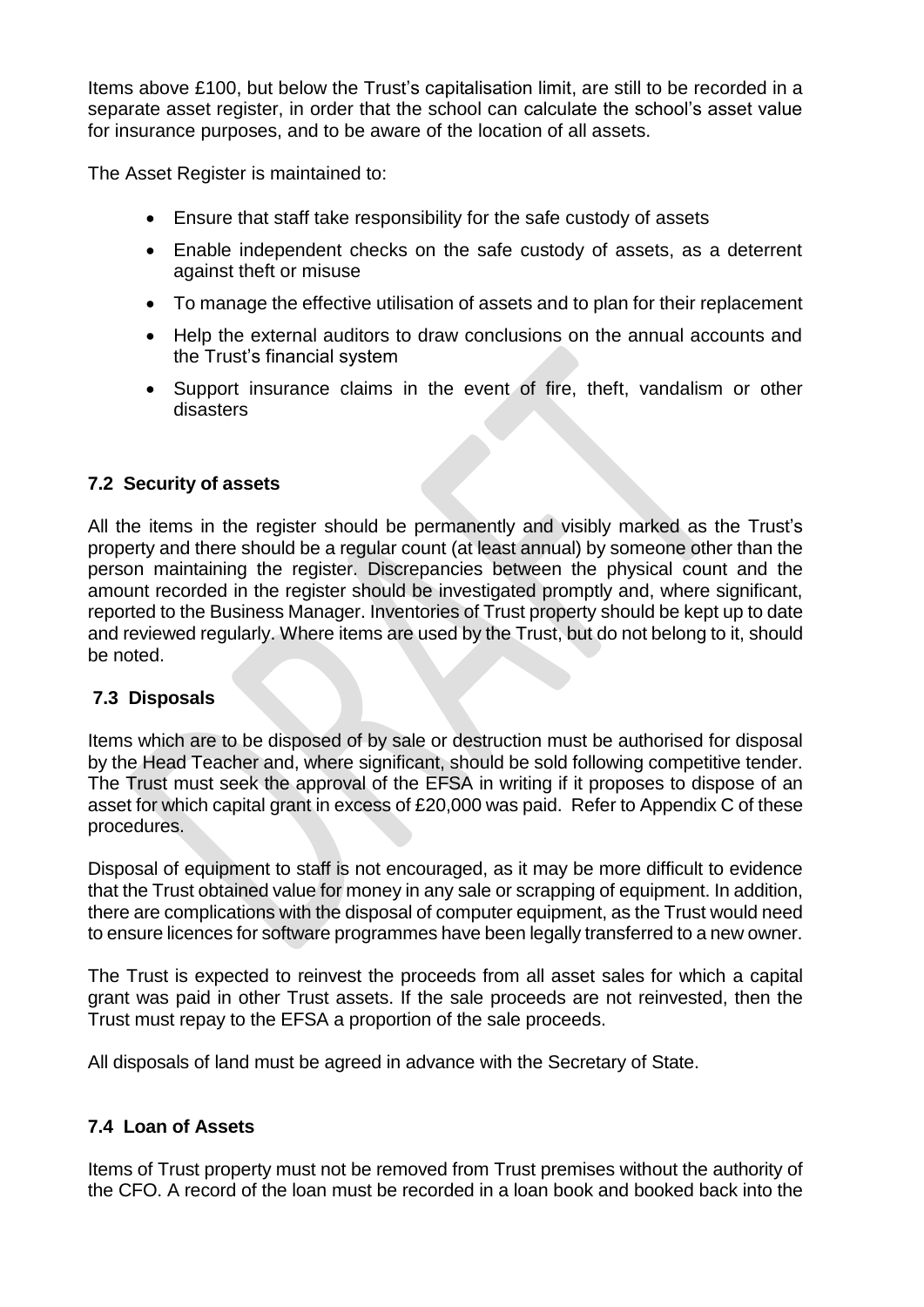Items above £100, but below the Trust's capitalisation limit, are still to be recorded in a separate asset register, in order that the school can calculate the school's asset value for insurance purposes, and to be aware of the location of all assets.

The Asset Register is maintained to:

- Ensure that staff take responsibility for the safe custody of assets
- Enable independent checks on the safe custody of assets, as a deterrent against theft or misuse
- To manage the effective utilisation of assets and to plan for their replacement
- Help the external auditors to draw conclusions on the annual accounts and the Trust's financial system
- Support insurance claims in the event of fire, theft, vandalism or other disasters

### **7.2 Security of assets**

All the items in the register should be permanently and visibly marked as the Trust's property and there should be a regular count (at least annual) by someone other than the person maintaining the register. Discrepancies between the physical count and the amount recorded in the register should be investigated promptly and, where significant, reported to the Business Manager. Inventories of Trust property should be kept up to date and reviewed regularly. Where items are used by the Trust, but do not belong to it, should be noted.

### **7.3 Disposals**

Items which are to be disposed of by sale or destruction must be authorised for disposal by the Head Teacher and, where significant, should be sold following competitive tender. The Trust must seek the approval of the EFSA in writing if it proposes to dispose of an asset for which capital grant in excess of £20,000 was paid. Refer to Appendix C of these procedures.

Disposal of equipment to staff is not encouraged, as it may be more difficult to evidence that the Trust obtained value for money in any sale or scrapping of equipment. In addition, there are complications with the disposal of computer equipment, as the Trust would need to ensure licences for software programmes have been legally transferred to a new owner.

The Trust is expected to reinvest the proceeds from all asset sales for which a capital grant was paid in other Trust assets. If the sale proceeds are not reinvested, then the Trust must repay to the EFSA a proportion of the sale proceeds.

All disposals of land must be agreed in advance with the Secretary of State.

### **7.4 Loan of Assets**

Items of Trust property must not be removed from Trust premises without the authority of the CFO. A record of the loan must be recorded in a loan book and booked back into the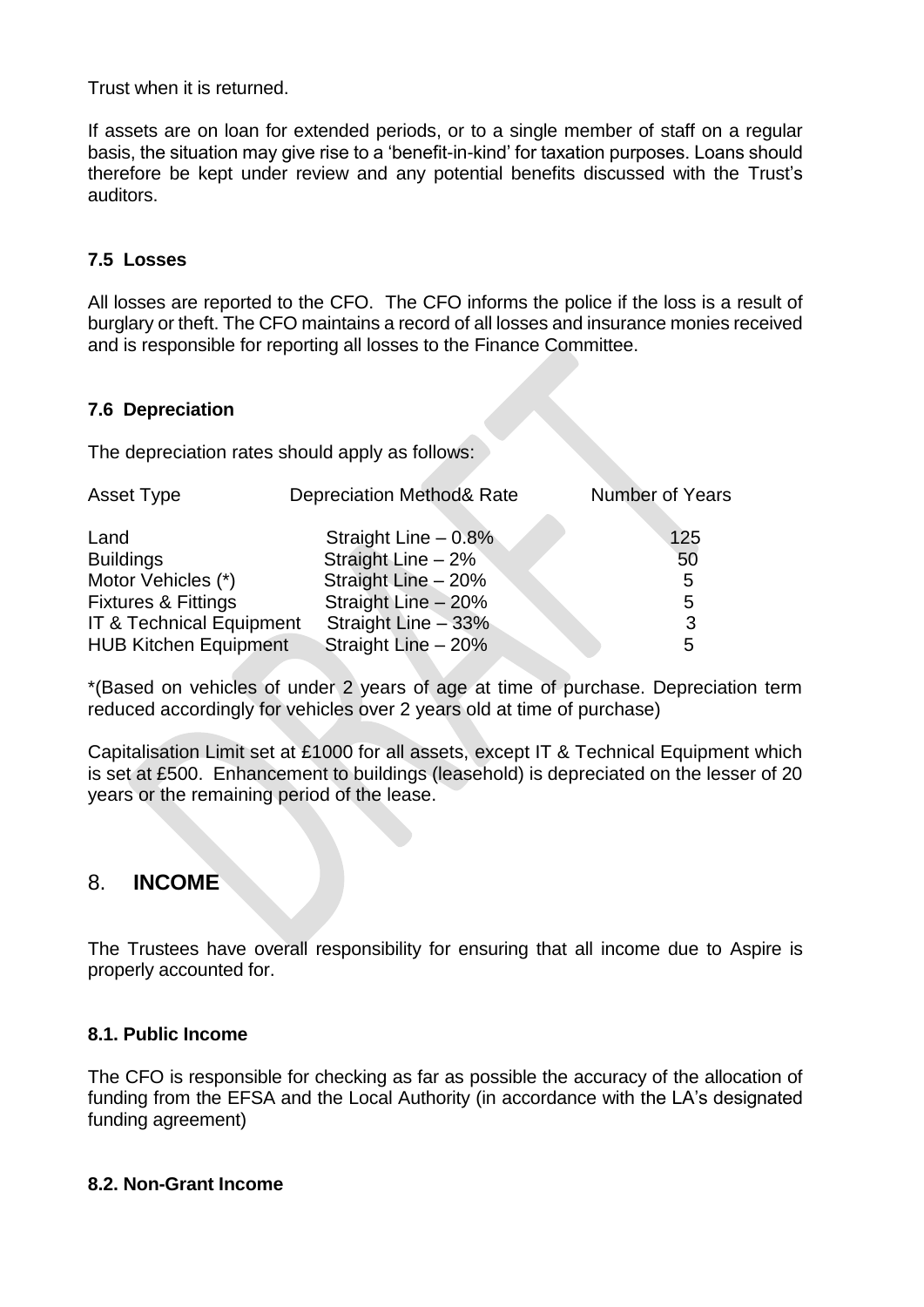Trust when it is returned.

If assets are on loan for extended periods, or to a single member of staff on a regular basis, the situation may give rise to a 'benefit-in-kind' for taxation purposes. Loans should therefore be kept under review and any potential benefits discussed with the Trust's auditors.

### **7.5 Losses**

All losses are reported to the CFO. The CFO informs the police if the loss is a result of burglary or theft. The CFO maintains a record of all losses and insurance monies received and is responsible for reporting all losses to the Finance Committee.

### **7.6 Depreciation**

The depreciation rates should apply as follows:

| Asset Type                     | <b>Depreciation Method&amp; Rate</b> | Number of Years |
|--------------------------------|--------------------------------------|-----------------|
| Land                           | Straight Line $-0.8\%$               | 125             |
| <b>Buildings</b>               | Straight Line $-2\%$                 | 50              |
| Motor Vehicles (*)             | Straight Line - 20%                  | 5               |
| <b>Fixtures &amp; Fittings</b> | Straight Line - 20%                  | 5               |
| IT & Technical Equipment       | Straight Line $-33%$                 | 3               |
| <b>HUB Kitchen Equipment</b>   | Straight Line - 20%                  | 5               |

\*(Based on vehicles of under 2 years of age at time of purchase. Depreciation term reduced accordingly for vehicles over 2 years old at time of purchase)

Capitalisation Limit set at £1000 for all assets, except IT & Technical Equipment which is set at £500. Enhancement to buildings (leasehold) is depreciated on the lesser of 20 years or the remaining period of the lease.

### 8. **INCOME**

The Trustees have overall responsibility for ensuring that all income due to Aspire is properly accounted for.

### **8.1. Public Income**

The CFO is responsible for checking as far as possible the accuracy of the allocation of funding from the EFSA and the Local Authority (in accordance with the LA's designated funding agreement)

#### **8.2. Non-Grant Income**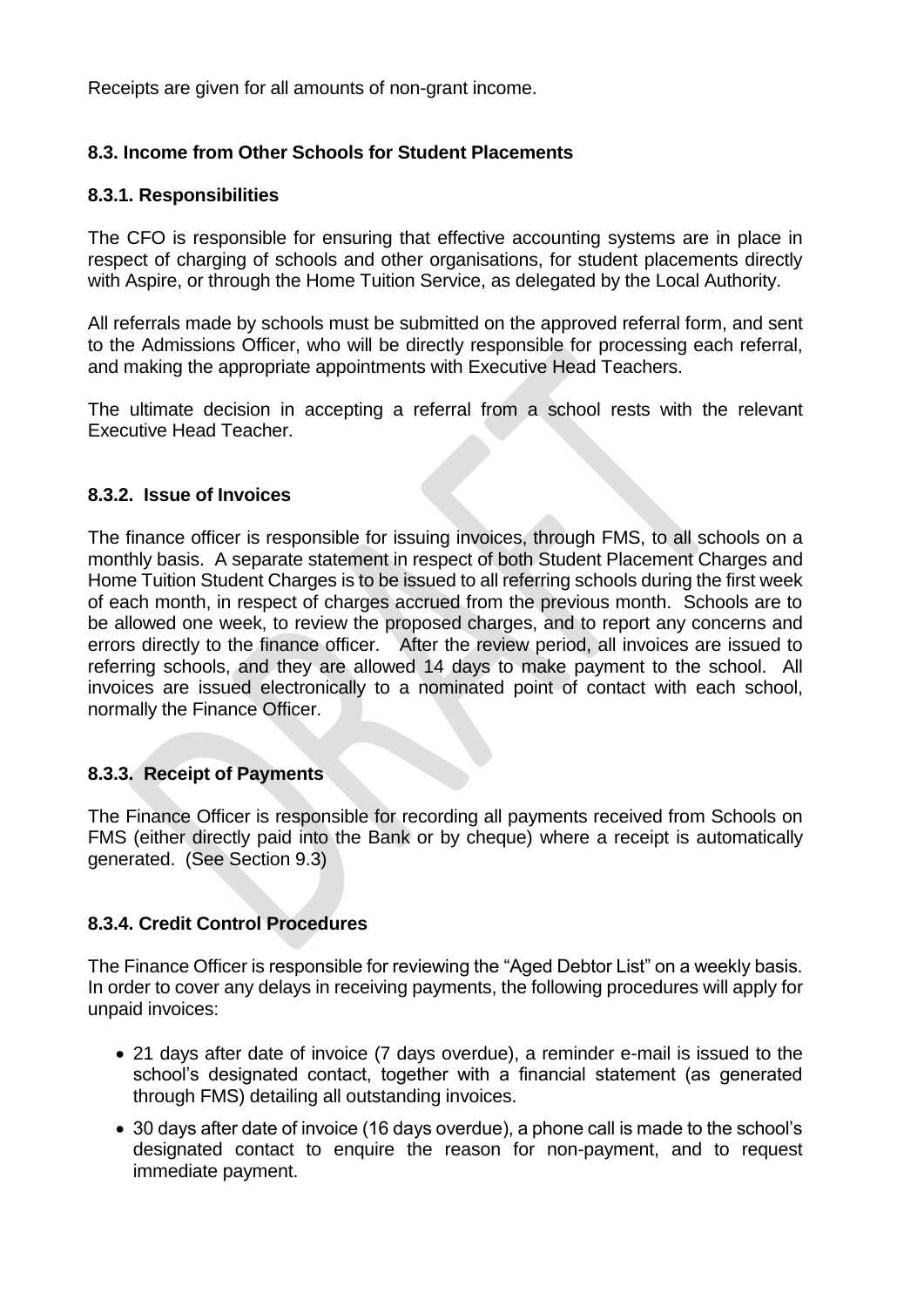Receipts are given for all amounts of non-grant income.

### **8.3. Income from Other Schools for Student Placements**

#### **8.3.1. Responsibilities**

The CFO is responsible for ensuring that effective accounting systems are in place in respect of charging of schools and other organisations, for student placements directly with Aspire, or through the Home Tuition Service, as delegated by the Local Authority.

All referrals made by schools must be submitted on the approved referral form, and sent to the Admissions Officer, who will be directly responsible for processing each referral, and making the appropriate appointments with Executive Head Teachers.

The ultimate decision in accepting a referral from a school rests with the relevant Executive Head Teacher.

#### **8.3.2. Issue of Invoices**

The finance officer is responsible for issuing invoices, through FMS, to all schools on a monthly basis. A separate statement in respect of both Student Placement Charges and Home Tuition Student Charges is to be issued to all referring schools during the first week of each month, in respect of charges accrued from the previous month. Schools are to be allowed one week, to review the proposed charges, and to report any concerns and errors directly to the finance officer. After the review period, all invoices are issued to referring schools, and they are allowed 14 days to make payment to the school. All invoices are issued electronically to a nominated point of contact with each school, normally the Finance Officer.

### **8.3.3. Receipt of Payments**

The Finance Officer is responsible for recording all payments received from Schools on FMS (either directly paid into the Bank or by cheque) where a receipt is automatically generated. (See Section 9.3)

### **8.3.4. Credit Control Procedures**

The Finance Officer is responsible for reviewing the "Aged Debtor List" on a weekly basis. In order to cover any delays in receiving payments, the following procedures will apply for unpaid invoices:

- 21 days after date of invoice (7 days overdue), a reminder e-mail is issued to the school's designated contact, together with a financial statement (as generated through FMS) detailing all outstanding invoices.
- 30 days after date of invoice (16 days overdue), a phone call is made to the school's designated contact to enquire the reason for non-payment, and to request immediate payment.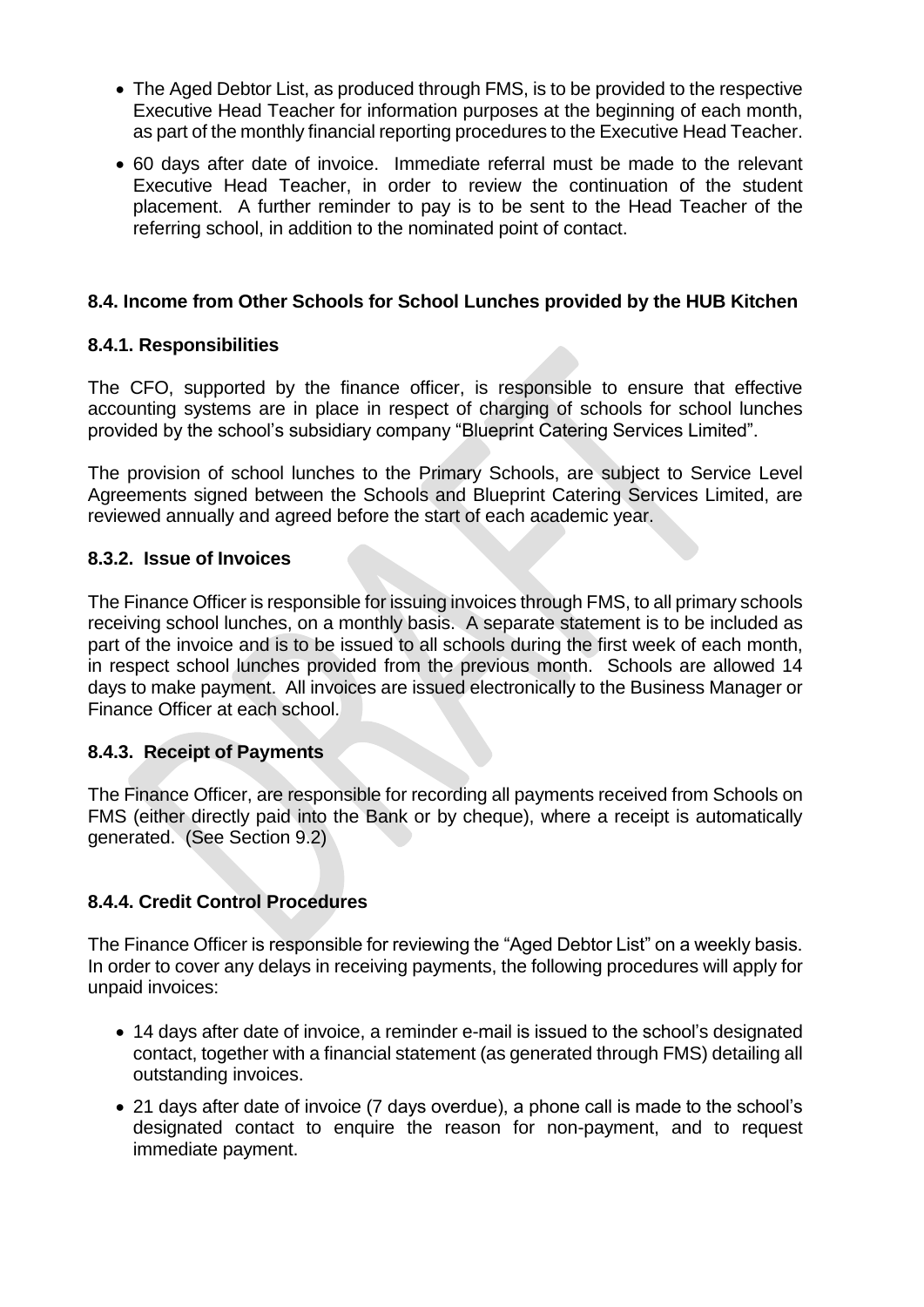- The Aged Debtor List, as produced through FMS, is to be provided to the respective Executive Head Teacher for information purposes at the beginning of each month, as part of the monthly financial reporting procedures to the Executive Head Teacher.
- 60 days after date of invoice. Immediate referral must be made to the relevant Executive Head Teacher, in order to review the continuation of the student placement. A further reminder to pay is to be sent to the Head Teacher of the referring school, in addition to the nominated point of contact.

### **8.4. Income from Other Schools for School Lunches provided by the HUB Kitchen**

### **8.4.1. Responsibilities**

The CFO, supported by the finance officer, is responsible to ensure that effective accounting systems are in place in respect of charging of schools for school lunches provided by the school's subsidiary company "Blueprint Catering Services Limited".

The provision of school lunches to the Primary Schools, are subject to Service Level Agreements signed between the Schools and Blueprint Catering Services Limited, are reviewed annually and agreed before the start of each academic year.

### **8.3.2. Issue of Invoices**

The Finance Officer is responsible for issuing invoices through FMS, to all primary schools receiving school lunches, on a monthly basis. A separate statement is to be included as part of the invoice and is to be issued to all schools during the first week of each month, in respect school lunches provided from the previous month. Schools are allowed 14 days to make payment. All invoices are issued electronically to the Business Manager or Finance Officer at each school.

### **8.4.3. Receipt of Payments**

The Finance Officer, are responsible for recording all payments received from Schools on FMS (either directly paid into the Bank or by cheque), where a receipt is automatically generated. (See Section 9.2)

### **8.4.4. Credit Control Procedures**

The Finance Officer is responsible for reviewing the "Aged Debtor List" on a weekly basis. In order to cover any delays in receiving payments, the following procedures will apply for unpaid invoices:

- 14 days after date of invoice, a reminder e-mail is issued to the school's designated contact, together with a financial statement (as generated through FMS) detailing all outstanding invoices.
- 21 days after date of invoice (7 days overdue), a phone call is made to the school's designated contact to enquire the reason for non-payment, and to request immediate payment.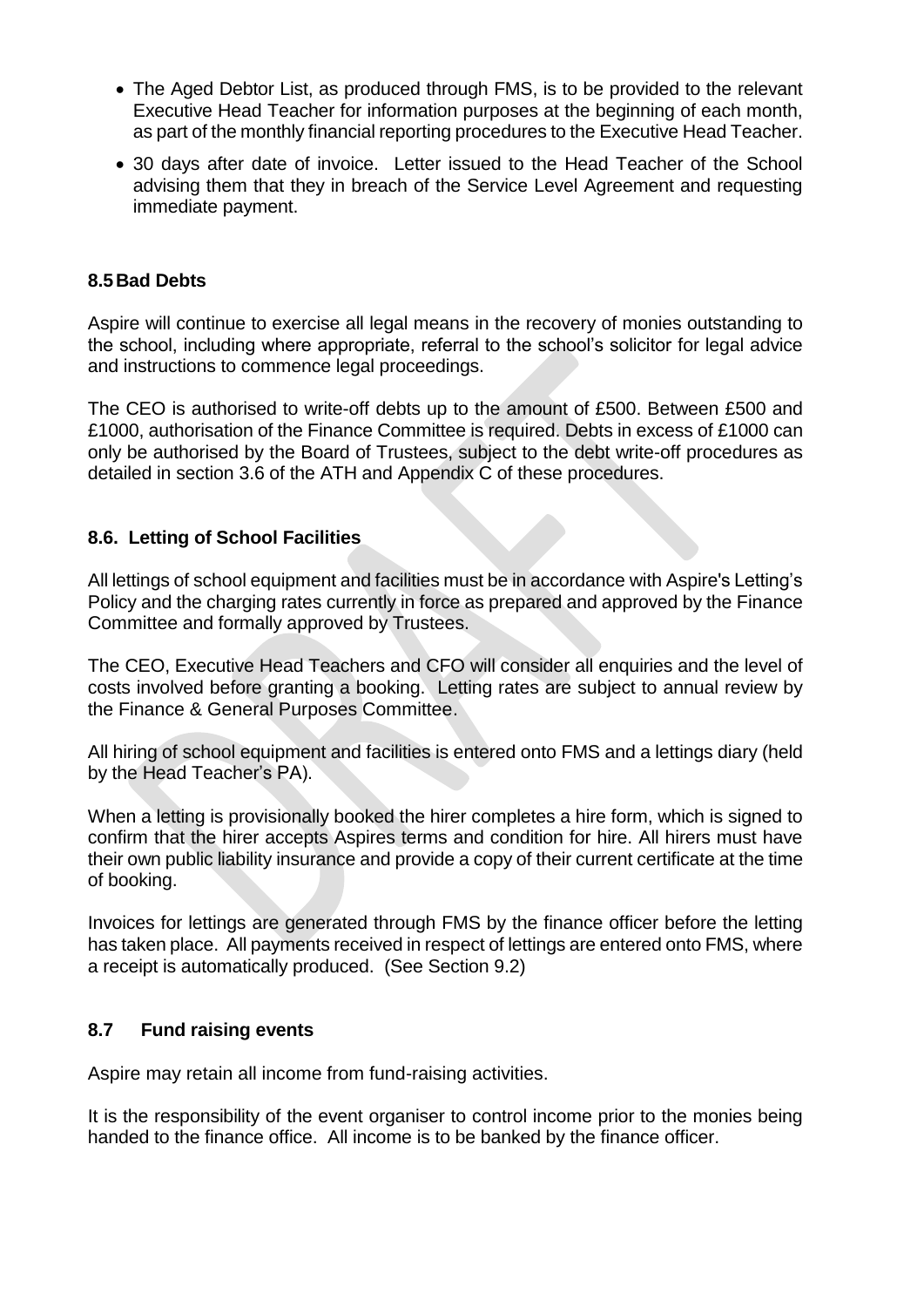- The Aged Debtor List, as produced through FMS, is to be provided to the relevant Executive Head Teacher for information purposes at the beginning of each month, as part of the monthly financial reporting procedures to the Executive Head Teacher.
- 30 days after date of invoice. Letter issued to the Head Teacher of the School advising them that they in breach of the Service Level Agreement and requesting immediate payment.

### **8.5Bad Debts**

Aspire will continue to exercise all legal means in the recovery of monies outstanding to the school, including where appropriate, referral to the school's solicitor for legal advice and instructions to commence legal proceedings.

The CEO is authorised to write-off debts up to the amount of £500. Between £500 and £1000, authorisation of the Finance Committee is required. Debts in excess of £1000 can only be authorised by the Board of Trustees, subject to the debt write-off procedures as detailed in section 3.6 of the ATH and Appendix C of these procedures.

### **8.6. Letting of School Facilities**

All lettings of school equipment and facilities must be in accordance with Aspire's Letting's Policy and the charging rates currently in force as prepared and approved by the Finance Committee and formally approved by Trustees.

The CEO, Executive Head Teachers and CFO will consider all enquiries and the level of costs involved before granting a booking. Letting rates are subject to annual review by the Finance & General Purposes Committee.

All hiring of school equipment and facilities is entered onto FMS and a lettings diary (held by the Head Teacher's PA).

When a letting is provisionally booked the hirer completes a hire form, which is signed to confirm that the hirer accepts Aspires terms and condition for hire. All hirers must have their own public liability insurance and provide a copy of their current certificate at the time of booking.

Invoices for lettings are generated through FMS by the finance officer before the letting has taken place. All payments received in respect of lettings are entered onto FMS, where a receipt is automatically produced. (See Section 9.2)

### **8.7 Fund raising events**

Aspire may retain all income from fund-raising activities.

It is the responsibility of the event organiser to control income prior to the monies being handed to the finance office. All income is to be banked by the finance officer.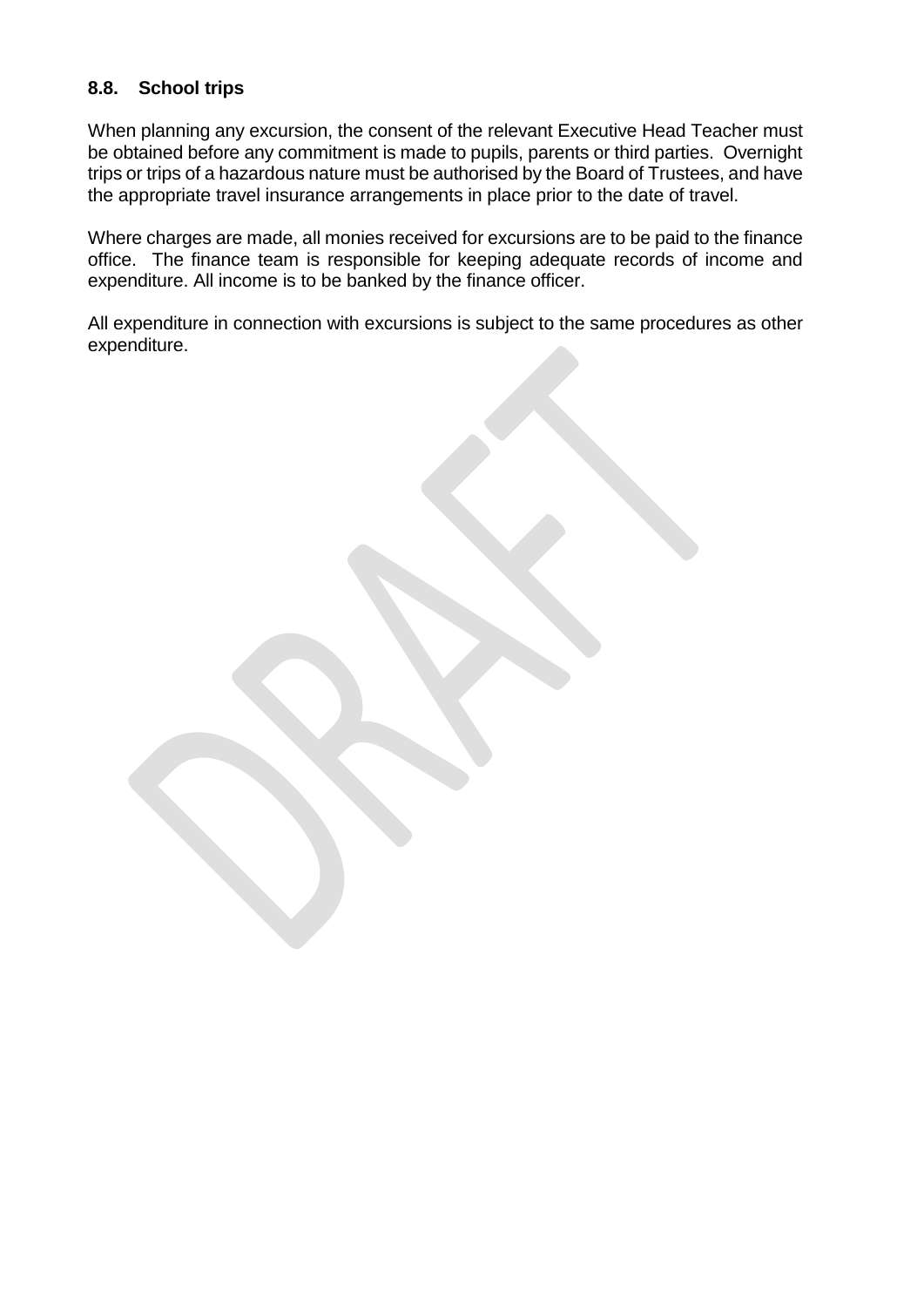### **8.8. School trips**

When planning any excursion, the consent of the relevant Executive Head Teacher must be obtained before any commitment is made to pupils, parents or third parties. Overnight trips or trips of a hazardous nature must be authorised by the Board of Trustees, and have the appropriate travel insurance arrangements in place prior to the date of travel.

Where charges are made, all monies received for excursions are to be paid to the finance office. The finance team is responsible for keeping adequate records of income and expenditure. All income is to be banked by the finance officer.

All expenditure in connection with excursions is subject to the same procedures as other expenditure.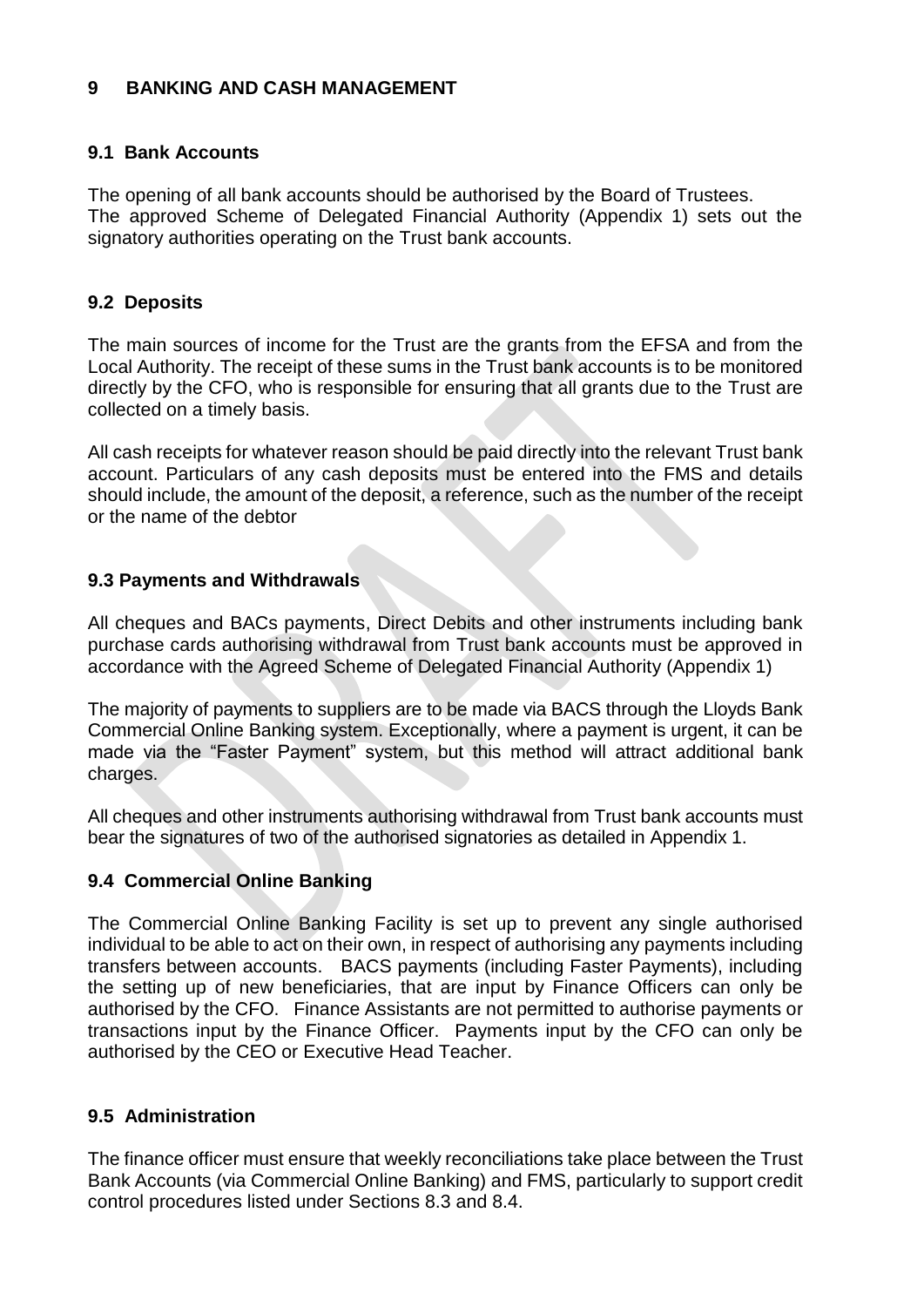### **9 BANKING AND CASH MANAGEMENT**

### **9.1 Bank Accounts**

The opening of all bank accounts should be authorised by the Board of Trustees. The approved Scheme of Delegated Financial Authority (Appendix 1) sets out the signatory authorities operating on the Trust bank accounts.

### **9.2 Deposits**

The main sources of income for the Trust are the grants from the EFSA and from the Local Authority. The receipt of these sums in the Trust bank accounts is to be monitored directly by the CFO, who is responsible for ensuring that all grants due to the Trust are collected on a timely basis.

All cash receipts for whatever reason should be paid directly into the relevant Trust bank account. Particulars of any cash deposits must be entered into the FMS and details should include, the amount of the deposit, a reference, such as the number of the receipt or the name of the debtor

### **9.3 Payments and Withdrawals**

All cheques and BACs payments, Direct Debits and other instruments including bank purchase cards authorising withdrawal from Trust bank accounts must be approved in accordance with the Agreed Scheme of Delegated Financial Authority (Appendix 1)

The majority of payments to suppliers are to be made via BACS through the Lloyds Bank Commercial Online Banking system. Exceptionally, where a payment is urgent, it can be made via the "Faster Payment" system, but this method will attract additional bank charges.

All cheques and other instruments authorising withdrawal from Trust bank accounts must bear the signatures of two of the authorised signatories as detailed in Appendix 1.

### **9.4 Commercial Online Banking**

The Commercial Online Banking Facility is set up to prevent any single authorised individual to be able to act on their own, in respect of authorising any payments including transfers between accounts. BACS payments (including Faster Payments), including the setting up of new beneficiaries, that are input by Finance Officers can only be authorised by the CFO. Finance Assistants are not permitted to authorise payments or transactions input by the Finance Officer. Payments input by the CFO can only be authorised by the CEO or Executive Head Teacher.

### **9.5 Administration**

The finance officer must ensure that weekly reconciliations take place between the Trust Bank Accounts (via Commercial Online Banking) and FMS, particularly to support credit control procedures listed under Sections 8.3 and 8.4.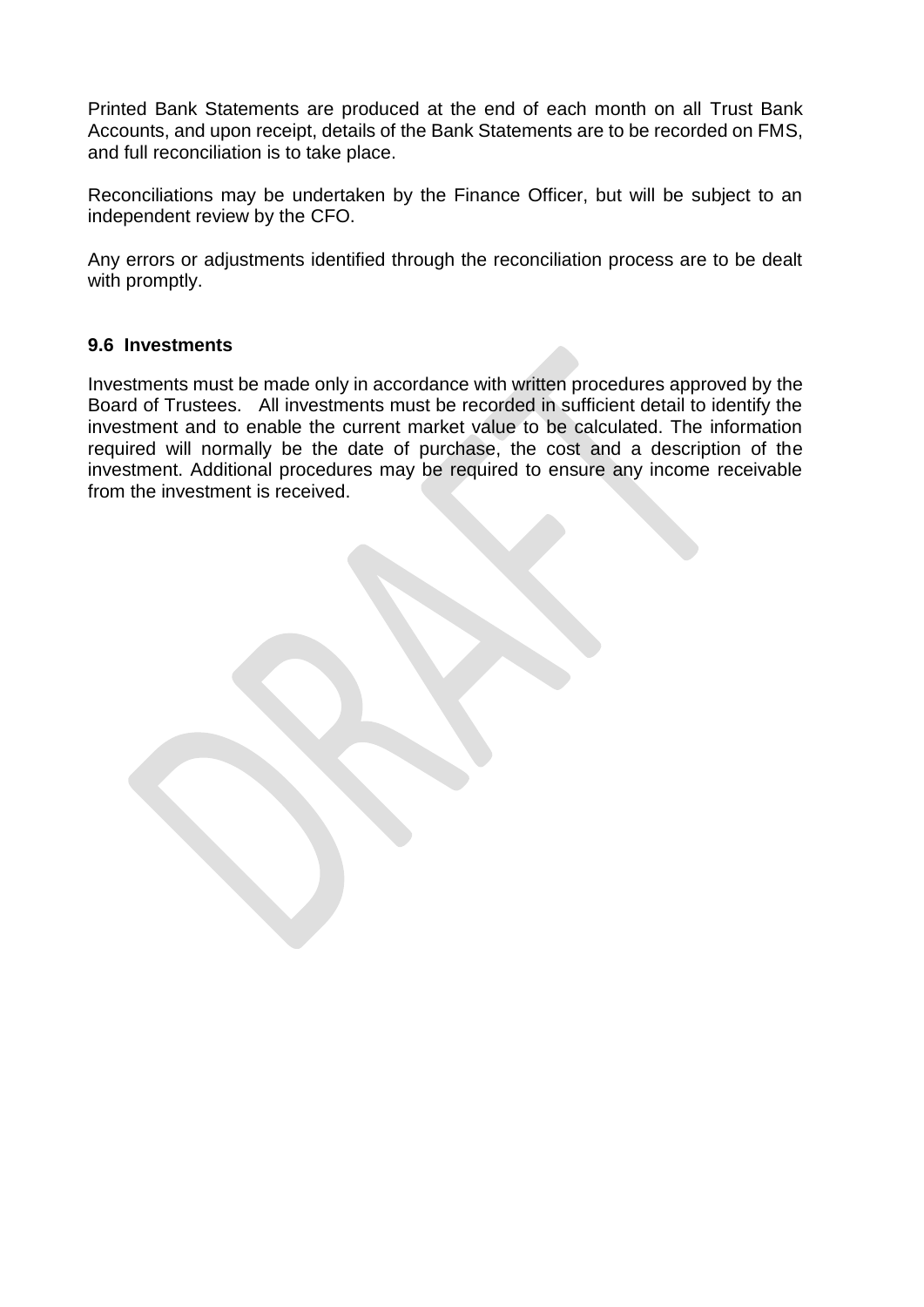Printed Bank Statements are produced at the end of each month on all Trust Bank Accounts, and upon receipt, details of the Bank Statements are to be recorded on FMS, and full reconciliation is to take place.

Reconciliations may be undertaken by the Finance Officer, but will be subject to an independent review by the CFO.

Any errors or adjustments identified through the reconciliation process are to be dealt with promptly.

### **9.6 Investments**

Investments must be made only in accordance with written procedures approved by the Board of Trustees. All investments must be recorded in sufficient detail to identify the investment and to enable the current market value to be calculated. The information required will normally be the date of purchase, the cost and a description of the investment. Additional procedures may be required to ensure any income receivable from the investment is received.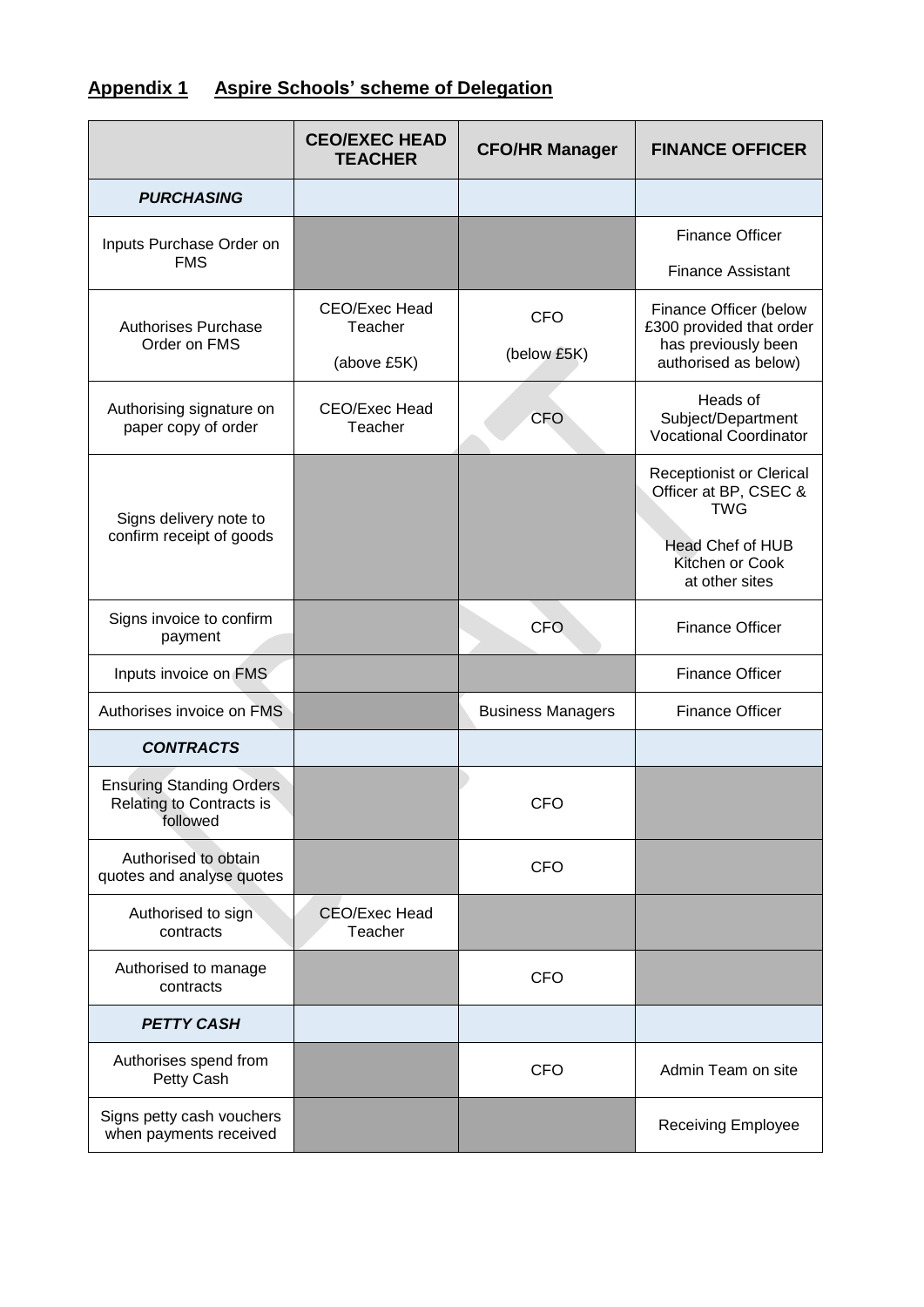# **Appendix 1 Aspire Schools' scheme of Delegation**

|                                                                         | <b>CEO/EXEC HEAD</b><br><b>TEACHER</b>  | <b>CFO/HR Manager</b>     | <b>FINANCE OFFICER</b>                                                                            |
|-------------------------------------------------------------------------|-----------------------------------------|---------------------------|---------------------------------------------------------------------------------------------------|
| <b>PURCHASING</b>                                                       |                                         |                           |                                                                                                   |
| Inputs Purchase Order on                                                |                                         |                           | <b>Finance Officer</b>                                                                            |
| <b>FMS</b>                                                              |                                         |                           | <b>Finance Assistant</b>                                                                          |
| <b>Authorises Purchase</b><br>Order on FMS                              | CEO/Exec Head<br>Teacher<br>(above £5K) | <b>CFO</b><br>(below £5K) | Finance Officer (below<br>£300 provided that order<br>has previously been<br>authorised as below) |
| Authorising signature on<br>paper copy of order                         | CEO/Exec Head<br>Teacher                | <b>CFO</b>                | Heads of<br>Subject/Department<br><b>Vocational Coordinator</b>                                   |
| Signs delivery note to<br>confirm receipt of goods                      |                                         |                           | <b>Receptionist or Clerical</b><br>Officer at BP, CSEC &<br><b>TWG</b><br><b>Head Chef of HUB</b> |
|                                                                         |                                         |                           | Kitchen or Cook<br>at other sites                                                                 |
| Signs invoice to confirm<br>payment                                     |                                         | <b>CFO</b>                | <b>Finance Officer</b>                                                                            |
| Inputs invoice on FMS                                                   |                                         |                           | <b>Finance Officer</b>                                                                            |
| Authorises invoice on FMS                                               |                                         | <b>Business Managers</b>  | <b>Finance Officer</b>                                                                            |
| <b>CONTRACTS</b>                                                        |                                         |                           |                                                                                                   |
| <b>Ensuring Standing Orders</b><br>Relating to Contracts is<br>tollowed |                                         | <b>CFO</b>                |                                                                                                   |
| Authorised to obtain<br>quotes and analyse quotes                       |                                         | <b>CFO</b>                |                                                                                                   |
| Authorised to sign<br>contracts                                         | <b>CEO/Exec Head</b><br>Teacher         |                           |                                                                                                   |
| Authorised to manage<br>contracts                                       |                                         | <b>CFO</b>                |                                                                                                   |
| <b>PETTY CASH</b>                                                       |                                         |                           |                                                                                                   |
| Authorises spend from<br>Petty Cash                                     |                                         | <b>CFO</b>                | Admin Team on site                                                                                |
| Signs petty cash vouchers<br>when payments received                     |                                         |                           | <b>Receiving Employee</b>                                                                         |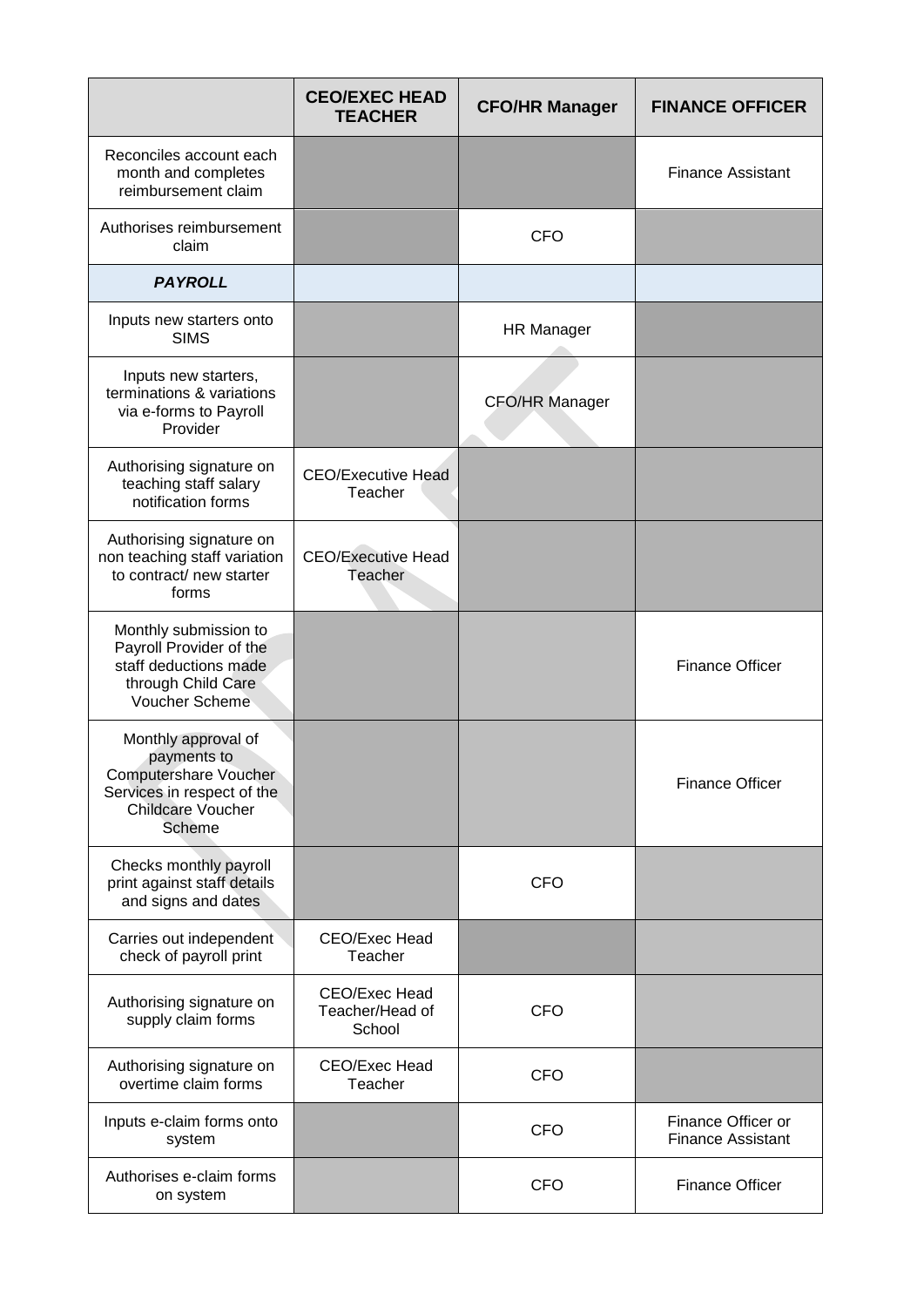|                                                                                                                                 | <b>CEO/EXEC HEAD</b><br><b>TEACHER</b>     | <b>CFO/HR Manager</b> | <b>FINANCE OFFICER</b>                         |
|---------------------------------------------------------------------------------------------------------------------------------|--------------------------------------------|-----------------------|------------------------------------------------|
| Reconciles account each<br>month and completes<br>reimbursement claim                                                           |                                            |                       | <b>Finance Assistant</b>                       |
| Authorises reimbursement<br>claim                                                                                               |                                            | <b>CFO</b>            |                                                |
| <b>PAYROLL</b>                                                                                                                  |                                            |                       |                                                |
| Inputs new starters onto<br><b>SIMS</b>                                                                                         |                                            | <b>HR Manager</b>     |                                                |
| Inputs new starters,<br>terminations & variations<br>via e-forms to Payroll<br>Provider                                         |                                            | <b>CFO/HR Manager</b> |                                                |
| Authorising signature on<br>teaching staff salary<br>notification forms                                                         | <b>CEO/Executive Head</b><br>Teacher       |                       |                                                |
| Authorising signature on<br>non teaching staff variation<br>to contract/ new starter<br>forms                                   | <b>CEO/Executive Head</b><br>Teacher       |                       |                                                |
| Monthly submission to<br>Payroll Provider of the<br>staff deductions made<br>through Child Care<br>Voucher Scheme               |                                            |                       | <b>Finance Officer</b>                         |
| Monthly approval of<br>payments to<br>Computershare Voucher<br>Services in respect of the<br><b>Childcare Voucher</b><br>Scheme |                                            |                       | <b>Finance Officer</b>                         |
| Checks monthly payroll<br>print against staff details<br>and signs and dates                                                    |                                            | <b>CFO</b>            |                                                |
| Carries out independent<br>check of payroll print                                                                               | CEO/Exec Head<br>Teacher                   |                       |                                                |
| Authorising signature on<br>supply claim forms                                                                                  | CEO/Exec Head<br>Teacher/Head of<br>School | <b>CFO</b>            |                                                |
| Authorising signature on<br>overtime claim forms                                                                                | CEO/Exec Head<br>Teacher                   | <b>CFO</b>            |                                                |
| Inputs e-claim forms onto<br>system                                                                                             |                                            | <b>CFO</b>            | Finance Officer or<br><b>Finance Assistant</b> |
| Authorises e-claim forms<br>on system                                                                                           |                                            | <b>CFO</b>            | <b>Finance Officer</b>                         |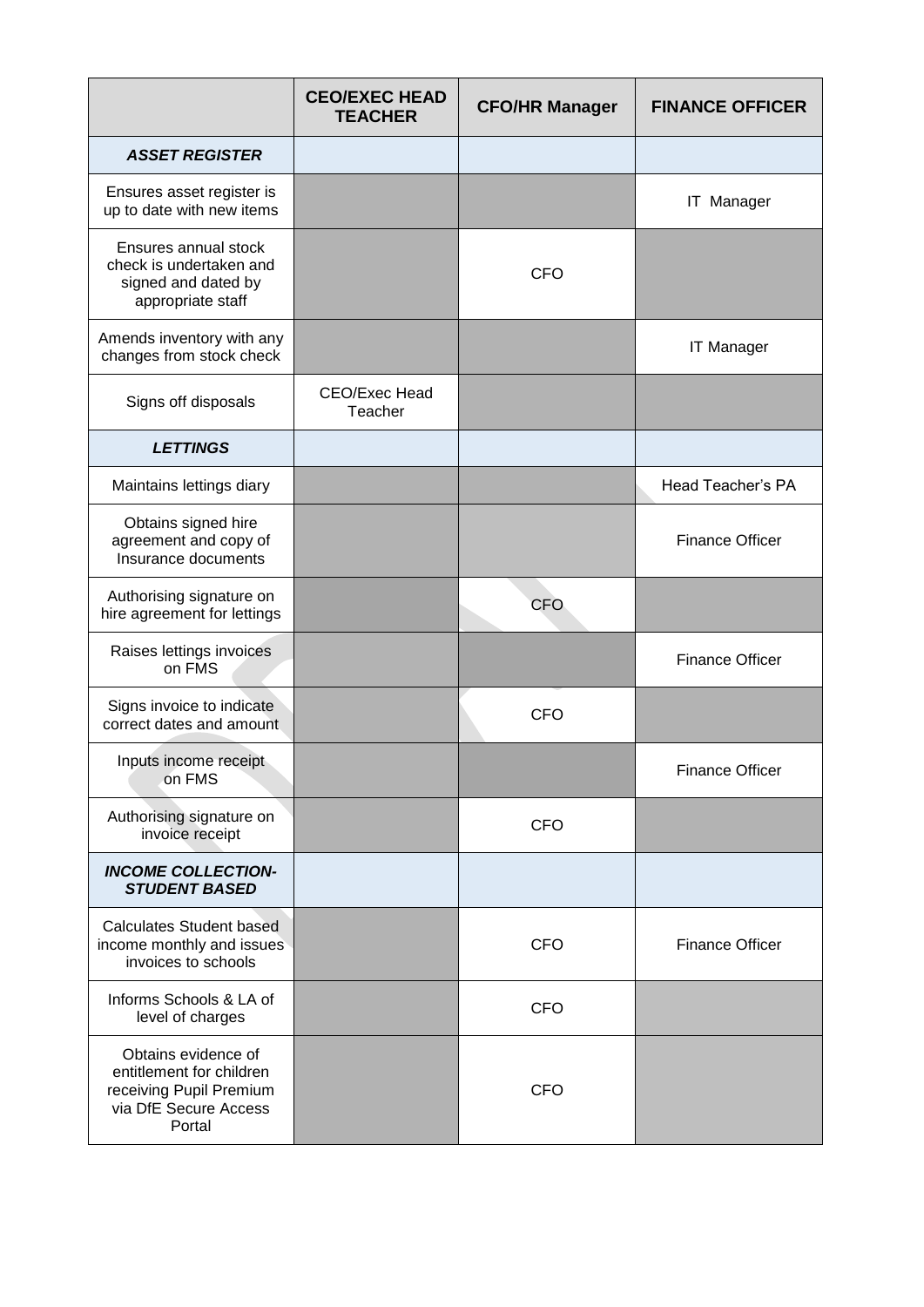|                                                                                                               | <b>CEO/EXEC HEAD</b><br><b>TEACHER</b> | <b>CFO/HR Manager</b> | <b>FINANCE OFFICER</b> |
|---------------------------------------------------------------------------------------------------------------|----------------------------------------|-----------------------|------------------------|
| <b>ASSET REGISTER</b>                                                                                         |                                        |                       |                        |
| Ensures asset register is<br>up to date with new items                                                        |                                        |                       | <b>IT Manager</b>      |
| Ensures annual stock<br>check is undertaken and<br>signed and dated by<br>appropriate staff                   |                                        | <b>CFO</b>            |                        |
| Amends inventory with any<br>changes from stock check                                                         |                                        |                       | <b>IT Manager</b>      |
| Signs off disposals                                                                                           | CEO/Exec Head<br>Teacher               |                       |                        |
| <b>LETTINGS</b>                                                                                               |                                        |                       |                        |
| Maintains lettings diary                                                                                      |                                        |                       | Head Teacher's PA      |
| Obtains signed hire<br>agreement and copy of<br>Insurance documents                                           |                                        |                       | <b>Finance Officer</b> |
| Authorising signature on<br>hire agreement for lettings                                                       |                                        | <b>CFO</b>            |                        |
| Raises lettings invoices<br>on FMS                                                                            |                                        |                       | <b>Finance Officer</b> |
| Signs invoice to indicate<br>correct dates and amount                                                         |                                        | <b>CFO</b>            |                        |
| Inputs income receipt<br>on FMS                                                                               |                                        |                       | <b>Finance Officer</b> |
| Authorising signature on<br>invoice receipt                                                                   |                                        | <b>CFO</b>            |                        |
| <b>INCOME COLLECTION-</b><br><b>STUDENT BASED</b>                                                             |                                        |                       |                        |
| <b>Calculates Student based</b><br>income monthly and issues<br>invoices to schools                           |                                        | <b>CFO</b>            | <b>Finance Officer</b> |
| Informs Schools & LA of<br>level of charges                                                                   |                                        | <b>CFO</b>            |                        |
| Obtains evidence of<br>entitlement for children<br>receiving Pupil Premium<br>via DfE Secure Access<br>Portal |                                        | <b>CFO</b>            |                        |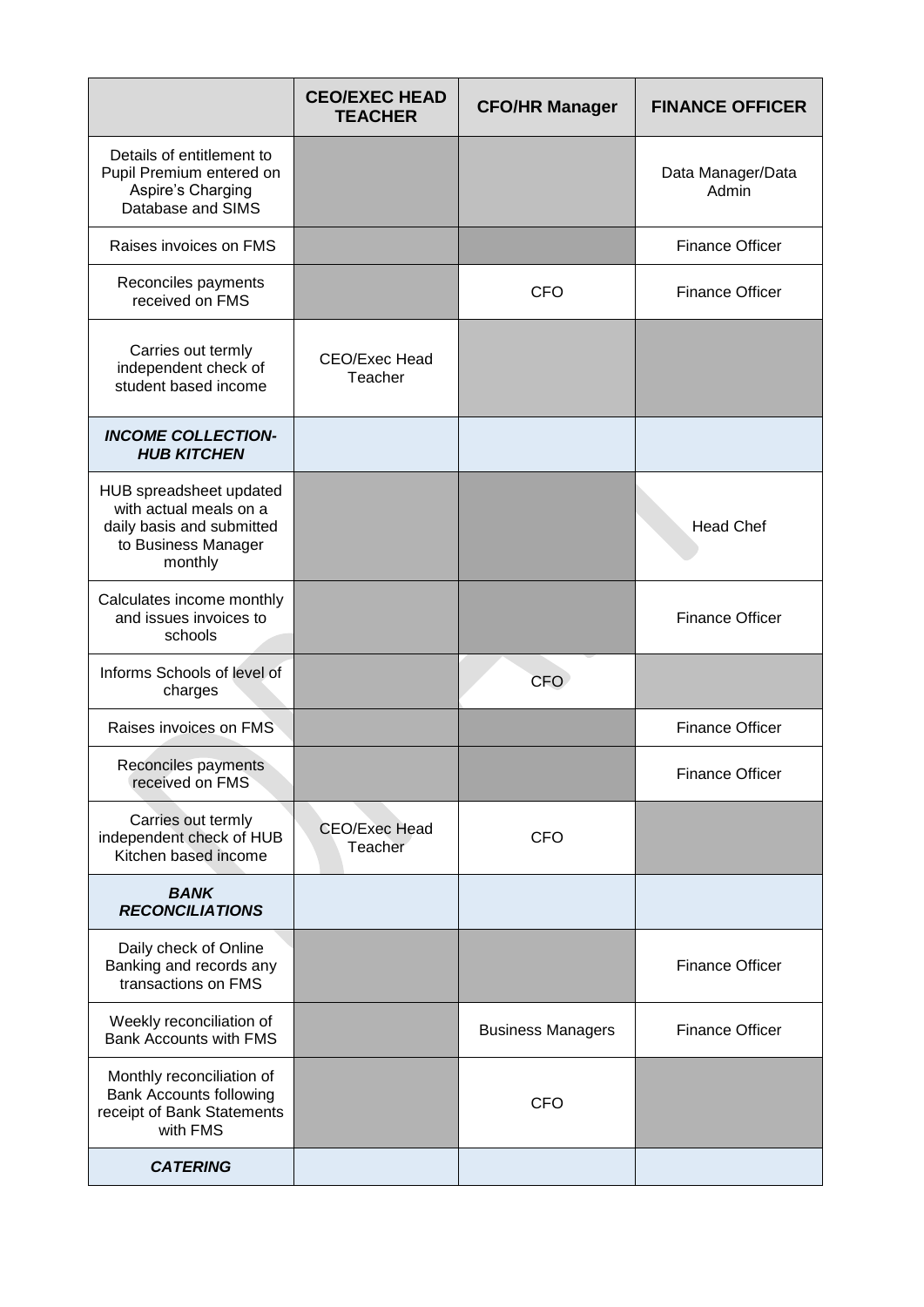|                                                                                                                  | <b>CEO/EXEC HEAD</b><br><b>TEACHER</b> | <b>CFO/HR Manager</b>    | <b>FINANCE OFFICER</b>     |
|------------------------------------------------------------------------------------------------------------------|----------------------------------------|--------------------------|----------------------------|
| Details of entitlement to<br>Pupil Premium entered on<br>Aspire's Charging<br>Database and SIMS                  |                                        |                          | Data Manager/Data<br>Admin |
| Raises invoices on FMS                                                                                           |                                        |                          | <b>Finance Officer</b>     |
| Reconciles payments<br>received on FMS                                                                           |                                        | <b>CFO</b>               | <b>Finance Officer</b>     |
| Carries out termly<br>independent check of<br>student based income                                               | CEO/Exec Head<br>Teacher               |                          |                            |
| <b>INCOME COLLECTION-</b><br><b>HUB KITCHEN</b>                                                                  |                                        |                          |                            |
| HUB spreadsheet updated<br>with actual meals on a<br>daily basis and submitted<br>to Business Manager<br>monthly |                                        |                          | <b>Head Chef</b>           |
| Calculates income monthly<br>and issues invoices to<br>schools                                                   |                                        |                          | <b>Finance Officer</b>     |
| Informs Schools of level of<br>charges                                                                           |                                        | CFO                      |                            |
| Raises invoices on FMS                                                                                           |                                        |                          | <b>Finance Officer</b>     |
| Reconciles payments<br>received on FMS                                                                           |                                        |                          | <b>Finance Officer</b>     |
| Carries out termly<br>independent check of HUB<br>Kitchen based income                                           | <b>CEO/Exec Head</b><br>Teacher        | <b>CFO</b>               |                            |
| <b>BANK</b><br><b>RECONCILIATIONS</b>                                                                            |                                        |                          |                            |
| Daily check of Online<br>Banking and records any<br>transactions on FMS                                          |                                        |                          | <b>Finance Officer</b>     |
| Weekly reconciliation of<br><b>Bank Accounts with FMS</b>                                                        |                                        | <b>Business Managers</b> | <b>Finance Officer</b>     |
| Monthly reconciliation of<br><b>Bank Accounts following</b><br>receipt of Bank Statements<br>with FMS            |                                        | <b>CFO</b>               |                            |
| <b>CATERING</b>                                                                                                  |                                        |                          |                            |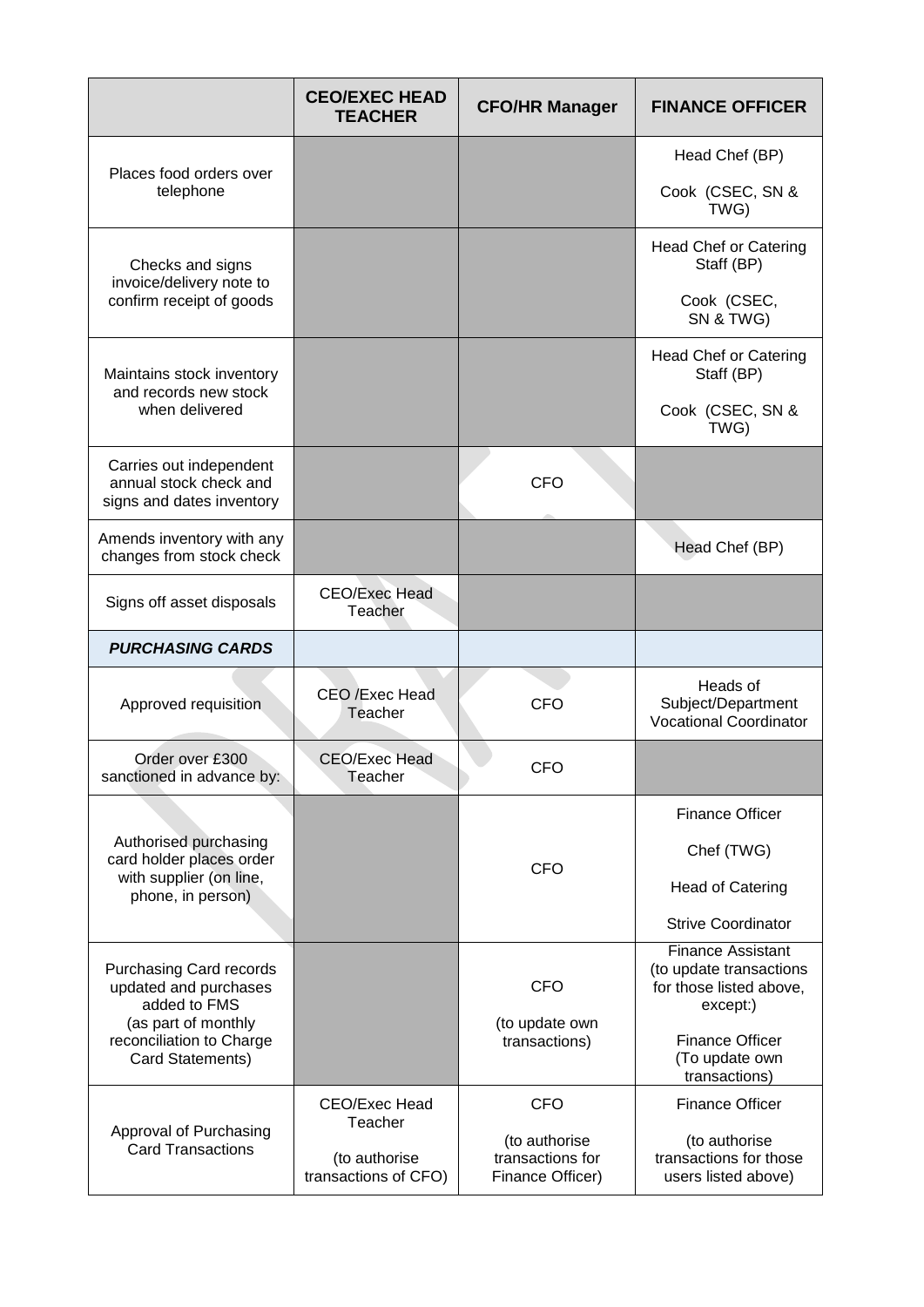|                                                                                | <b>CEO/EXEC HEAD</b><br><b>TEACHER</b> | <b>CFO/HR Manager</b>                                 | <b>FINANCE OFFICER</b>                                                                     |
|--------------------------------------------------------------------------------|----------------------------------------|-------------------------------------------------------|--------------------------------------------------------------------------------------------|
|                                                                                |                                        |                                                       | Head Chef (BP)                                                                             |
| Places food orders over<br>telephone                                           |                                        |                                                       | Cook (CSEC, SN &<br>TWG)                                                                   |
| Checks and signs<br>invoice/delivery note to                                   |                                        |                                                       | <b>Head Chef or Catering</b><br>Staff (BP)                                                 |
| confirm receipt of goods                                                       |                                        |                                                       | Cook (CSEC,<br>SN & TWG)                                                                   |
| Maintains stock inventory<br>and records new stock                             |                                        |                                                       | <b>Head Chef or Catering</b><br>Staff (BP)                                                 |
| when delivered                                                                 |                                        |                                                       | Cook (CSEC, SN &<br>TWG)                                                                   |
| Carries out independent<br>annual stock check and<br>signs and dates inventory |                                        | <b>CFO</b>                                            |                                                                                            |
| Amends inventory with any<br>changes from stock check                          |                                        |                                                       | Head Chef (BP)                                                                             |
| Signs off asset disposals                                                      | <b>CEO/Exec Head</b><br>Teacher        |                                                       |                                                                                            |
| <b>PURCHASING CARDS</b>                                                        |                                        |                                                       |                                                                                            |
| Approved requisition                                                           | CEO /Exec Head<br>Teacher              | <b>CFO</b>                                            | Heads of<br>Subject/Department<br><b>Vocational Coordinator</b>                            |
| Order over £300<br>sanctioned in advance by:                                   | <b>CEO/Exec Head</b><br>Teacher        | CFO                                                   |                                                                                            |
|                                                                                |                                        |                                                       | <b>Finance Officer</b>                                                                     |
| Authorised purchasing<br>card holder places order                              |                                        | <b>CFO</b>                                            | Chef (TWG)                                                                                 |
| with supplier (on line,<br>phone, in person)                                   |                                        |                                                       | <b>Head of Catering</b>                                                                    |
|                                                                                |                                        |                                                       | <b>Strive Coordinator</b>                                                                  |
| <b>Purchasing Card records</b><br>updated and purchases<br>added to FMS        |                                        | <b>CFO</b>                                            | <b>Finance Assistant</b><br>(to update transactions<br>for those listed above,<br>except:) |
| (as part of monthly<br>reconciliation to Charge<br>Card Statements)            |                                        | (to update own<br>transactions)                       | <b>Finance Officer</b><br>(To update own<br>transactions)                                  |
|                                                                                | CEO/Exec Head<br>Teacher               | <b>CFO</b>                                            | <b>Finance Officer</b>                                                                     |
| Approval of Purchasing<br><b>Card Transactions</b>                             | (to authorise<br>transactions of CFO)  | (to authorise<br>transactions for<br>Finance Officer) | (to authorise<br>transactions for those<br>users listed above)                             |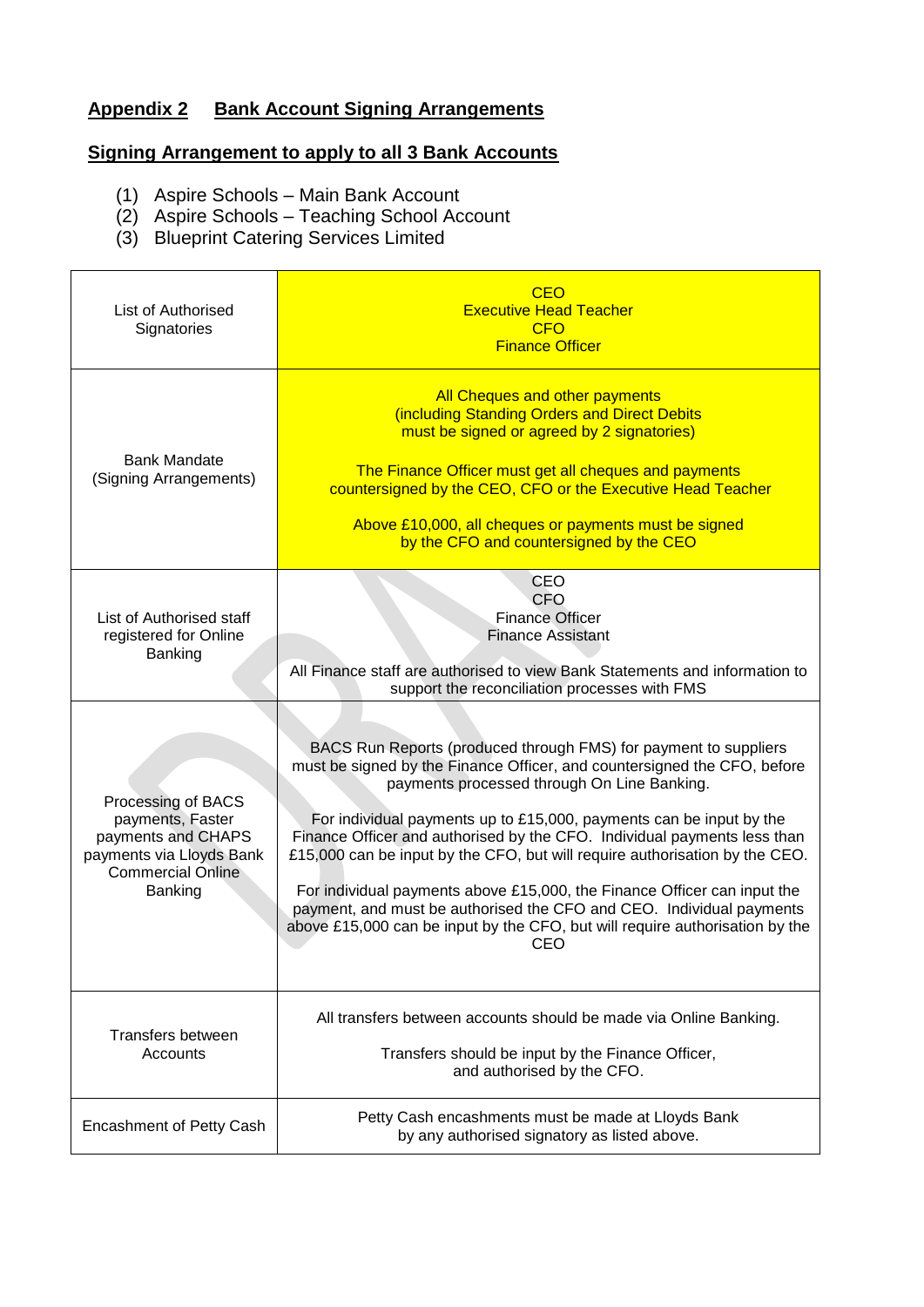### **Appendix 2 Bank Account Signing Arrangements**

# **Signing Arrangement to apply to all 3 Bank Accounts**

- (1) Aspire Schools Main Bank Account
- (2) Aspire Schools Teaching School Account
- (3) Blueprint Catering Services Limited

| List of Authorised<br>Signatories                                                                                               | <b>CEO</b><br><b>Executive Head Teacher</b><br><b>CFO</b><br><b>Finance Officer</b>                                                                                                                                                                                                                                                                                                                                                                                                                                                                                                                                                                                      |
|---------------------------------------------------------------------------------------------------------------------------------|--------------------------------------------------------------------------------------------------------------------------------------------------------------------------------------------------------------------------------------------------------------------------------------------------------------------------------------------------------------------------------------------------------------------------------------------------------------------------------------------------------------------------------------------------------------------------------------------------------------------------------------------------------------------------|
| <b>Bank Mandate</b><br>(Signing Arrangements)                                                                                   | All Cheques and other payments<br>(including Standing Orders and Direct Debits<br>must be signed or agreed by 2 signatories)<br>The Finance Officer must get all cheques and payments<br>countersigned by the CEO, CFO or the Executive Head Teacher<br>Above £10,000, all cheques or payments must be signed<br>by the CFO and countersigned by the CEO                                                                                                                                                                                                                                                                                                                 |
| List of Authorised staff<br>registered for Online<br>Banking                                                                    | <b>CEO</b><br><b>CFO</b><br><b>Finance Officer</b><br><b>Finance Assistant</b><br>All Finance staff are authorised to view Bank Statements and information to<br>support the reconciliation processes with FMS                                                                                                                                                                                                                                                                                                                                                                                                                                                           |
| Processing of BACS<br>payments, Faster<br>payments and CHAPS<br>payments via Lloyds Bank<br><b>Commercial Online</b><br>Banking | BACS Run Reports (produced through FMS) for payment to suppliers<br>must be signed by the Finance Officer, and countersigned the CFO, before<br>payments processed through On Line Banking.<br>For individual payments up to £15,000, payments can be input by the<br>Finance Officer and authorised by the CFO. Individual payments less than<br>£15,000 can be input by the CFO, but will require authorisation by the CEO.<br>For individual payments above £15,000, the Finance Officer can input the<br>payment, and must be authorised the CFO and CEO. Individual payments<br>above £15,000 can be input by the CFO, but will require authorisation by the<br>CEO |
| Transfers between<br>Accounts                                                                                                   | All transfers between accounts should be made via Online Banking.<br>Transfers should be input by the Finance Officer,<br>and authorised by the CFO.                                                                                                                                                                                                                                                                                                                                                                                                                                                                                                                     |
| <b>Encashment of Petty Cash</b>                                                                                                 | Petty Cash encashments must be made at Lloyds Bank<br>by any authorised signatory as listed above.                                                                                                                                                                                                                                                                                                                                                                                                                                                                                                                                                                       |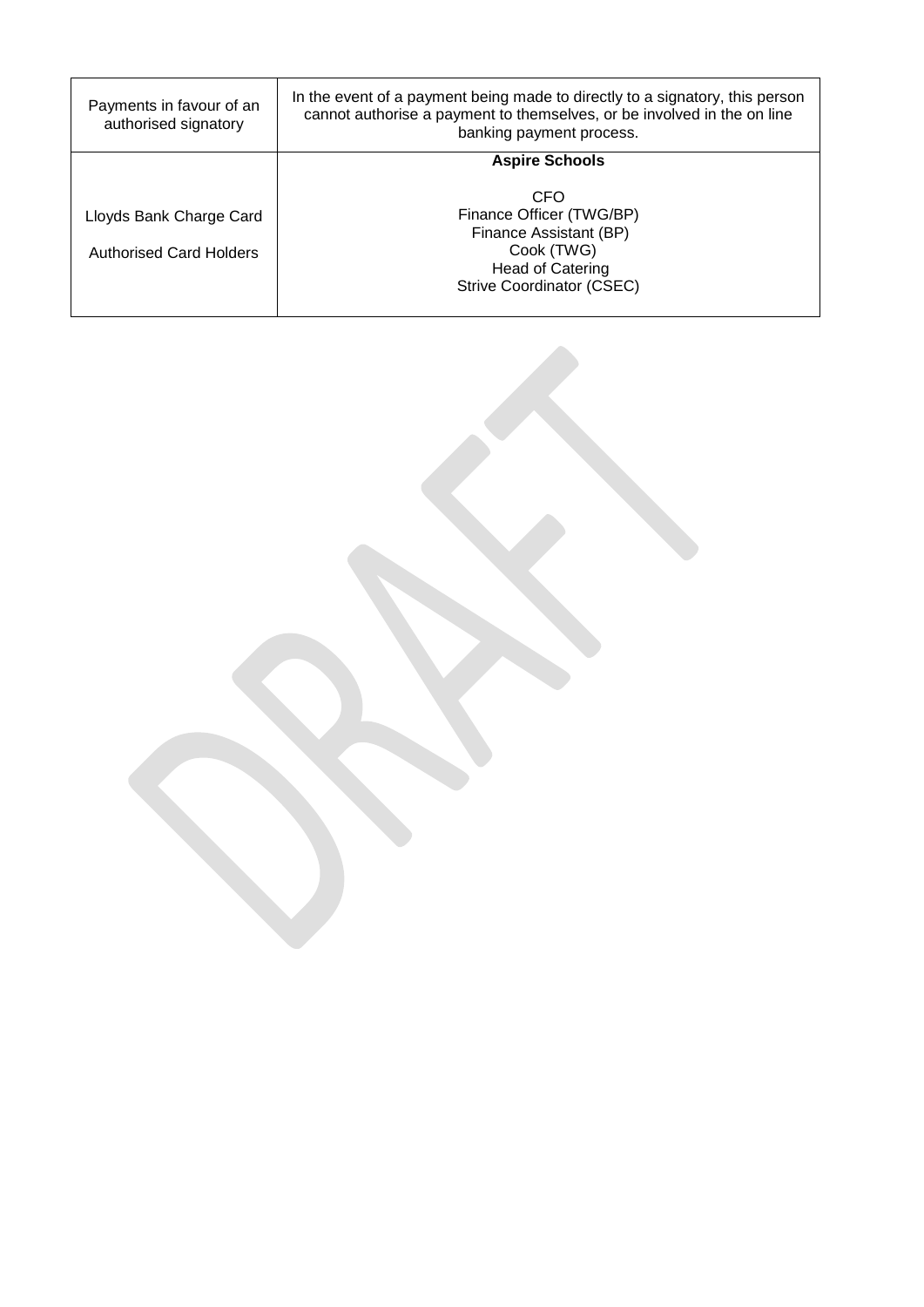| Payments in favour of an<br>authorised signatory          | In the event of a payment being made to directly to a signatory, this person<br>cannot authorise a payment to themselves, or be involved in the on line<br>banking payment process. |
|-----------------------------------------------------------|-------------------------------------------------------------------------------------------------------------------------------------------------------------------------------------|
|                                                           | <b>Aspire Schools</b>                                                                                                                                                               |
| Lloyds Bank Charge Card<br><b>Authorised Card Holders</b> | CFO<br>Finance Officer (TWG/BP)<br>Finance Assistant (BP)<br>Cook (TWG)<br><b>Head of Catering</b><br><b>Strive Coordinator (CSEC)</b>                                              |